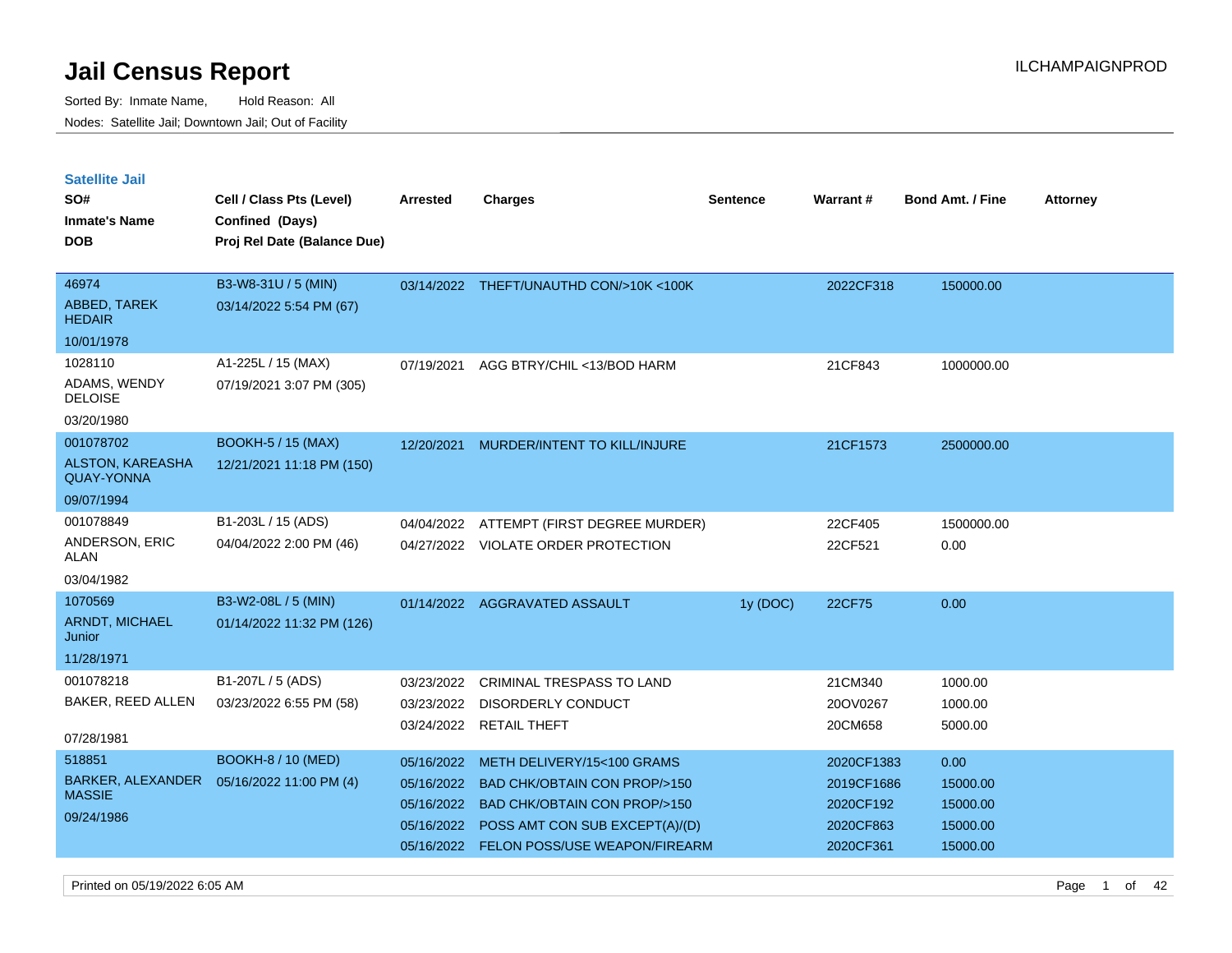Sorted By: Inmate Name, Hold Reason: All Nodes: Satellite Jail; Downtown Jail; Out of Facility

| <b>Satellite Jail</b><br>SO#<br><b>Inmate's Name</b><br><b>DOB</b> | Cell / Class Pts (Level)<br>Confined (Days)<br>Proj Rel Date (Balance Due) | <b>Arrested</b> | <b>Charges</b>                               | <b>Sentence</b> | Warrant#   | <b>Bond Amt. / Fine</b> | <b>Attorney</b> |
|--------------------------------------------------------------------|----------------------------------------------------------------------------|-----------------|----------------------------------------------|-----------------|------------|-------------------------|-----------------|
| 46974<br>ABBED, TAREK                                              | B3-W8-31U / 5 (MIN)<br>03/14/2022 5:54 PM (67)                             |                 | 03/14/2022 THEFT/UNAUTHD CON/>10K <100K      |                 | 2022CF318  | 150000.00               |                 |
| <b>HEDAIR</b>                                                      |                                                                            |                 |                                              |                 |            |                         |                 |
| 10/01/1978                                                         |                                                                            |                 |                                              |                 |            |                         |                 |
| 1028110                                                            | A1-225L / 15 (MAX)                                                         | 07/19/2021      | AGG BTRY/CHIL <13/BOD HARM                   |                 | 21CF843    | 1000000.00              |                 |
| ADAMS, WENDY<br><b>DELOISE</b>                                     | 07/19/2021 3:07 PM (305)                                                   |                 |                                              |                 |            |                         |                 |
| 03/20/1980                                                         |                                                                            |                 |                                              |                 |            |                         |                 |
| 001078702                                                          | <b>BOOKH-5 / 15 (MAX)</b>                                                  | 12/20/2021      | MURDER/INTENT TO KILL/INJURE                 |                 | 21CF1573   | 2500000.00              |                 |
| ALSTON, KAREASHA<br><b>QUAY-YONNA</b>                              | 12/21/2021 11:18 PM (150)                                                  |                 |                                              |                 |            |                         |                 |
| 09/07/1994                                                         |                                                                            |                 |                                              |                 |            |                         |                 |
| 001078849                                                          | B1-203L / 15 (ADS)                                                         | 04/04/2022      | ATTEMPT (FIRST DEGREE MURDER)                |                 | 22CF405    | 1500000.00              |                 |
| ANDERSON, ERIC<br><b>ALAN</b>                                      | 04/04/2022 2:00 PM (46)                                                    |                 | 04/27/2022 VIOLATE ORDER PROTECTION          |                 | 22CF521    | 0.00                    |                 |
| 03/04/1982                                                         |                                                                            |                 |                                              |                 |            |                         |                 |
| 1070569                                                            | B3-W2-08L / 5 (MIN)                                                        |                 | 01/14/2022 AGGRAVATED ASSAULT                | 1y (DOC)        | 22CF75     | 0.00                    |                 |
| ARNDT, MICHAEL<br>Junior                                           | 01/14/2022 11:32 PM (126)                                                  |                 |                                              |                 |            |                         |                 |
| 11/28/1971                                                         |                                                                            |                 |                                              |                 |            |                         |                 |
| 001078218                                                          | B1-207L / 5 (ADS)                                                          | 03/23/2022      | <b>CRIMINAL TRESPASS TO LAND</b>             |                 | 21CM340    | 1000.00                 |                 |
| <b>BAKER, REED ALLEN</b>                                           | 03/23/2022 6:55 PM (58)                                                    | 03/23/2022      | <b>DISORDERLY CONDUCT</b>                    |                 | 20OV0267   | 1000.00                 |                 |
| 07/28/1981                                                         |                                                                            |                 | 03/24/2022 RETAIL THEFT                      |                 | 20CM658    | 5000.00                 |                 |
| 518851                                                             | <b>BOOKH-8 / 10 (MED)</b>                                                  | 05/16/2022      | METH DELIVERY/15<100 GRAMS                   |                 | 2020CF1383 | 0.00                    |                 |
| BARKER, ALEXANDER                                                  | 05/16/2022 11:00 PM (4)                                                    | 05/16/2022      | <b>BAD CHK/OBTAIN CON PROP/&gt;150</b>       |                 | 2019CF1686 | 15000.00                |                 |
| <b>MASSIE</b>                                                      |                                                                            |                 | 05/16/2022 BAD CHK/OBTAIN CON PROP/>150      |                 | 2020CF192  | 15000.00                |                 |
| 09/24/1986                                                         |                                                                            |                 | $25/12/2222$ DOOD MMT OOM OUD EVOEDT(A) ((D) |                 | 000000000  | $1 - 000000$            |                 |

05/16/2022 POSS AMT CON SUB EXCEPT(A)/(D) 2020CF863 15000.00 05/16/2022 FELON POSS/USE WEAPON/FIREARM 2020CF361 15000.00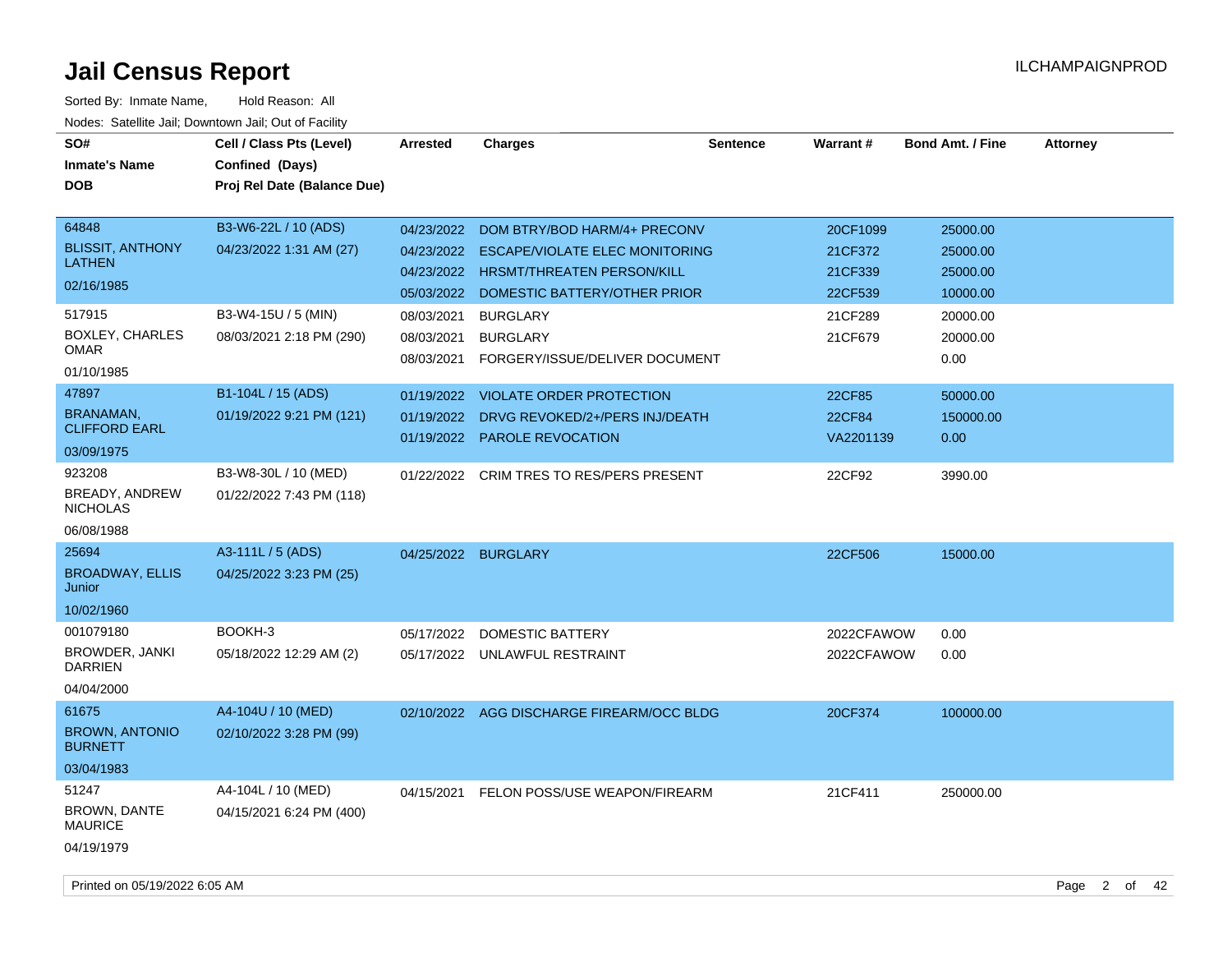| SO#<br><b>Inmate's Name</b><br><b>DOB</b>                                                                          | Cell / Class Pts (Level)<br>Confined (Days)<br>Proj Rel Date (Balance Due)                         | <b>Arrested</b>                        | <b>Charges</b>                                                                                                                                                                                                                                   | <b>Sentence</b> | Warrant#                                                        | <b>Bond Amt. / Fine</b>                                                      | <b>Attorney</b> |
|--------------------------------------------------------------------------------------------------------------------|----------------------------------------------------------------------------------------------------|----------------------------------------|--------------------------------------------------------------------------------------------------------------------------------------------------------------------------------------------------------------------------------------------------|-----------------|-----------------------------------------------------------------|------------------------------------------------------------------------------|-----------------|
| 64848<br><b>BLISSIT, ANTHONY</b><br><b>LATHEN</b><br>02/16/1985<br>517915<br><b>BOXLEY, CHARLES</b><br><b>OMAR</b> | B3-W6-22L / 10 (ADS)<br>04/23/2022 1:31 AM (27)<br>B3-W4-15U / 5 (MIN)<br>08/03/2021 2:18 PM (290) | 05/03/2022<br>08/03/2021<br>08/03/2021 | 04/23/2022 DOM BTRY/BOD HARM/4+ PRECONV<br>04/23/2022 ESCAPE/VIOLATE ELEC MONITORING<br>04/23/2022 HRSMT/THREATEN PERSON/KILL<br>DOMESTIC BATTERY/OTHER PRIOR<br><b>BURGLARY</b><br><b>BURGLARY</b><br>08/03/2021 FORGERY/ISSUE/DELIVER DOCUMENT |                 | 20CF1099<br>21CF372<br>21CF339<br>22CF539<br>21CF289<br>21CF679 | 25000.00<br>25000.00<br>25000.00<br>10000.00<br>20000.00<br>20000.00<br>0.00 |                 |
| 01/10/1985<br>47897<br><b>BRANAMAN,</b><br><b>CLIFFORD EARL</b><br>03/09/1975                                      | B1-104L / 15 (ADS)<br>01/19/2022 9:21 PM (121)                                                     |                                        | 01/19/2022 VIOLATE ORDER PROTECTION<br>01/19/2022 DRVG REVOKED/2+/PERS INJ/DEATH<br>01/19/2022 PAROLE REVOCATION                                                                                                                                 |                 | 22CF85<br>22CF84<br>VA2201139                                   | 50000.00<br>150000.00<br>0.00                                                |                 |
| 923208<br>BREADY, ANDREW<br><b>NICHOLAS</b><br>06/08/1988                                                          | B3-W8-30L / 10 (MED)<br>01/22/2022 7:43 PM (118)                                                   | 01/22/2022                             | CRIM TRES TO RES/PERS PRESENT                                                                                                                                                                                                                    |                 | 22CF92                                                          | 3990.00                                                                      |                 |
| 25694<br><b>BROADWAY, ELLIS</b><br>Junior<br>10/02/1960                                                            | A3-111L / 5 (ADS)<br>04/25/2022 3:23 PM (25)                                                       |                                        | 04/25/2022 BURGLARY                                                                                                                                                                                                                              |                 | 22CF506                                                         | 15000.00                                                                     |                 |
| 001079180<br>BROWDER, JANKI<br><b>DARRIEN</b><br>04/04/2000                                                        | BOOKH-3<br>05/18/2022 12:29 AM (2)                                                                 | 05/17/2022                             | <b>DOMESTIC BATTERY</b><br>05/17/2022 UNLAWFUL RESTRAINT                                                                                                                                                                                         |                 | 2022CFAWOW<br>2022CFAWOW                                        | 0.00<br>0.00                                                                 |                 |
| 61675<br><b>BROWN, ANTONIO</b><br><b>BURNETT</b><br>03/04/1983                                                     | A4-104U / 10 (MED)<br>02/10/2022 3:28 PM (99)                                                      |                                        | 02/10/2022 AGG DISCHARGE FIREARM/OCC BLDG                                                                                                                                                                                                        |                 | 20CF374                                                         | 100000.00                                                                    |                 |
| 51247<br>BROWN, DANTE<br><b>MAURICE</b><br>04/19/1979                                                              | A4-104L / 10 (MED)<br>04/15/2021 6:24 PM (400)                                                     |                                        | 04/15/2021 FELON POSS/USE WEAPON/FIREARM                                                                                                                                                                                                         |                 | 21CF411                                                         | 250000.00                                                                    |                 |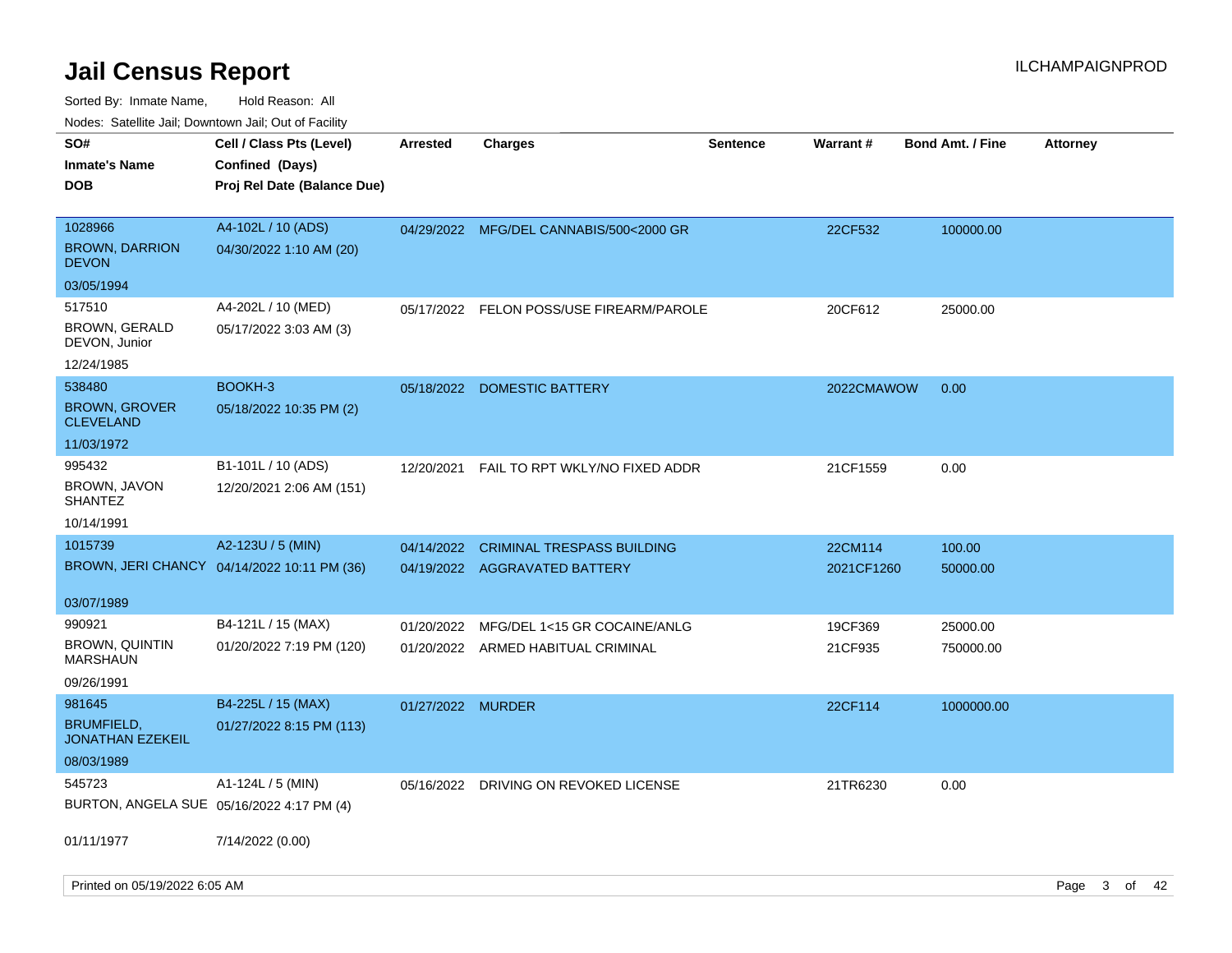| ivouss. Satellite Jali, Downtown Jali, Out of Facility |                                             |                   |                                          |                 |            |                         |                 |
|--------------------------------------------------------|---------------------------------------------|-------------------|------------------------------------------|-----------------|------------|-------------------------|-----------------|
| SO#                                                    | Cell / Class Pts (Level)                    | <b>Arrested</b>   | <b>Charges</b>                           | <b>Sentence</b> | Warrant#   | <b>Bond Amt. / Fine</b> | <b>Attorney</b> |
| Inmate's Name                                          | Confined (Days)                             |                   |                                          |                 |            |                         |                 |
| DOB                                                    | Proj Rel Date (Balance Due)                 |                   |                                          |                 |            |                         |                 |
|                                                        |                                             |                   |                                          |                 |            |                         |                 |
| 1028966                                                | A4-102L / 10 (ADS)                          | 04/29/2022        | MFG/DEL CANNABIS/500<2000 GR             |                 | 22CF532    | 100000.00               |                 |
| <b>BROWN, DARRION</b><br><b>DEVON</b>                  | 04/30/2022 1:10 AM (20)                     |                   |                                          |                 |            |                         |                 |
| 03/05/1994                                             |                                             |                   |                                          |                 |            |                         |                 |
| 517510                                                 | A4-202L / 10 (MED)                          |                   | 05/17/2022 FELON POSS/USE FIREARM/PAROLE |                 | 20CF612    | 25000.00                |                 |
| <b>BROWN, GERALD</b><br>DEVON, Junior                  | 05/17/2022 3:03 AM (3)                      |                   |                                          |                 |            |                         |                 |
| 12/24/1985                                             |                                             |                   |                                          |                 |            |                         |                 |
| 538480                                                 | BOOKH-3                                     | 05/18/2022        | <b>DOMESTIC BATTERY</b>                  |                 | 2022CMAWOW | 0.00                    |                 |
| <b>BROWN, GROVER</b><br>CLEVELAND                      | 05/18/2022 10:35 PM (2)                     |                   |                                          |                 |            |                         |                 |
| 11/03/1972                                             |                                             |                   |                                          |                 |            |                         |                 |
| 995432                                                 | B1-101L / 10 (ADS)                          | 12/20/2021        | FAIL TO RPT WKLY/NO FIXED ADDR           |                 | 21CF1559   | 0.00                    |                 |
| BROWN, JAVON<br>SHANTEZ                                | 12/20/2021 2:06 AM (151)                    |                   |                                          |                 |            |                         |                 |
| 10/14/1991                                             |                                             |                   |                                          |                 |            |                         |                 |
| 1015739                                                | A2-123U / 5 (MIN)                           | 04/14/2022        | <b>CRIMINAL TRESPASS BUILDING</b>        |                 | 22CM114    | 100.00                  |                 |
|                                                        | BROWN, JERI CHANCY 04/14/2022 10:11 PM (36) |                   | 04/19/2022 AGGRAVATED BATTERY            |                 | 2021CF1260 | 50000.00                |                 |
|                                                        |                                             |                   |                                          |                 |            |                         |                 |
| 03/07/1989                                             |                                             |                   |                                          |                 |            |                         |                 |
| 990921                                                 | B4-121L / 15 (MAX)                          | 01/20/2022        | MFG/DEL 1<15 GR COCAINE/ANLG             |                 | 19CF369    | 25000.00                |                 |
| <b>BROWN, QUINTIN</b><br>MARSHAUN                      | 01/20/2022 7:19 PM (120)                    |                   | 01/20/2022 ARMED HABITUAL CRIMINAL       |                 | 21CF935    | 750000.00               |                 |
| 09/26/1991                                             |                                             |                   |                                          |                 |            |                         |                 |
| 981645                                                 | B4-225L / 15 (MAX)                          | 01/27/2022 MURDER |                                          |                 | 22CF114    | 1000000.00              |                 |
| <b>BRUMFIELD,</b><br>JONATHAN EZEKEIL                  | 01/27/2022 8:15 PM (113)                    |                   |                                          |                 |            |                         |                 |
| 08/03/1989                                             |                                             |                   |                                          |                 |            |                         |                 |
| 545723                                                 | A1-124L / 5 (MIN)                           | 05/16/2022        | DRIVING ON REVOKED LICENSE               |                 | 21TR6230   | 0.00                    |                 |
| BURTON, ANGELA SUE 05/16/2022 4:17 PM (4)              |                                             |                   |                                          |                 |            |                         |                 |
| 01/11/1977                                             | 7/14/2022 (0.00)                            |                   |                                          |                 |            |                         |                 |
|                                                        |                                             |                   |                                          |                 |            |                         |                 |
|                                                        |                                             |                   |                                          |                 |            |                         |                 |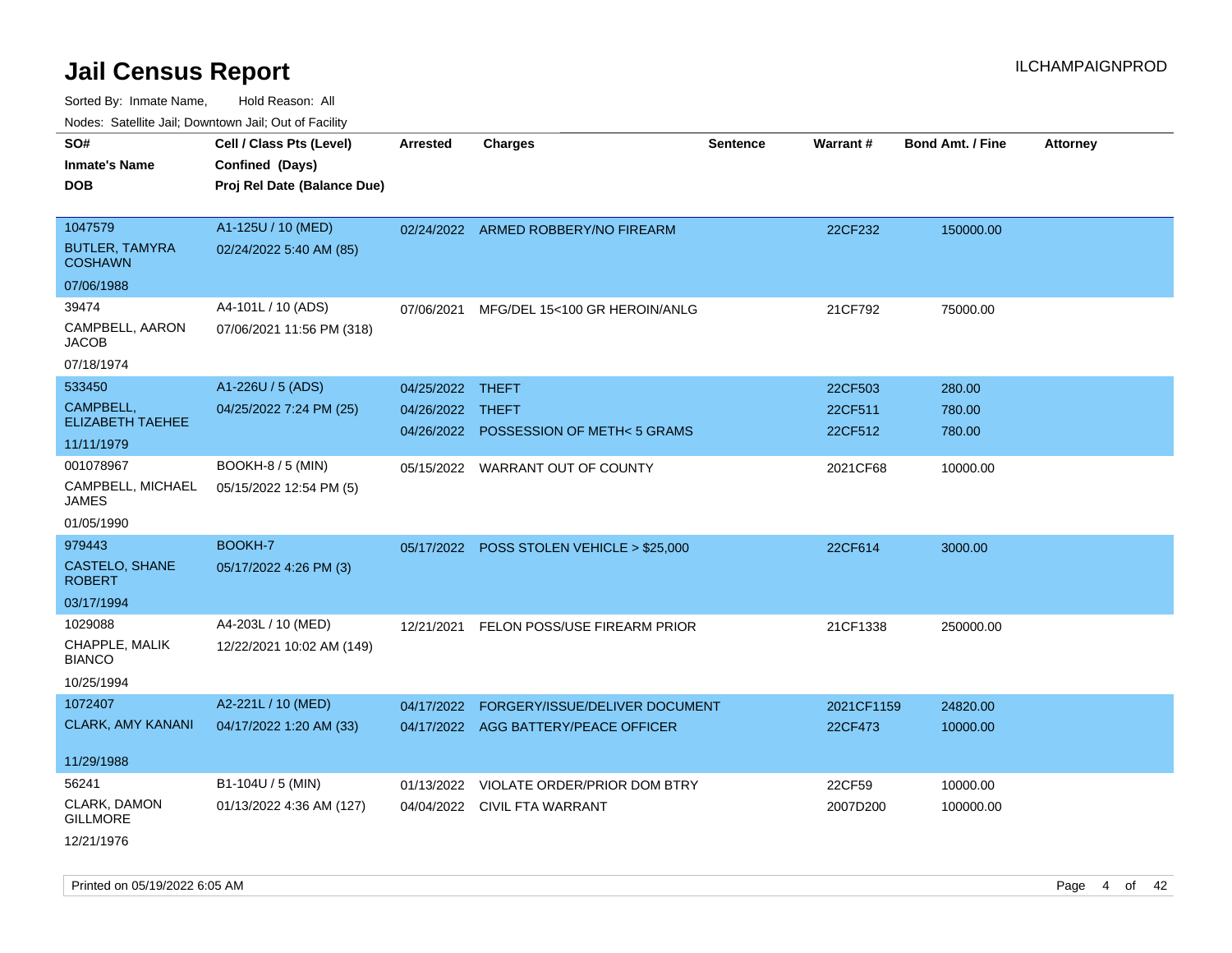| ivoues. Salellite Jali, Downtown Jali, Out of Facility |                             |                  |                                           |                 |            |                         |                 |
|--------------------------------------------------------|-----------------------------|------------------|-------------------------------------------|-----------------|------------|-------------------------|-----------------|
| SO#                                                    | Cell / Class Pts (Level)    | <b>Arrested</b>  | <b>Charges</b>                            | <b>Sentence</b> | Warrant#   | <b>Bond Amt. / Fine</b> | <b>Attorney</b> |
| <b>Inmate's Name</b>                                   | Confined (Days)             |                  |                                           |                 |            |                         |                 |
| <b>DOB</b>                                             | Proj Rel Date (Balance Due) |                  |                                           |                 |            |                         |                 |
|                                                        |                             |                  |                                           |                 |            |                         |                 |
| 1047579                                                | A1-125U / 10 (MED)          |                  | 02/24/2022 ARMED ROBBERY/NO FIREARM       |                 | 22CF232    | 150000.00               |                 |
| <b>BUTLER, TAMYRA</b><br><b>COSHAWN</b>                | 02/24/2022 5:40 AM (85)     |                  |                                           |                 |            |                         |                 |
| 07/06/1988                                             |                             |                  |                                           |                 |            |                         |                 |
| 39474                                                  | A4-101L / 10 (ADS)          | 07/06/2021       | MFG/DEL 15<100 GR HEROIN/ANLG             |                 | 21CF792    | 75000.00                |                 |
| CAMPBELL, AARON<br><b>JACOB</b>                        | 07/06/2021 11:56 PM (318)   |                  |                                           |                 |            |                         |                 |
| 07/18/1974                                             |                             |                  |                                           |                 |            |                         |                 |
| 533450                                                 | A1-226U / 5 (ADS)           | 04/25/2022 THEFT |                                           |                 | 22CF503    | 280.00                  |                 |
| CAMPBELL,                                              | 04/25/2022 7:24 PM (25)     | 04/26/2022 THEFT |                                           |                 | 22CF511    | 780.00                  |                 |
| <b>ELIZABETH TAEHEE</b>                                |                             |                  | 04/26/2022 POSSESSION OF METH< 5 GRAMS    |                 | 22CF512    | 780.00                  |                 |
| 11/11/1979                                             |                             |                  |                                           |                 |            |                         |                 |
| 001078967                                              | BOOKH-8 / 5 (MIN)           |                  | 05/15/2022 WARRANT OUT OF COUNTY          |                 | 2021CF68   | 10000.00                |                 |
| CAMPBELL, MICHAEL<br>JAMES                             | 05/15/2022 12:54 PM (5)     |                  |                                           |                 |            |                         |                 |
| 01/05/1990                                             |                             |                  |                                           |                 |            |                         |                 |
| 979443                                                 | <b>BOOKH-7</b>              |                  | 05/17/2022 POSS STOLEN VEHICLE > \$25,000 |                 | 22CF614    | 3000.00                 |                 |
| CASTELO, SHANE<br><b>ROBERT</b>                        | 05/17/2022 4:26 PM (3)      |                  |                                           |                 |            |                         |                 |
| 03/17/1994                                             |                             |                  |                                           |                 |            |                         |                 |
| 1029088                                                | A4-203L / 10 (MED)          | 12/21/2021       | FELON POSS/USE FIREARM PRIOR              |                 | 21CF1338   | 250000.00               |                 |
| CHAPPLE, MALIK<br><b>BIANCO</b>                        | 12/22/2021 10:02 AM (149)   |                  |                                           |                 |            |                         |                 |
| 10/25/1994                                             |                             |                  |                                           |                 |            |                         |                 |
| 1072407                                                | A2-221L / 10 (MED)          | 04/17/2022       | FORGERY/ISSUE/DELIVER DOCUMENT            |                 | 2021CF1159 | 24820.00                |                 |
| <b>CLARK, AMY KANANI</b>                               | 04/17/2022 1:20 AM (33)     |                  | 04/17/2022 AGG BATTERY/PEACE OFFICER      |                 | 22CF473    | 10000.00                |                 |
|                                                        |                             |                  |                                           |                 |            |                         |                 |
| 11/29/1988                                             |                             |                  |                                           |                 |            |                         |                 |
| 56241                                                  | B1-104U / 5 (MIN)           | 01/13/2022       | VIOLATE ORDER/PRIOR DOM BTRY              |                 | 22CF59     | 10000.00                |                 |
| CLARK, DAMON<br><b>GILLMORE</b>                        | 01/13/2022 4:36 AM (127)    |                  | 04/04/2022 CIVIL FTA WARRANT              |                 | 2007D200   | 100000.00               |                 |
| 12/21/1976                                             |                             |                  |                                           |                 |            |                         |                 |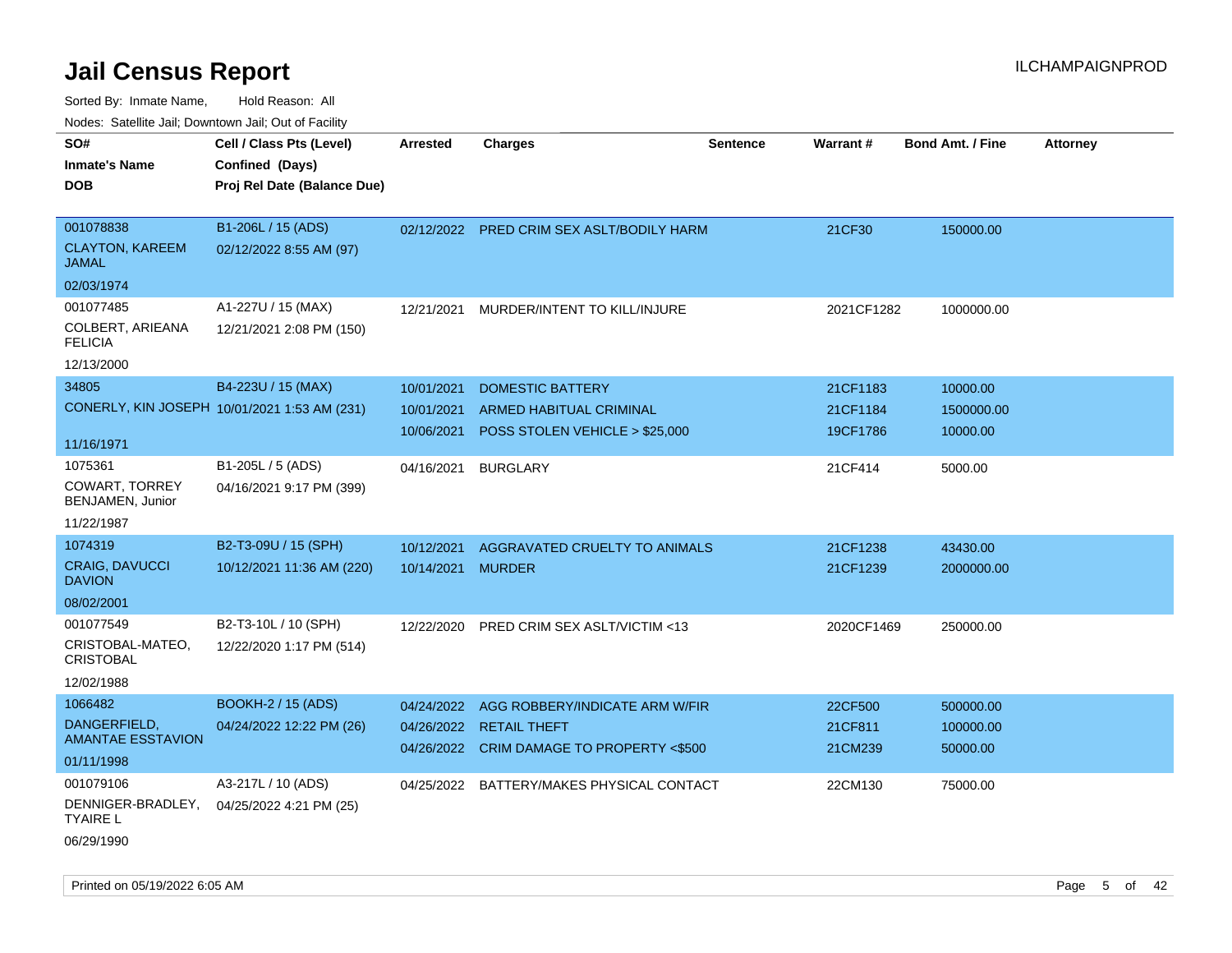Sorted By: Inmate Name, Hold Reason: All Nodes:

| oortog Dy: Thingto Namo,                              | <b>TIUR INGUOUT.</b>                         |                 |                                           |                 |                 |                  |                 |
|-------------------------------------------------------|----------------------------------------------|-----------------|-------------------------------------------|-----------------|-----------------|------------------|-----------------|
| Nodes: Satellite Jail; Downtown Jail; Out of Facility |                                              |                 |                                           |                 |                 |                  |                 |
| SO#                                                   | Cell / Class Pts (Level)                     | <b>Arrested</b> | <b>Charges</b>                            | <b>Sentence</b> | <b>Warrant#</b> | Bond Amt. / Fine | <b>Attorney</b> |
| <b>Inmate's Name</b>                                  | Confined (Days)                              |                 |                                           |                 |                 |                  |                 |
| <b>DOB</b>                                            | Proj Rel Date (Balance Due)                  |                 |                                           |                 |                 |                  |                 |
|                                                       |                                              |                 |                                           |                 |                 |                  |                 |
| 001078838                                             | B1-206L / 15 (ADS)                           |                 | 02/12/2022 PRED CRIM SEX ASLT/BODILY HARM |                 | 21CF30          | 150000.00        |                 |
| <b>CLAYTON, KAREEM</b><br><b>JAMAL</b>                | 02/12/2022 8:55 AM (97)                      |                 |                                           |                 |                 |                  |                 |
| 02/03/1974                                            |                                              |                 |                                           |                 |                 |                  |                 |
| 001077485                                             | A1-227U / 15 (MAX)                           | 12/21/2021      | MURDER/INTENT TO KILL/INJURE              |                 | 2021CF1282      | 1000000.00       |                 |
| COLBERT, ARIEANA<br><b>FELICIA</b>                    | 12/21/2021 2:08 PM (150)                     |                 |                                           |                 |                 |                  |                 |
| 12/13/2000                                            |                                              |                 |                                           |                 |                 |                  |                 |
| 34805                                                 | B4-223U / 15 (MAX)                           | 10/01/2021      | <b>DOMESTIC BATTERY</b>                   |                 | 21CF1183        | 10000.00         |                 |
|                                                       | CONERLY, KIN JOSEPH 10/01/2021 1:53 AM (231) | 10/01/2021      | <b>ARMED HABITUAL CRIMINAL</b>            |                 | 21CF1184        | 1500000.00       |                 |
|                                                       |                                              | 10/06/2021      | POSS STOLEN VEHICLE > \$25,000            |                 | 19CF1786        | 10000.00         |                 |
| 11/16/1971                                            |                                              |                 |                                           |                 |                 |                  |                 |
| 1075361                                               | B1-205L / 5 (ADS)                            | 04/16/2021      | <b>BURGLARY</b>                           |                 | 21CF414         | 5000.00          |                 |
| COWART, TORREY<br>BENJAMEN, Junior                    | 04/16/2021 9:17 PM (399)                     |                 |                                           |                 |                 |                  |                 |
| 11/22/1987                                            |                                              |                 |                                           |                 |                 |                  |                 |
| 1074319                                               | B2-T3-09U / 15 (SPH)                         | 10/12/2021      | AGGRAVATED CRUELTY TO ANIMALS             |                 | 21CF1238        | 43430.00         |                 |
| CRAIG, DAVUCCI<br><b>DAVION</b>                       | 10/12/2021 11:36 AM (220)                    | 10/14/2021      | <b>MURDER</b>                             |                 | 21CF1239        | 2000000.00       |                 |
| 08/02/2001                                            |                                              |                 |                                           |                 |                 |                  |                 |
| 001077549                                             | B2-T3-10L / 10 (SPH)                         | 12/22/2020      | PRED CRIM SEX ASLT/VICTIM <13             |                 | 2020CF1469      | 250000.00        |                 |
| CRISTOBAL-MATEO,<br><b>CRISTOBAL</b>                  | 12/22/2020 1:17 PM (514)                     |                 |                                           |                 |                 |                  |                 |
| 12/02/1988                                            |                                              |                 |                                           |                 |                 |                  |                 |
| 1066482                                               | <b>BOOKH-2 / 15 (ADS)</b>                    | 04/24/2022      | AGG ROBBERY/INDICATE ARM W/FIR            |                 | 22CF500         | 500000.00        |                 |
| DANGERFIELD,                                          | 04/24/2022 12:22 PM (26)                     | 04/26/2022      | <b>RETAIL THEFT</b>                       |                 | 21CF811         | 100000.00        |                 |
| <b>AMANTAE ESSTAVION</b>                              |                                              | 04/26/2022      | CRIM DAMAGE TO PROPERTY <\$500            |                 | 21CM239         | 50000.00         |                 |
| 01/11/1998                                            |                                              |                 |                                           |                 |                 |                  |                 |
| 001079106                                             | A3-217L / 10 (ADS)                           | 04/25/2022      | BATTERY/MAKES PHYSICAL CONTACT            |                 | 22CM130         | 75000.00         |                 |
| DENNIGER-BRADLEY,<br><b>TYAIRE L</b>                  | 04/25/2022 4:21 PM (25)                      |                 |                                           |                 |                 |                  |                 |

06/29/1990

Printed on 05/19/2022 6:05 AM Page 5 of 42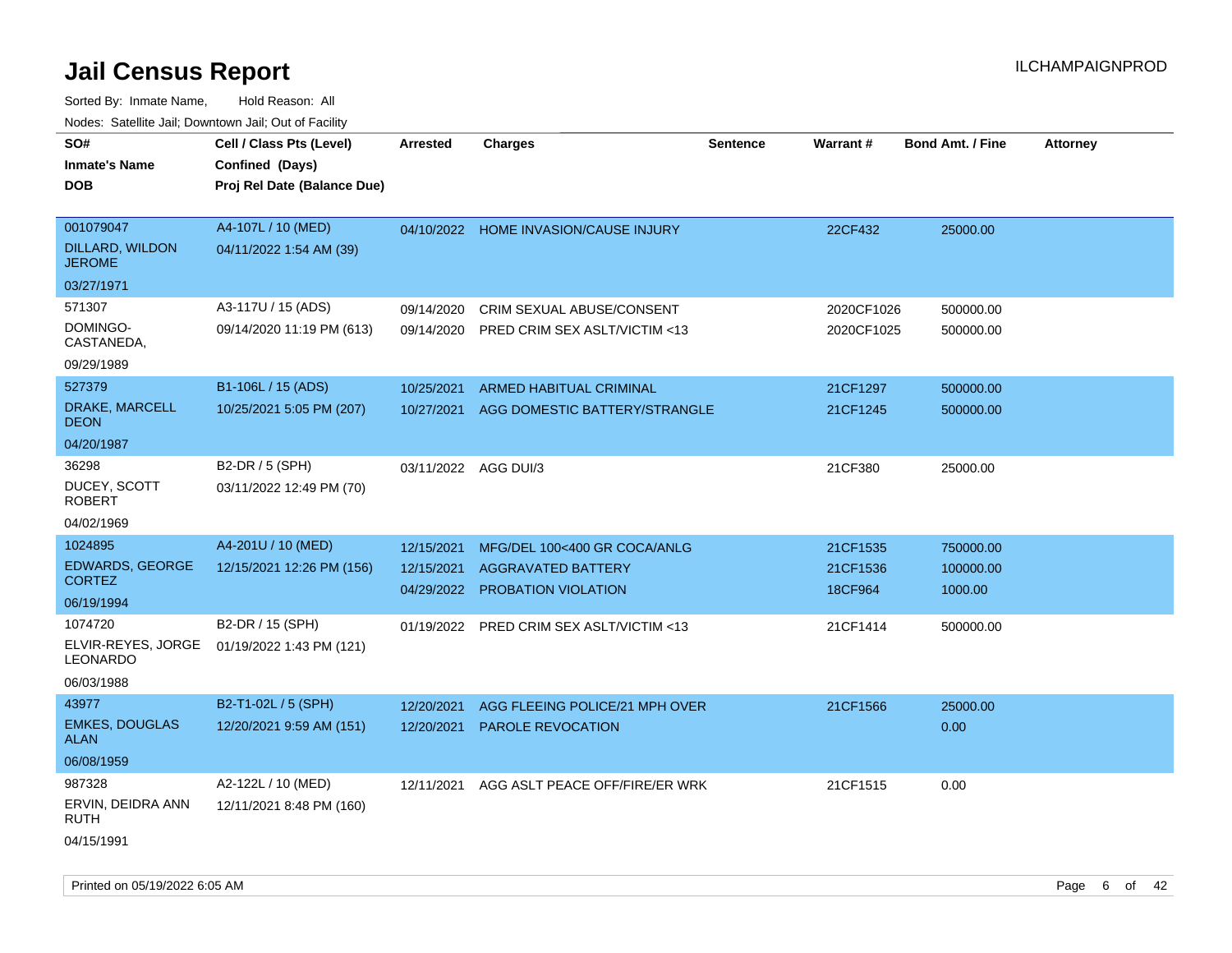| roaco. Calcinio dan, Downtown dan, Cal or Fability |                                                                            |                          |                                                  |                 |                     |                         |                 |
|----------------------------------------------------|----------------------------------------------------------------------------|--------------------------|--------------------------------------------------|-----------------|---------------------|-------------------------|-----------------|
| SO#<br>Inmate's Name<br>DOB                        | Cell / Class Pts (Level)<br>Confined (Days)<br>Proj Rel Date (Balance Due) | Arrested                 | <b>Charges</b>                                   | <b>Sentence</b> | <b>Warrant#</b>     | <b>Bond Amt. / Fine</b> | <b>Attorney</b> |
|                                                    |                                                                            |                          |                                                  |                 |                     |                         |                 |
| 001079047<br>DILLARD, WILDON<br><b>JEROME</b>      | A4-107L / 10 (MED)<br>04/11/2022 1:54 AM (39)                              |                          | 04/10/2022 HOME INVASION/CAUSE INJURY            |                 | 22CF432             | 25000.00                |                 |
| 03/27/1971                                         |                                                                            |                          |                                                  |                 |                     |                         |                 |
| 571307                                             | A3-117U / 15 (ADS)                                                         | 09/14/2020               | CRIM SEXUAL ABUSE/CONSENT                        |                 | 2020CF1026          | 500000.00               |                 |
| DOMINGO-<br>CASTANEDA,                             | 09/14/2020 11:19 PM (613)                                                  | 09/14/2020               | PRED CRIM SEX ASLT/VICTIM <13                    |                 | 2020CF1025          | 500000.00               |                 |
| 09/29/1989                                         |                                                                            |                          |                                                  |                 |                     |                         |                 |
| 527379                                             | B1-106L / 15 (ADS)                                                         | 10/25/2021               | ARMED HABITUAL CRIMINAL                          |                 | 21CF1297            | 500000.00               |                 |
| <b>DRAKE, MARCELL</b><br>DEON                      | 10/25/2021 5:05 PM (207)                                                   | 10/27/2021               | AGG DOMESTIC BATTERY/STRANGLE                    |                 | 21CF1245            | 500000.00               |                 |
| 04/20/1987                                         |                                                                            |                          |                                                  |                 |                     |                         |                 |
| 36298<br>DUCEY, SCOTT<br><b>ROBERT</b>             | B2-DR / 5 (SPH)<br>03/11/2022 12:49 PM (70)                                | 03/11/2022 AGG DUI/3     |                                                  |                 | 21CF380             | 25000.00                |                 |
| 04/02/1969                                         |                                                                            |                          |                                                  |                 |                     |                         |                 |
| 1024895                                            | A4-201U / 10 (MED)                                                         | 12/15/2021               | MFG/DEL 100<400 GR COCA/ANLG                     |                 | 21CF1535            | 750000.00               |                 |
| <b>EDWARDS, GEORGE</b><br>CORTEZ                   | 12/15/2021 12:26 PM (156)                                                  | 12/15/2021<br>04/29/2022 | <b>AGGRAVATED BATTERY</b><br>PROBATION VIOLATION |                 | 21CF1536<br>18CF964 | 100000.00<br>1000.00    |                 |
| 06/19/1994                                         |                                                                            |                          |                                                  |                 |                     |                         |                 |
| 1074720                                            | B2-DR / 15 (SPH)                                                           | 01/19/2022               | <b>PRED CRIM SEX ASLT/VICTIM &lt;13</b>          |                 | 21CF1414            | 500000.00               |                 |
| ELVIR-REYES, JORGE<br>LEONARDO                     | 01/19/2022 1:43 PM (121)                                                   |                          |                                                  |                 |                     |                         |                 |
| 06/03/1988                                         |                                                                            |                          |                                                  |                 |                     |                         |                 |
| 43977                                              | B2-T1-02L / 5 (SPH)                                                        | 12/20/2021               | AGG FLEEING POLICE/21 MPH OVER                   |                 | 21CF1566            | 25000.00                |                 |
| <b>EMKES, DOUGLAS</b><br>ALAN                      | 12/20/2021 9:59 AM (151)                                                   | 12/20/2021               | <b>PAROLE REVOCATION</b>                         |                 |                     | 0.00                    |                 |
| 06/08/1959                                         |                                                                            |                          |                                                  |                 |                     |                         |                 |
| 987328                                             | A2-122L / 10 (MED)                                                         | 12/11/2021               | AGG ASLT PEACE OFF/FIRE/ER WRK                   |                 | 21CF1515            | 0.00                    |                 |
| ERVIN, DEIDRA ANN<br>RUTH                          | 12/11/2021 8:48 PM (160)                                                   |                          |                                                  |                 |                     |                         |                 |
| 04/15/1991                                         |                                                                            |                          |                                                  |                 |                     |                         |                 |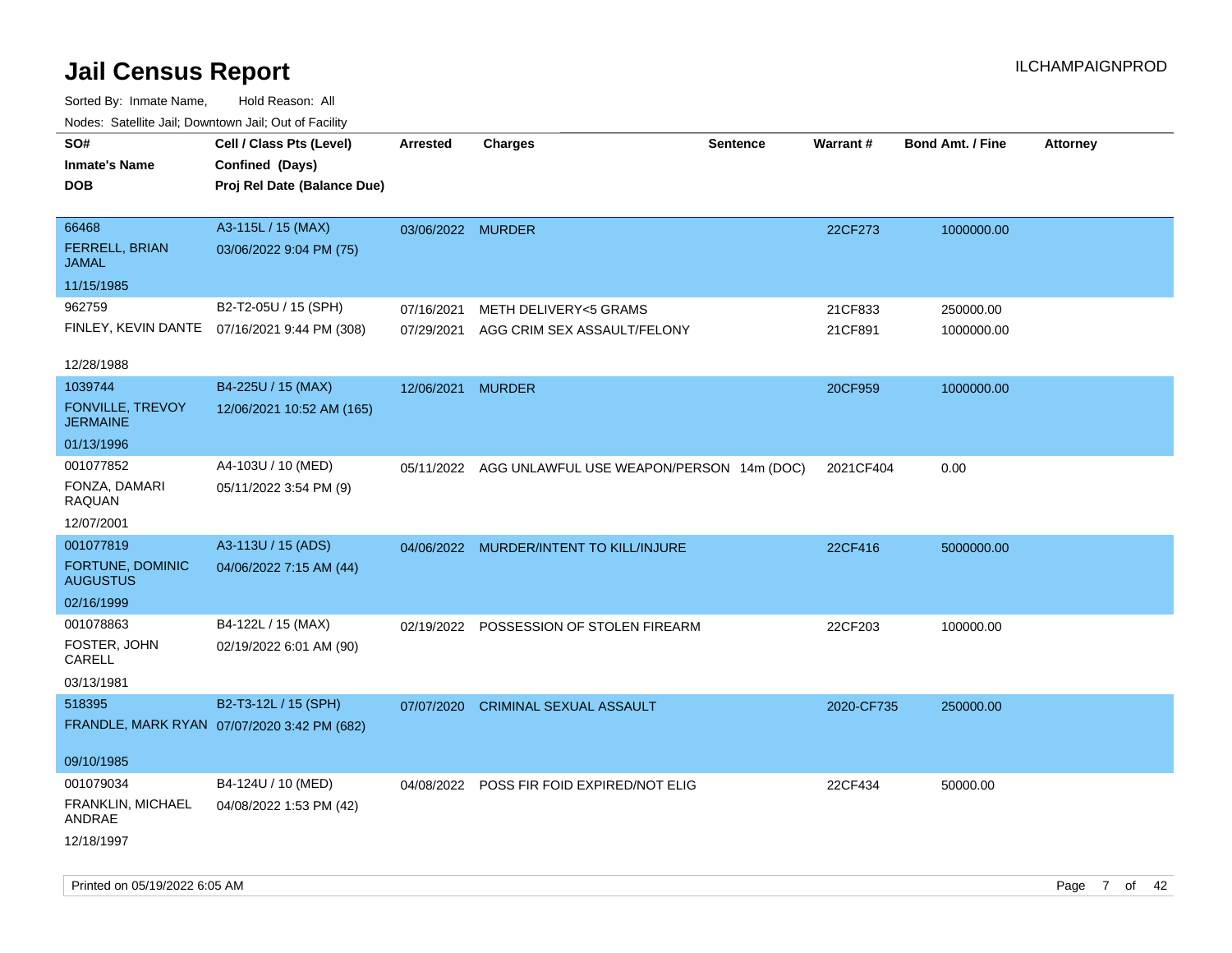| routs. Saltille Jali, Downlown Jali, Out of Facility |                                             |                   |                                                     |                 |            |                         |                 |
|------------------------------------------------------|---------------------------------------------|-------------------|-----------------------------------------------------|-----------------|------------|-------------------------|-----------------|
| SO#                                                  | Cell / Class Pts (Level)                    | <b>Arrested</b>   | <b>Charges</b>                                      | <b>Sentence</b> | Warrant#   | <b>Bond Amt. / Fine</b> | <b>Attorney</b> |
| <b>Inmate's Name</b>                                 | Confined (Days)                             |                   |                                                     |                 |            |                         |                 |
| <b>DOB</b>                                           | Proj Rel Date (Balance Due)                 |                   |                                                     |                 |            |                         |                 |
|                                                      |                                             |                   |                                                     |                 |            |                         |                 |
| 66468                                                | A3-115L / 15 (MAX)                          | 03/06/2022 MURDER |                                                     |                 | 22CF273    | 1000000.00              |                 |
| FERRELL, BRIAN<br>JAMAL                              | 03/06/2022 9:04 PM (75)                     |                   |                                                     |                 |            |                         |                 |
| 11/15/1985                                           |                                             |                   |                                                     |                 |            |                         |                 |
| 962759                                               | B2-T2-05U / 15 (SPH)                        | 07/16/2021        | METH DELIVERY<5 GRAMS                               |                 | 21CF833    | 250000.00               |                 |
| FINLEY, KEVIN DANTE                                  | 07/16/2021 9:44 PM (308)                    |                   | 07/29/2021 AGG CRIM SEX ASSAULT/FELONY              |                 | 21CF891    | 1000000.00              |                 |
| 12/28/1988                                           |                                             |                   |                                                     |                 |            |                         |                 |
| 1039744                                              | B4-225U / 15 (MAX)                          | 12/06/2021 MURDER |                                                     |                 | 20CF959    | 1000000.00              |                 |
| FONVILLE, TREVOY                                     | 12/06/2021 10:52 AM (165)                   |                   |                                                     |                 |            |                         |                 |
| <b>JERMAINE</b>                                      |                                             |                   |                                                     |                 |            |                         |                 |
| 01/13/1996                                           |                                             |                   |                                                     |                 |            |                         |                 |
| 001077852                                            | A4-103U / 10 (MED)                          |                   | 05/11/2022 AGG UNLAWFUL USE WEAPON/PERSON 14m (DOC) |                 | 2021CF404  | 0.00                    |                 |
| FONZA, DAMARI<br><b>RAQUAN</b>                       | 05/11/2022 3:54 PM (9)                      |                   |                                                     |                 |            |                         |                 |
| 12/07/2001                                           |                                             |                   |                                                     |                 |            |                         |                 |
| 001077819                                            | A3-113U / 15 (ADS)                          |                   | 04/06/2022 MURDER/INTENT TO KILL/INJURE             |                 | 22CF416    | 5000000.00              |                 |
| FORTUNE, DOMINIC<br><b>AUGUSTUS</b>                  | 04/06/2022 7:15 AM (44)                     |                   |                                                     |                 |            |                         |                 |
| 02/16/1999                                           |                                             |                   |                                                     |                 |            |                         |                 |
| 001078863                                            | B4-122L / 15 (MAX)                          |                   | 02/19/2022 POSSESSION OF STOLEN FIREARM             |                 | 22CF203    | 100000.00               |                 |
| FOSTER, JOHN<br>CARELL                               | 02/19/2022 6:01 AM (90)                     |                   |                                                     |                 |            |                         |                 |
| 03/13/1981                                           |                                             |                   |                                                     |                 |            |                         |                 |
| 518395                                               | B2-T3-12L / 15 (SPH)                        | 07/07/2020        | <b>CRIMINAL SEXUAL ASSAULT</b>                      |                 | 2020-CF735 | 250000.00               |                 |
|                                                      | FRANDLE, MARK RYAN 07/07/2020 3:42 PM (682) |                   |                                                     |                 |            |                         |                 |
|                                                      |                                             |                   |                                                     |                 |            |                         |                 |
| 09/10/1985                                           |                                             |                   |                                                     |                 |            |                         |                 |
| 001079034                                            | B4-124U / 10 (MED)                          |                   | 04/08/2022 POSS FIR FOID EXPIRED/NOT ELIG           |                 | 22CF434    | 50000.00                |                 |
| FRANKLIN, MICHAEL<br>ANDRAE                          | 04/08/2022 1:53 PM (42)                     |                   |                                                     |                 |            |                         |                 |
| 12/18/1997                                           |                                             |                   |                                                     |                 |            |                         |                 |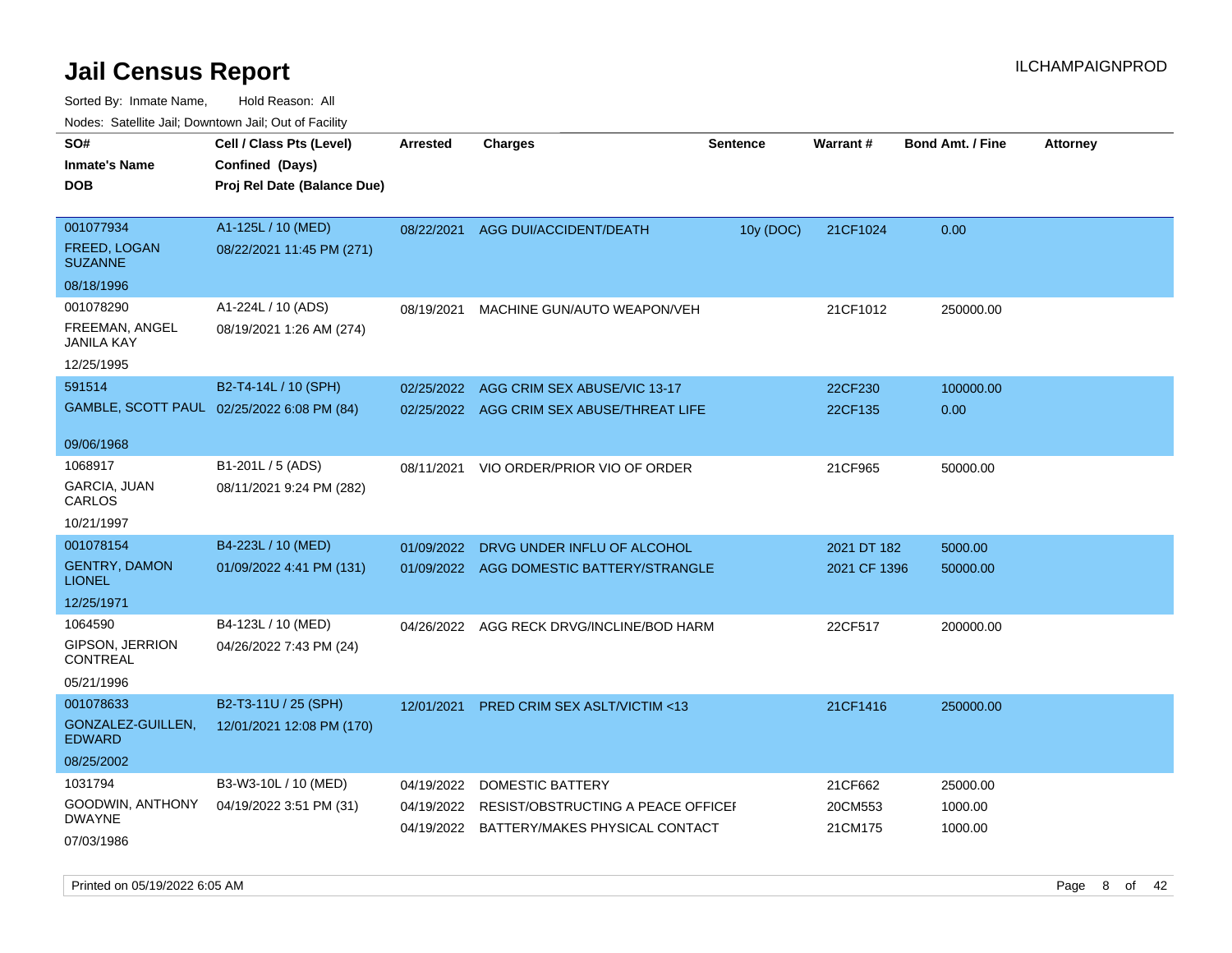Sorted By: Inmate Name, Hold Reason: All Nodes: Satellite Jail; Downtown Jail; Out of Facility

| Noues. Salenne Jan, Downtown Jan, Out of Facility |                                            |            |                                           |                 |                 |                         |                 |
|---------------------------------------------------|--------------------------------------------|------------|-------------------------------------------|-----------------|-----------------|-------------------------|-----------------|
| SO#                                               | Cell / Class Pts (Level)                   | Arrested   | <b>Charges</b>                            | <b>Sentence</b> | <b>Warrant#</b> | <b>Bond Amt. / Fine</b> | <b>Attorney</b> |
| <b>Inmate's Name</b>                              | Confined (Days)                            |            |                                           |                 |                 |                         |                 |
| <b>DOB</b>                                        | Proj Rel Date (Balance Due)                |            |                                           |                 |                 |                         |                 |
|                                                   |                                            |            |                                           |                 |                 |                         |                 |
| 001077934                                         | A1-125L / 10 (MED)                         | 08/22/2021 | AGG DUI/ACCIDENT/DEATH                    | 10y (DOC)       | 21CF1024        | 0.00                    |                 |
| <b>FREED, LOGAN</b><br><b>SUZANNE</b>             | 08/22/2021 11:45 PM (271)                  |            |                                           |                 |                 |                         |                 |
| 08/18/1996                                        |                                            |            |                                           |                 |                 |                         |                 |
| 001078290                                         | A1-224L / 10 (ADS)                         | 08/19/2021 | MACHINE GUN/AUTO WEAPON/VEH               |                 | 21CF1012        | 250000.00               |                 |
| FREEMAN, ANGEL<br>JANILA KAY                      | 08/19/2021 1:26 AM (274)                   |            |                                           |                 |                 |                         |                 |
| 12/25/1995                                        |                                            |            |                                           |                 |                 |                         |                 |
| 591514                                            | B2-T4-14L / 10 (SPH)                       | 02/25/2022 | AGG CRIM SEX ABUSE/VIC 13-17              |                 | 22CF230         | 100000.00               |                 |
|                                                   | GAMBLE, SCOTT PAUL 02/25/2022 6:08 PM (84) |            | 02/25/2022 AGG CRIM SEX ABUSE/THREAT LIFE |                 | 22CF135         | 0.00                    |                 |
|                                                   |                                            |            |                                           |                 |                 |                         |                 |
| 09/06/1968                                        |                                            |            |                                           |                 |                 |                         |                 |
| 1068917                                           | B1-201L / 5 (ADS)                          | 08/11/2021 | VIO ORDER/PRIOR VIO OF ORDER              |                 | 21CF965         | 50000.00                |                 |
| <b>GARCIA, JUAN</b><br>CARLOS                     | 08/11/2021 9:24 PM (282)                   |            |                                           |                 |                 |                         |                 |
| 10/21/1997                                        |                                            |            |                                           |                 |                 |                         |                 |
| 001078154                                         | B4-223L / 10 (MED)                         | 01/09/2022 | DRVG UNDER INFLU OF ALCOHOL               |                 | 2021 DT 182     | 5000.00                 |                 |
| <b>GENTRY, DAMON</b><br><b>LIONEL</b>             | 01/09/2022 4:41 PM (131)                   | 01/09/2022 | AGG DOMESTIC BATTERY/STRANGLE             |                 | 2021 CF 1396    | 50000.00                |                 |
| 12/25/1971                                        |                                            |            |                                           |                 |                 |                         |                 |
| 1064590                                           | B4-123L / 10 (MED)                         |            | 04/26/2022 AGG RECK DRVG/INCLINE/BOD HARM |                 | 22CF517         | 200000.00               |                 |
| <b>GIPSON, JERRION</b><br>CONTREAL                | 04/26/2022 7:43 PM (24)                    |            |                                           |                 |                 |                         |                 |
| 05/21/1996                                        |                                            |            |                                           |                 |                 |                         |                 |
| 001078633                                         | B2-T3-11U / 25 (SPH)                       | 12/01/2021 | <b>PRED CRIM SEX ASLT/VICTIM &lt;13</b>   |                 | 21CF1416        | 250000.00               |                 |
| GONZALEZ-GUILLEN,<br><b>EDWARD</b>                | 12/01/2021 12:08 PM (170)                  |            |                                           |                 |                 |                         |                 |
| 08/25/2002                                        |                                            |            |                                           |                 |                 |                         |                 |
| 1031794                                           | B3-W3-10L / 10 (MED)                       | 04/19/2022 | DOMESTIC BATTERY                          |                 | 21CF662         | 25000.00                |                 |
| GOODWIN, ANTHONY                                  | 04/19/2022 3:51 PM (31)                    | 04/19/2022 | RESIST/OBSTRUCTING A PEACE OFFICER        |                 | 20CM553         | 1000.00                 |                 |
| <b>DWAYNE</b>                                     |                                            | 04/19/2022 | BATTERY/MAKES PHYSICAL CONTACT            |                 | 21CM175         | 1000.00                 |                 |
| 07/03/1986                                        |                                            |            |                                           |                 |                 |                         |                 |

Printed on 05/19/2022 6:05 AM **Page 8** of 42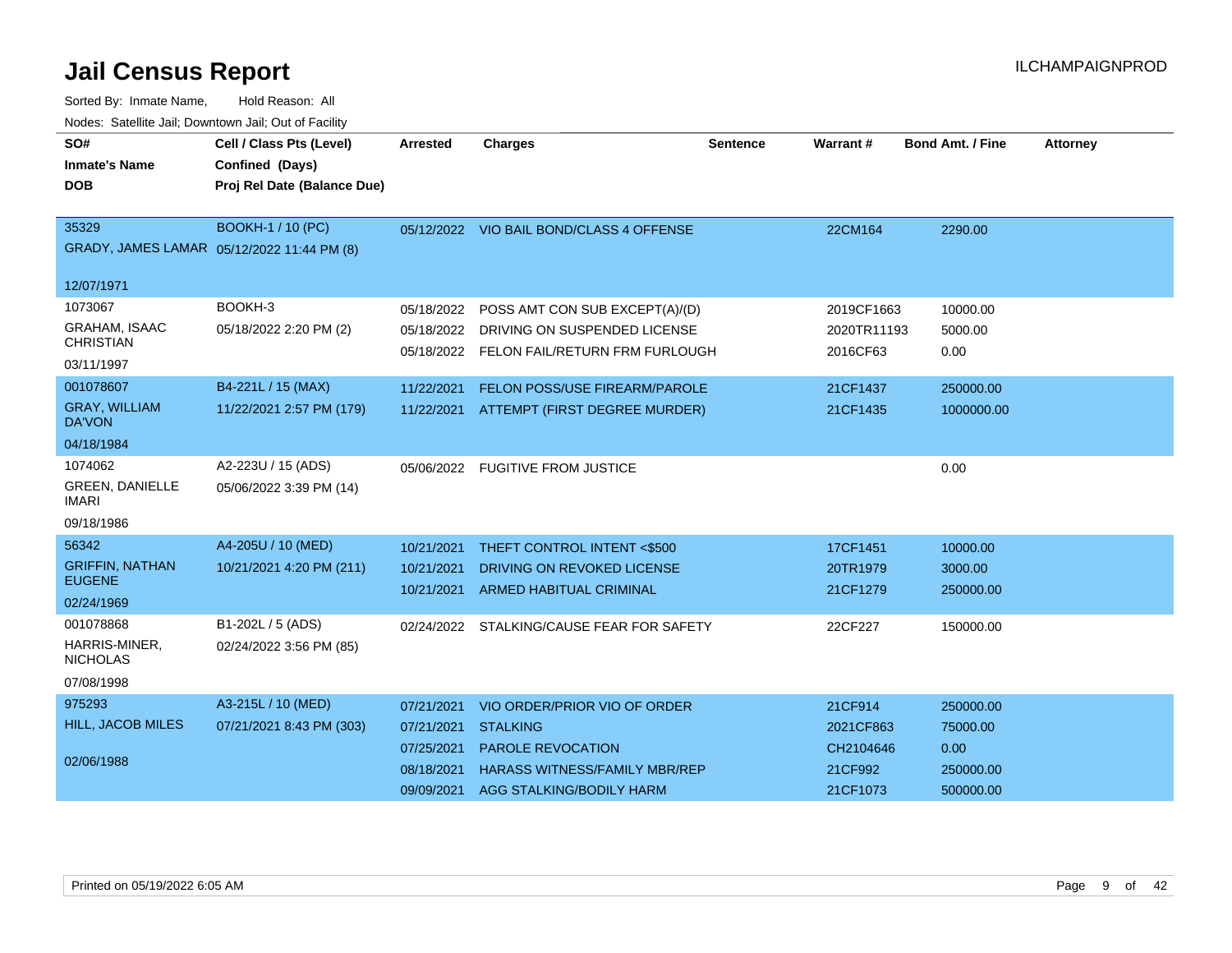| SO#                                    | Cell / Class Pts (Level)                   | Arrested   | <b>Charges</b>                            | <b>Sentence</b> | Warrant#    | <b>Bond Amt. / Fine</b> | <b>Attorney</b> |
|----------------------------------------|--------------------------------------------|------------|-------------------------------------------|-----------------|-------------|-------------------------|-----------------|
| <b>Inmate's Name</b>                   | Confined (Days)                            |            |                                           |                 |             |                         |                 |
| <b>DOB</b>                             | Proj Rel Date (Balance Due)                |            |                                           |                 |             |                         |                 |
|                                        |                                            |            |                                           |                 |             |                         |                 |
| 35329                                  | BOOKH-1 / 10 (PC)                          |            | 05/12/2022 VIO BAIL BOND/CLASS 4 OFFENSE  |                 | 22CM164     | 2290.00                 |                 |
|                                        | GRADY, JAMES LAMAR 05/12/2022 11:44 PM (8) |            |                                           |                 |             |                         |                 |
| 12/07/1971                             |                                            |            |                                           |                 |             |                         |                 |
| 1073067                                | BOOKH-3                                    | 05/18/2022 | POSS AMT CON SUB EXCEPT(A)/(D)            |                 | 2019CF1663  | 10000.00                |                 |
| <b>GRAHAM, ISAAC</b>                   | 05/18/2022 2:20 PM (2)                     | 05/18/2022 | DRIVING ON SUSPENDED LICENSE              |                 | 2020TR11193 | 5000.00                 |                 |
| <b>CHRISTIAN</b>                       |                                            |            | 05/18/2022 FELON FAIL/RETURN FRM FURLOUGH |                 | 2016CF63    | 0.00                    |                 |
| 03/11/1997                             |                                            |            |                                           |                 |             |                         |                 |
| 001078607                              | B4-221L / 15 (MAX)                         | 11/22/2021 | FELON POSS/USE FIREARM/PAROLE             |                 | 21CF1437    | 250000.00               |                 |
| <b>GRAY, WILLIAM</b><br><b>DA'VON</b>  | 11/22/2021 2:57 PM (179)                   | 11/22/2021 | ATTEMPT (FIRST DEGREE MURDER)             |                 | 21CF1435    | 1000000.00              |                 |
| 04/18/1984                             |                                            |            |                                           |                 |             |                         |                 |
| 1074062                                | A2-223U / 15 (ADS)                         |            | 05/06/2022 FUGITIVE FROM JUSTICE          |                 |             | 0.00                    |                 |
| <b>GREEN, DANIELLE</b><br><b>IMARI</b> | 05/06/2022 3:39 PM (14)                    |            |                                           |                 |             |                         |                 |
| 09/18/1986                             |                                            |            |                                           |                 |             |                         |                 |
| 56342                                  | A4-205U / 10 (MED)                         | 10/21/2021 | THEFT CONTROL INTENT <\$500               |                 | 17CF1451    | 10000.00                |                 |
| <b>GRIFFIN, NATHAN</b>                 | 10/21/2021 4:20 PM (211)                   | 10/21/2021 | DRIVING ON REVOKED LICENSE                |                 | 20TR1979    | 3000.00                 |                 |
| <b>EUGENE</b>                          |                                            | 10/21/2021 | <b>ARMED HABITUAL CRIMINAL</b>            |                 | 21CF1279    | 250000.00               |                 |
| 02/24/1969                             |                                            |            |                                           |                 |             |                         |                 |
| 001078868                              | B1-202L / 5 (ADS)                          |            | 02/24/2022 STALKING/CAUSE FEAR FOR SAFETY |                 | 22CF227     | 150000.00               |                 |
| HARRIS-MINER,<br><b>NICHOLAS</b>       | 02/24/2022 3:56 PM (85)                    |            |                                           |                 |             |                         |                 |
| 07/08/1998                             |                                            |            |                                           |                 |             |                         |                 |
| 975293                                 | A3-215L / 10 (MED)                         | 07/21/2021 | VIO ORDER/PRIOR VIO OF ORDER              |                 | 21CF914     | 250000.00               |                 |
| <b>HILL, JACOB MILES</b>               | 07/21/2021 8:43 PM (303)                   | 07/21/2021 | <b>STALKING</b>                           |                 | 2021CF863   | 75000.00                |                 |
|                                        |                                            | 07/25/2021 | PAROLE REVOCATION                         |                 | CH2104646   | 0.00                    |                 |
| 02/06/1988                             |                                            | 08/18/2021 | <b>HARASS WITNESS/FAMILY MBR/REP</b>      |                 | 21CF992     | 250000.00               |                 |
|                                        |                                            | 09/09/2021 | AGG STALKING/BODILY HARM                  |                 | 21CF1073    | 500000.00               |                 |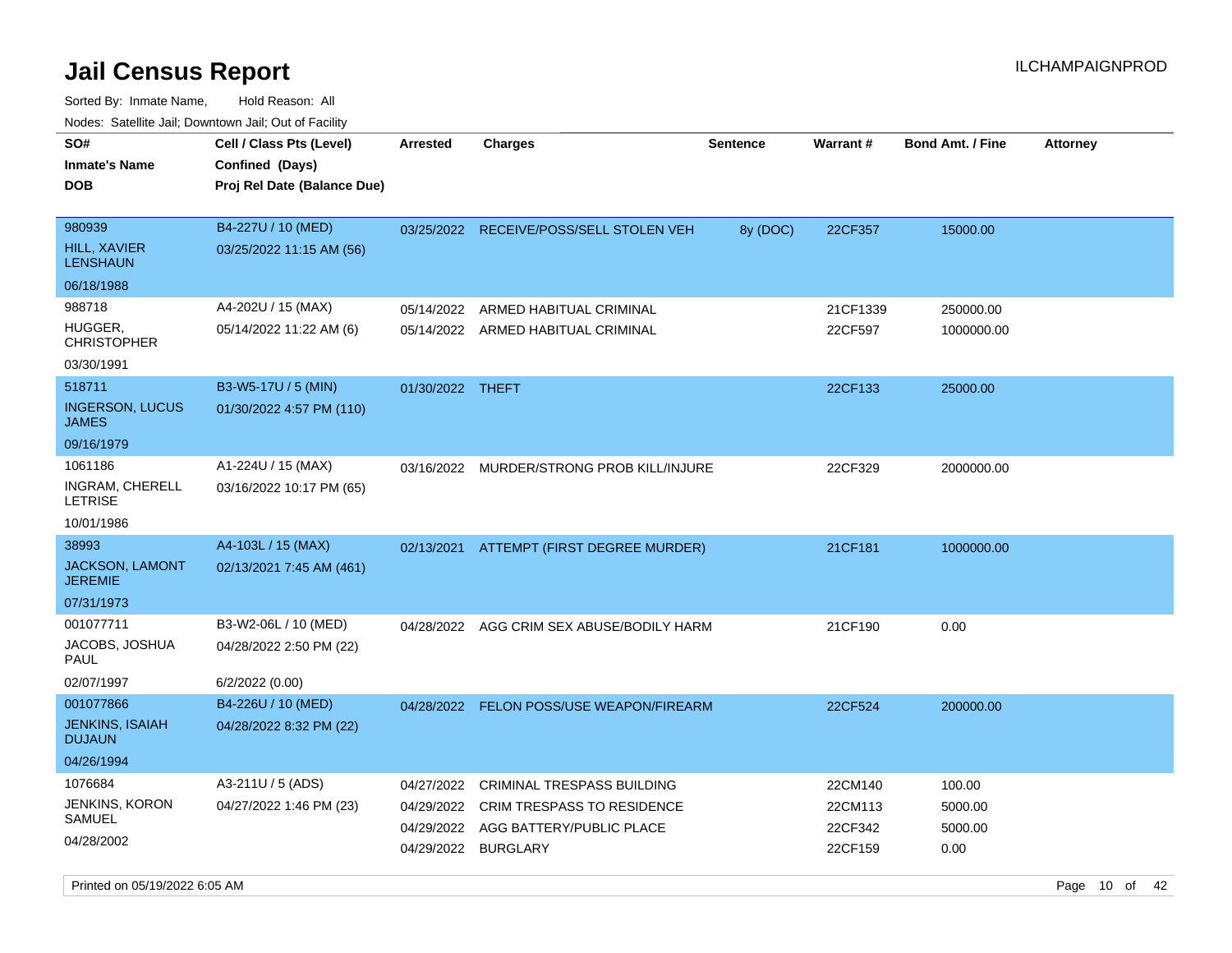Sorted By: Inmate Name, Hold Reason: All Nodes: Satellite Jail; Downtown Jail; Out of Facility

| noaco. Catomto can, Domntonn can, Cat or I domt<br>SO# | Cell / Class Pts (Level)                       | <b>Arrested</b>  | Charges                                   | <b>Sentence</b> | <b>Warrant#</b> | <b>Bond Amt. / Fine</b> | <b>Attorney</b> |
|--------------------------------------------------------|------------------------------------------------|------------------|-------------------------------------------|-----------------|-----------------|-------------------------|-----------------|
| <b>Inmate's Name</b>                                   | Confined (Days)                                |                  |                                           |                 |                 |                         |                 |
| <b>DOB</b>                                             | Proj Rel Date (Balance Due)                    |                  |                                           |                 |                 |                         |                 |
|                                                        |                                                |                  |                                           |                 |                 |                         |                 |
| 980939<br>HILL, XAVIER<br><b>LENSHAUN</b>              | B4-227U / 10 (MED)<br>03/25/2022 11:15 AM (56) |                  | 03/25/2022 RECEIVE/POSS/SELL STOLEN VEH   | 8y (DOC)        | 22CF357         | 15000.00                |                 |
| 06/18/1988                                             |                                                |                  |                                           |                 |                 |                         |                 |
| 988718                                                 | A4-202U / 15 (MAX)                             | 05/14/2022       | ARMED HABITUAL CRIMINAL                   |                 | 21CF1339        | 250000.00               |                 |
| HUGGER,<br><b>CHRISTOPHER</b>                          | 05/14/2022 11:22 AM (6)                        |                  | 05/14/2022 ARMED HABITUAL CRIMINAL        |                 | 22CF597         | 1000000.00              |                 |
| 03/30/1991                                             |                                                |                  |                                           |                 |                 |                         |                 |
| 518711                                                 | B3-W5-17U / 5 (MIN)                            | 01/30/2022 THEFT |                                           |                 | 22CF133         | 25000.00                |                 |
| <b>INGERSON, LUCUS</b><br><b>JAMES</b>                 | 01/30/2022 4:57 PM (110)                       |                  |                                           |                 |                 |                         |                 |
| 09/16/1979                                             |                                                |                  |                                           |                 |                 |                         |                 |
| 1061186                                                | A1-224U / 15 (MAX)                             |                  | 03/16/2022 MURDER/STRONG PROB KILL/INJURE |                 | 22CF329         | 2000000.00              |                 |
| INGRAM, CHERELL<br>LETRISE                             | 03/16/2022 10:17 PM (65)                       |                  |                                           |                 |                 |                         |                 |
| 10/01/1986                                             |                                                |                  |                                           |                 |                 |                         |                 |
| 38993                                                  | A4-103L / 15 (MAX)                             |                  | 02/13/2021 ATTEMPT (FIRST DEGREE MURDER)  |                 | 21CF181         | 1000000.00              |                 |
| <b>JACKSON, LAMONT</b><br><b>JEREMIE</b>               | 02/13/2021 7:45 AM (461)                       |                  |                                           |                 |                 |                         |                 |
| 07/31/1973                                             |                                                |                  |                                           |                 |                 |                         |                 |
| 001077711                                              | B3-W2-06L / 10 (MED)                           |                  | 04/28/2022 AGG CRIM SEX ABUSE/BODILY HARM |                 | 21CF190         | 0.00                    |                 |
| JACOBS, JOSHUA<br>PAUL                                 | 04/28/2022 2:50 PM (22)                        |                  |                                           |                 |                 |                         |                 |
| 02/07/1997                                             | 6/2/2022 (0.00)                                |                  |                                           |                 |                 |                         |                 |
| 001077866                                              | B4-226U / 10 (MED)                             |                  | 04/28/2022 FELON POSS/USE WEAPON/FIREARM  |                 | 22CF524         | 200000.00               |                 |
| <b>JENKINS, ISAIAH</b><br><b>DUJAUN</b>                | 04/28/2022 8:32 PM (22)                        |                  |                                           |                 |                 |                         |                 |
| 04/26/1994                                             |                                                |                  |                                           |                 |                 |                         |                 |
| 1076684                                                | A3-211U / 5 (ADS)                              | 04/27/2022       | <b>CRIMINAL TRESPASS BUILDING</b>         |                 | 22CM140         | 100.00                  |                 |
| JENKINS, KORON                                         | 04/27/2022 1:46 PM (23)                        | 04/29/2022       | <b>CRIM TRESPASS TO RESIDENCE</b>         |                 | 22CM113         | 5000.00                 |                 |
| SAMUEL                                                 |                                                | 04/29/2022       | AGG BATTERY/PUBLIC PLACE                  |                 | 22CF342         | 5000.00                 |                 |
| 04/28/2002                                             |                                                | 04/29/2022       | <b>BURGLARY</b>                           |                 | 22CF159         | 0.00                    |                 |

Printed on 05/19/2022 6:05 AM Page 10 of 42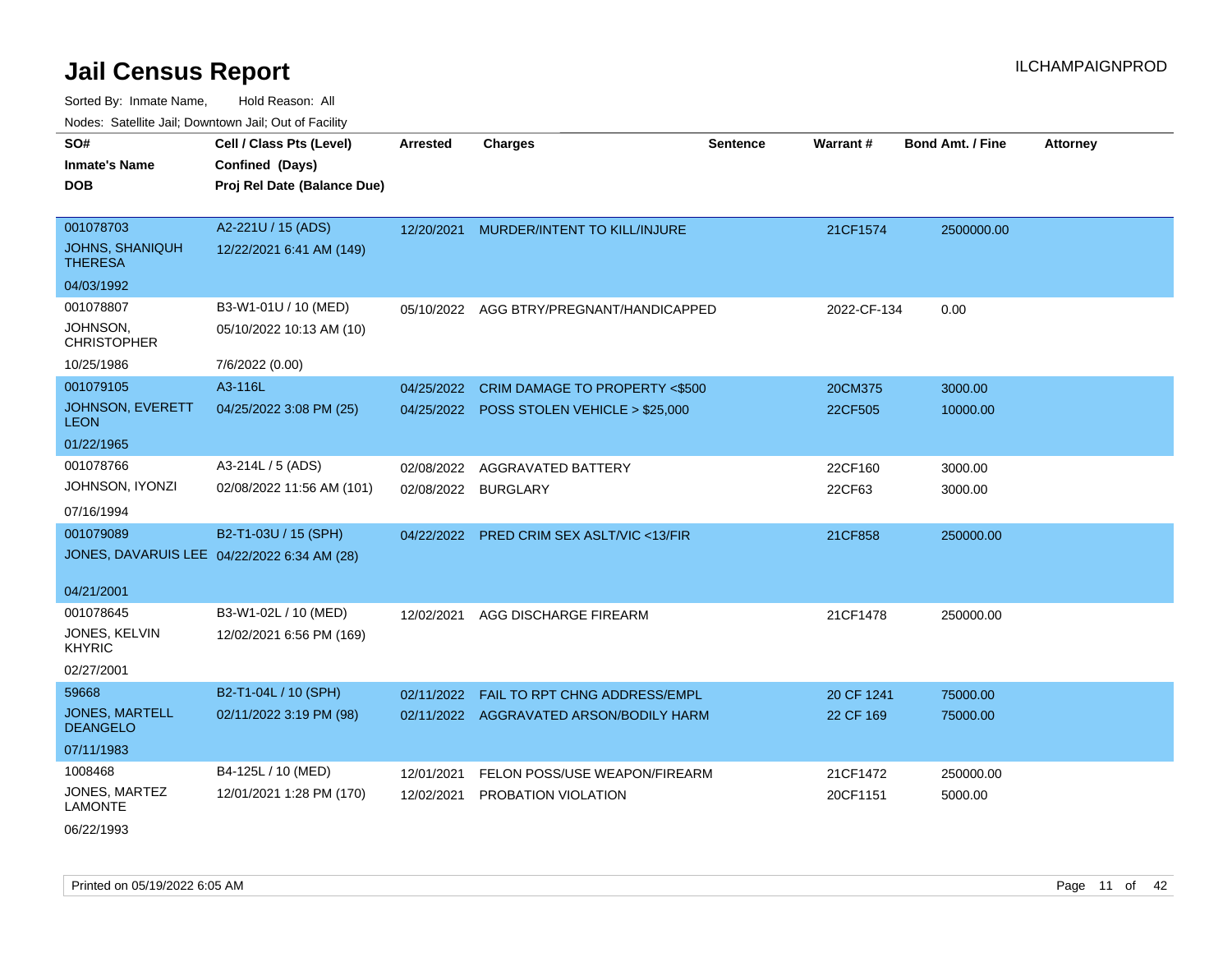| SO#                                      | Cell / Class Pts (Level)                    | <b>Arrested</b> | <b>Charges</b>                            | <b>Sentence</b> | Warrant#    | <b>Bond Amt. / Fine</b> | <b>Attorney</b> |
|------------------------------------------|---------------------------------------------|-----------------|-------------------------------------------|-----------------|-------------|-------------------------|-----------------|
| <b>Inmate's Name</b>                     | Confined (Days)                             |                 |                                           |                 |             |                         |                 |
| <b>DOB</b>                               | Proj Rel Date (Balance Due)                 |                 |                                           |                 |             |                         |                 |
|                                          |                                             |                 |                                           |                 |             |                         |                 |
| 001078703                                | A2-221U / 15 (ADS)                          | 12/20/2021      | MURDER/INTENT TO KILL/INJURE              |                 | 21CF1574    | 2500000.00              |                 |
| <b>JOHNS, SHANIQUH</b><br><b>THERESA</b> | 12/22/2021 6:41 AM (149)                    |                 |                                           |                 |             |                         |                 |
| 04/03/1992                               |                                             |                 |                                           |                 |             |                         |                 |
| 001078807                                | B3-W1-01U / 10 (MED)                        |                 | 05/10/2022 AGG BTRY/PREGNANT/HANDICAPPED  |                 | 2022-CF-134 | 0.00                    |                 |
| JOHNSON,<br><b>CHRISTOPHER</b>           | 05/10/2022 10:13 AM (10)                    |                 |                                           |                 |             |                         |                 |
| 10/25/1986                               | 7/6/2022 (0.00)                             |                 |                                           |                 |             |                         |                 |
| 001079105                                | A3-116L                                     | 04/25/2022      | CRIM DAMAGE TO PROPERTY <\$500            |                 | 20CM375     | 3000.00                 |                 |
| <b>JOHNSON, EVERETT</b><br><b>LEON</b>   | 04/25/2022 3:08 PM (25)                     |                 | 04/25/2022 POSS STOLEN VEHICLE > \$25,000 |                 | 22CF505     | 10000.00                |                 |
| 01/22/1965                               |                                             |                 |                                           |                 |             |                         |                 |
| 001078766                                | A3-214L / 5 (ADS)                           | 02/08/2022      | AGGRAVATED BATTERY                        |                 | 22CF160     | 3000.00                 |                 |
| JOHNSON, IYONZI                          | 02/08/2022 11:56 AM (101)                   |                 | 02/08/2022 BURGLARY                       |                 | 22CF63      | 3000.00                 |                 |
| 07/16/1994                               |                                             |                 |                                           |                 |             |                         |                 |
| 001079089                                | B2-T1-03U / 15 (SPH)                        | 04/22/2022      | PRED CRIM SEX ASLT/VIC <13/FIR            |                 | 21CF858     | 250000.00               |                 |
|                                          | JONES, DAVARUIS LEE 04/22/2022 6:34 AM (28) |                 |                                           |                 |             |                         |                 |
| 04/21/2001                               |                                             |                 |                                           |                 |             |                         |                 |
| 001078645                                | B3-W1-02L / 10 (MED)                        | 12/02/2021      | AGG DISCHARGE FIREARM                     |                 | 21CF1478    | 250000.00               |                 |
| JONES, KELVIN<br><b>KHYRIC</b>           | 12/02/2021 6:56 PM (169)                    |                 |                                           |                 |             |                         |                 |
| 02/27/2001                               |                                             |                 |                                           |                 |             |                         |                 |
| 59668                                    | B2-T1-04L / 10 (SPH)                        | 02/11/2022      | FAIL TO RPT CHNG ADDRESS/EMPL             |                 | 20 CF 1241  | 75000.00                |                 |
| <b>JONES, MARTELL</b><br><b>DEANGELO</b> | 02/11/2022 3:19 PM (98)                     |                 | 02/11/2022 AGGRAVATED ARSON/BODILY HARM   |                 | 22 CF 169   | 75000.00                |                 |
| 07/11/1983                               |                                             |                 |                                           |                 |             |                         |                 |
| 1008468                                  | B4-125L / 10 (MED)                          | 12/01/2021      | FELON POSS/USE WEAPON/FIREARM             |                 | 21CF1472    | 250000.00               |                 |
| JONES, MARTEZ<br><b>LAMONTE</b>          | 12/01/2021 1:28 PM (170)                    | 12/02/2021      | PROBATION VIOLATION                       |                 | 20CF1151    | 5000.00                 |                 |
| 06/22/1993                               |                                             |                 |                                           |                 |             |                         |                 |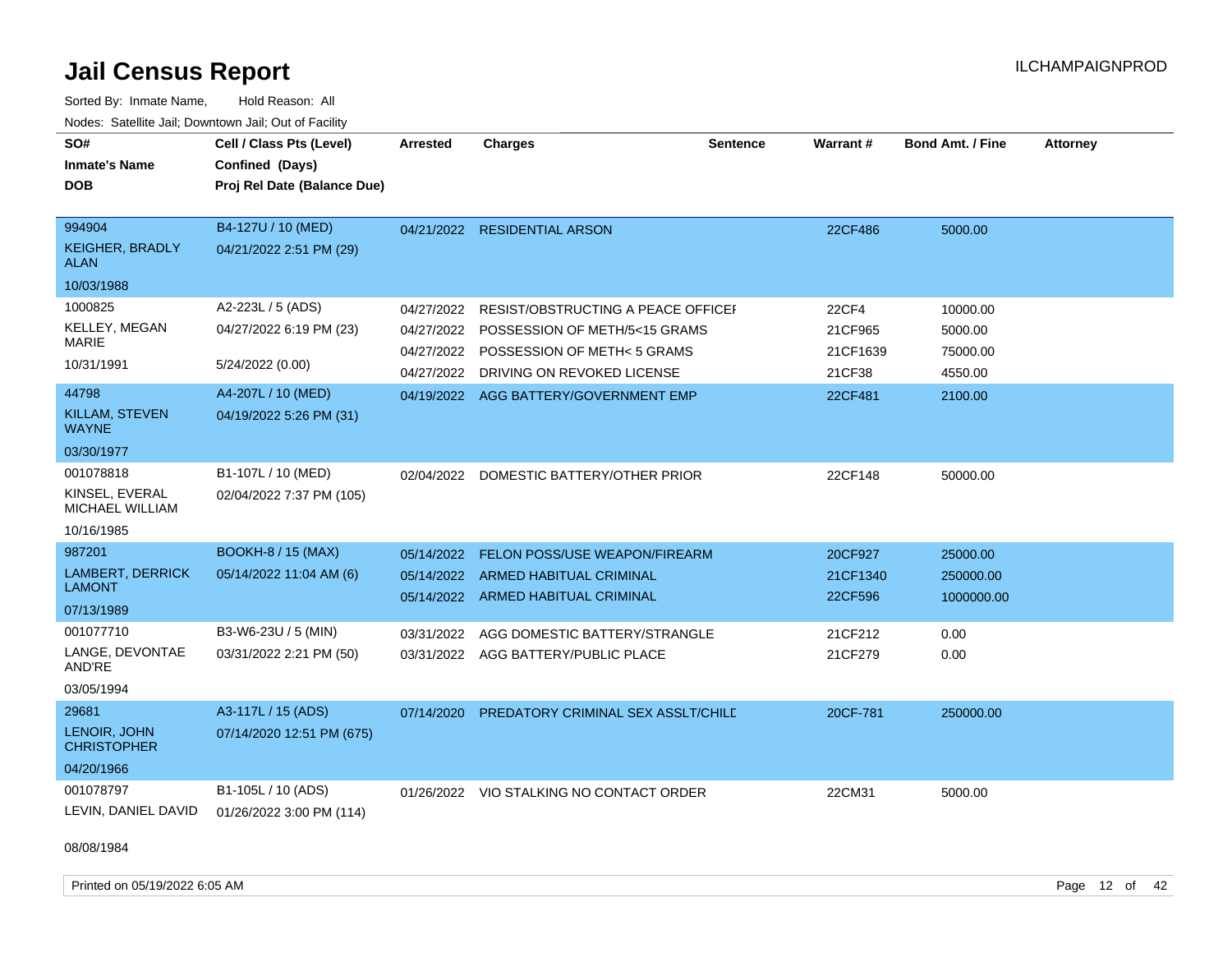Sorted By: Inmate Name, Hold Reason: All Nodes: Satellite Jail; Downtown Jail; Out of Facility

| SO#<br><b>Inmate's Name</b><br><b>DOB</b> | Cell / Class Pts (Level)<br>Confined (Days)<br>Proj Rel Date (Balance Due) | <b>Arrested</b> | <b>Charges</b>                           | <b>Sentence</b> | <b>Warrant#</b> | <b>Bond Amt. / Fine</b> | <b>Attorney</b> |
|-------------------------------------------|----------------------------------------------------------------------------|-----------------|------------------------------------------|-----------------|-----------------|-------------------------|-----------------|
|                                           |                                                                            |                 |                                          |                 |                 |                         |                 |
| 994904                                    | B4-127U / 10 (MED)                                                         | 04/21/2022      | <b>RESIDENTIAL ARSON</b>                 |                 | 22CF486         | 5000.00                 |                 |
| <b>KEIGHER, BRADLY</b><br><b>ALAN</b>     | 04/21/2022 2:51 PM (29)                                                    |                 |                                          |                 |                 |                         |                 |
| 10/03/1988                                |                                                                            |                 |                                          |                 |                 |                         |                 |
| 1000825                                   | A2-223L / 5 (ADS)                                                          | 04/27/2022      | RESIST/OBSTRUCTING A PEACE OFFICEL       |                 | <b>22CF4</b>    | 10000.00                |                 |
| <b>KELLEY, MEGAN</b>                      | 04/27/2022 6:19 PM (23)                                                    | 04/27/2022      | POSSESSION OF METH/5<15 GRAMS            |                 | 21CF965         | 5000.00                 |                 |
| <b>MARIE</b>                              |                                                                            | 04/27/2022      | POSSESSION OF METH<5 GRAMS               |                 | 21CF1639        | 75000.00                |                 |
| 10/31/1991                                | 5/24/2022 (0.00)                                                           | 04/27/2022      | DRIVING ON REVOKED LICENSE               |                 | 21CF38          | 4550.00                 |                 |
| 44798                                     | A4-207L / 10 (MED)                                                         |                 | 04/19/2022 AGG BATTERY/GOVERNMENT EMP    |                 | 22CF481         | 2100.00                 |                 |
| <b>KILLAM, STEVEN</b><br><b>WAYNE</b>     | 04/19/2022 5:26 PM (31)                                                    |                 |                                          |                 |                 |                         |                 |
| 03/30/1977                                |                                                                            |                 |                                          |                 |                 |                         |                 |
| 001078818                                 | B1-107L / 10 (MED)                                                         |                 | 02/04/2022 DOMESTIC BATTERY/OTHER PRIOR  |                 | 22CF148         | 50000.00                |                 |
| KINSEL, EVERAL<br>MICHAEL WILLIAM         | 02/04/2022 7:37 PM (105)                                                   |                 |                                          |                 |                 |                         |                 |
| 10/16/1985                                |                                                                            |                 |                                          |                 |                 |                         |                 |
| 987201                                    | <b>BOOKH-8 / 15 (MAX)</b>                                                  | 05/14/2022      | <b>FELON POSS/USE WEAPON/FIREARM</b>     |                 | 20CF927         | 25000.00                |                 |
| <b>LAMBERT, DERRICK</b>                   | 05/14/2022 11:04 AM (6)                                                    | 05/14/2022      | ARMED HABITUAL CRIMINAL                  |                 | 21CF1340        | 250000.00               |                 |
| <b>LAMONT</b>                             |                                                                            |                 | 05/14/2022 ARMED HABITUAL CRIMINAL       |                 | 22CF596         | 1000000.00              |                 |
| 07/13/1989                                |                                                                            |                 |                                          |                 |                 |                         |                 |
| 001077710                                 | B3-W6-23U / 5 (MIN)                                                        | 03/31/2022      | AGG DOMESTIC BATTERY/STRANGLE            |                 | 21CF212         | 0.00                    |                 |
| LANGE, DEVONTAE<br>AND'RE                 | 03/31/2022 2:21 PM (50)                                                    |                 | 03/31/2022 AGG BATTERY/PUBLIC PLACE      |                 | 21CF279         | 0.00                    |                 |
| 03/05/1994                                |                                                                            |                 |                                          |                 |                 |                         |                 |
| 29681                                     | A3-117L / 15 (ADS)                                                         | 07/14/2020      | PREDATORY CRIMINAL SEX ASSLT/CHILD       |                 | 20CF-781        | 250000.00               |                 |
| LENOIR, JOHN<br><b>CHRISTOPHER</b>        | 07/14/2020 12:51 PM (675)                                                  |                 |                                          |                 |                 |                         |                 |
| 04/20/1966                                |                                                                            |                 |                                          |                 |                 |                         |                 |
| 001078797                                 | B1-105L / 10 (ADS)                                                         |                 | 01/26/2022 VIO STALKING NO CONTACT ORDER |                 | 22CM31          | 5000.00                 |                 |
| LEVIN, DANIEL DAVID                       | 01/26/2022 3:00 PM (114)                                                   |                 |                                          |                 |                 |                         |                 |

08/08/1984

Printed on 05/19/2022 6:05 AM Page 12 of 42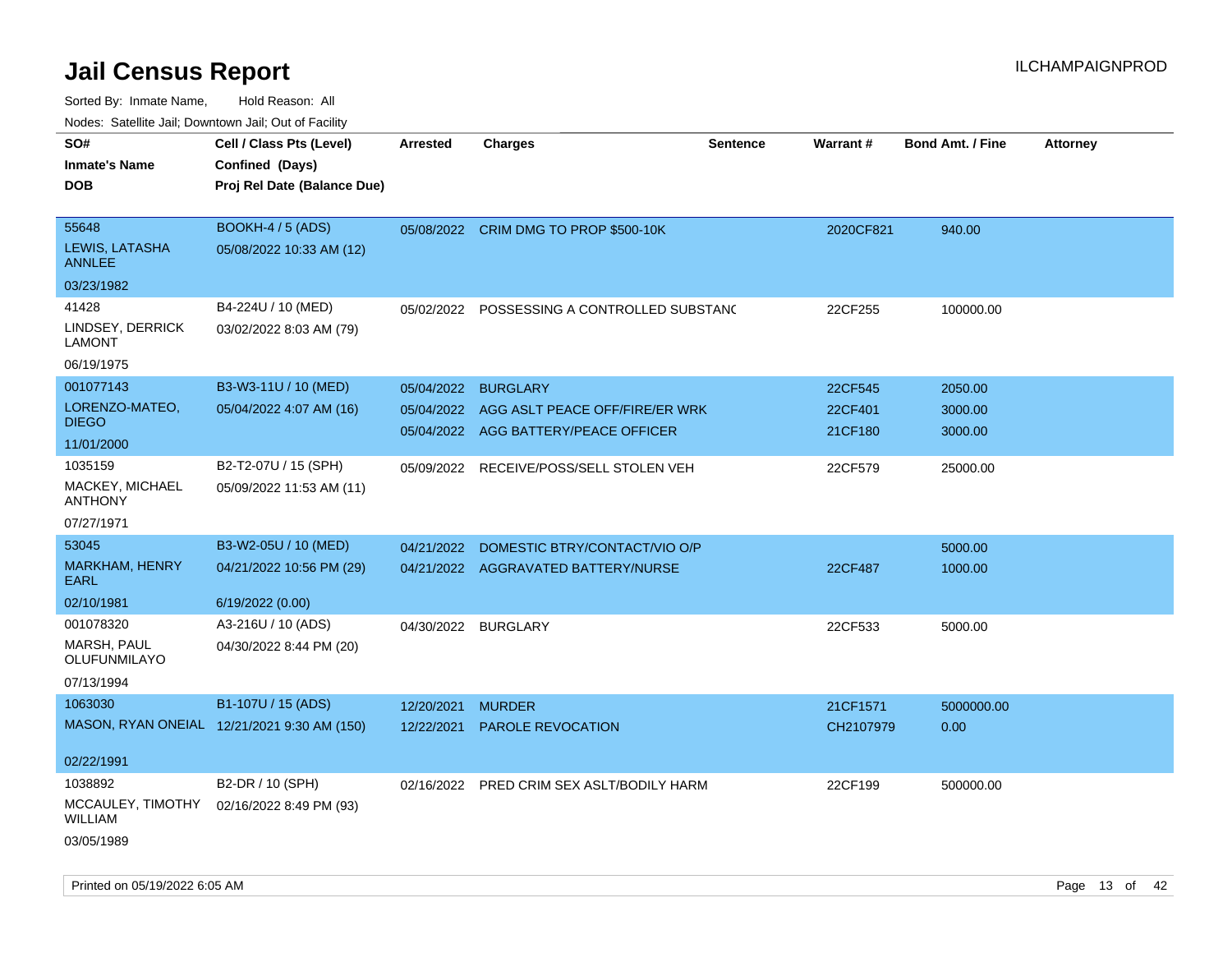| ivouss. Satellite Jali, Downtown Jali, Out of Facility |                                             |                 |                                         |                 |                 |                         |                 |
|--------------------------------------------------------|---------------------------------------------|-----------------|-----------------------------------------|-----------------|-----------------|-------------------------|-----------------|
| SO#                                                    | Cell / Class Pts (Level)                    | <b>Arrested</b> | <b>Charges</b>                          | <b>Sentence</b> | <b>Warrant#</b> | <b>Bond Amt. / Fine</b> | <b>Attorney</b> |
| Inmate's Name                                          | Confined (Days)                             |                 |                                         |                 |                 |                         |                 |
| DOB                                                    | Proj Rel Date (Balance Due)                 |                 |                                         |                 |                 |                         |                 |
|                                                        |                                             |                 |                                         |                 |                 |                         |                 |
| 55648                                                  | <b>BOOKH-4 / 5 (ADS)</b>                    |                 | 05/08/2022 CRIM DMG TO PROP \$500-10K   |                 | 2020CF821       | 940.00                  |                 |
| LEWIS, LATASHA<br>ANNLEE                               | 05/08/2022 10:33 AM (12)                    |                 |                                         |                 |                 |                         |                 |
| 03/23/1982                                             |                                             |                 |                                         |                 |                 |                         |                 |
| 41428                                                  | B4-224U / 10 (MED)                          | 05/02/2022      | POSSESSING A CONTROLLED SUBSTAND        |                 | 22CF255         | 100000.00               |                 |
| LINDSEY, DERRICK<br>LAMONT                             | 03/02/2022 8:03 AM (79)                     |                 |                                         |                 |                 |                         |                 |
| 06/19/1975                                             |                                             |                 |                                         |                 |                 |                         |                 |
| 001077143                                              | B3-W3-11U / 10 (MED)                        | 05/04/2022      | <b>BURGLARY</b>                         |                 | 22CF545         | 2050.00                 |                 |
| LORENZO-MATEO,                                         | 05/04/2022 4:07 AM (16)                     | 05/04/2022      | AGG ASLT PEACE OFF/FIRE/ER WRK          |                 | 22CF401         | 3000.00                 |                 |
| <b>DIEGO</b>                                           |                                             |                 | 05/04/2022 AGG BATTERY/PEACE OFFICER    |                 | 21CF180         | 3000.00                 |                 |
| 11/01/2000                                             |                                             |                 |                                         |                 |                 |                         |                 |
| 1035159                                                | B2-T2-07U / 15 (SPH)                        |                 | 05/09/2022 RECEIVE/POSS/SELL STOLEN VEH |                 | 22CF579         | 25000.00                |                 |
| MACKEY, MICHAEL<br>ANTHONY                             | 05/09/2022 11:53 AM (11)                    |                 |                                         |                 |                 |                         |                 |
| 07/27/1971                                             |                                             |                 |                                         |                 |                 |                         |                 |
| 53045                                                  | B3-W2-05U / 10 (MED)                        | 04/21/2022      | DOMESTIC BTRY/CONTACT/VIO O/P           |                 |                 | 5000.00                 |                 |
| MARKHAM, HENRY<br>EARL                                 | 04/21/2022 10:56 PM (29)                    |                 | 04/21/2022 AGGRAVATED BATTERY/NURSE     |                 | 22CF487         | 1000.00                 |                 |
| 02/10/1981                                             | 6/19/2022 (0.00)                            |                 |                                         |                 |                 |                         |                 |
| 001078320                                              | A3-216U / 10 (ADS)                          |                 | 04/30/2022 BURGLARY                     |                 | 22CF533         | 5000.00                 |                 |
| MARSH, PAUL<br>OLUFUNMILAYO                            | 04/30/2022 8:44 PM (20)                     |                 |                                         |                 |                 |                         |                 |
| 07/13/1994                                             |                                             |                 |                                         |                 |                 |                         |                 |
| 1063030                                                | B1-107U / 15 (ADS)                          | 12/20/2021      | <b>MURDER</b>                           |                 | 21CF1571        | 5000000.00              |                 |
|                                                        | MASON, RYAN ONEIAL 12/21/2021 9:30 AM (150) | 12/22/2021      | <b>PAROLE REVOCATION</b>                |                 | CH2107979       | 0.00                    |                 |
| 02/22/1991                                             |                                             |                 |                                         |                 |                 |                         |                 |
| 1038892                                                | B2-DR / 10 (SPH)                            | 02/16/2022      | PRED CRIM SEX ASLT/BODILY HARM          |                 | 22CF199         | 500000.00               |                 |
| WILLIAM                                                | MCCAULEY, TIMOTHY 02/16/2022 8:49 PM (93)   |                 |                                         |                 |                 |                         |                 |
| 03/05/1989                                             |                                             |                 |                                         |                 |                 |                         |                 |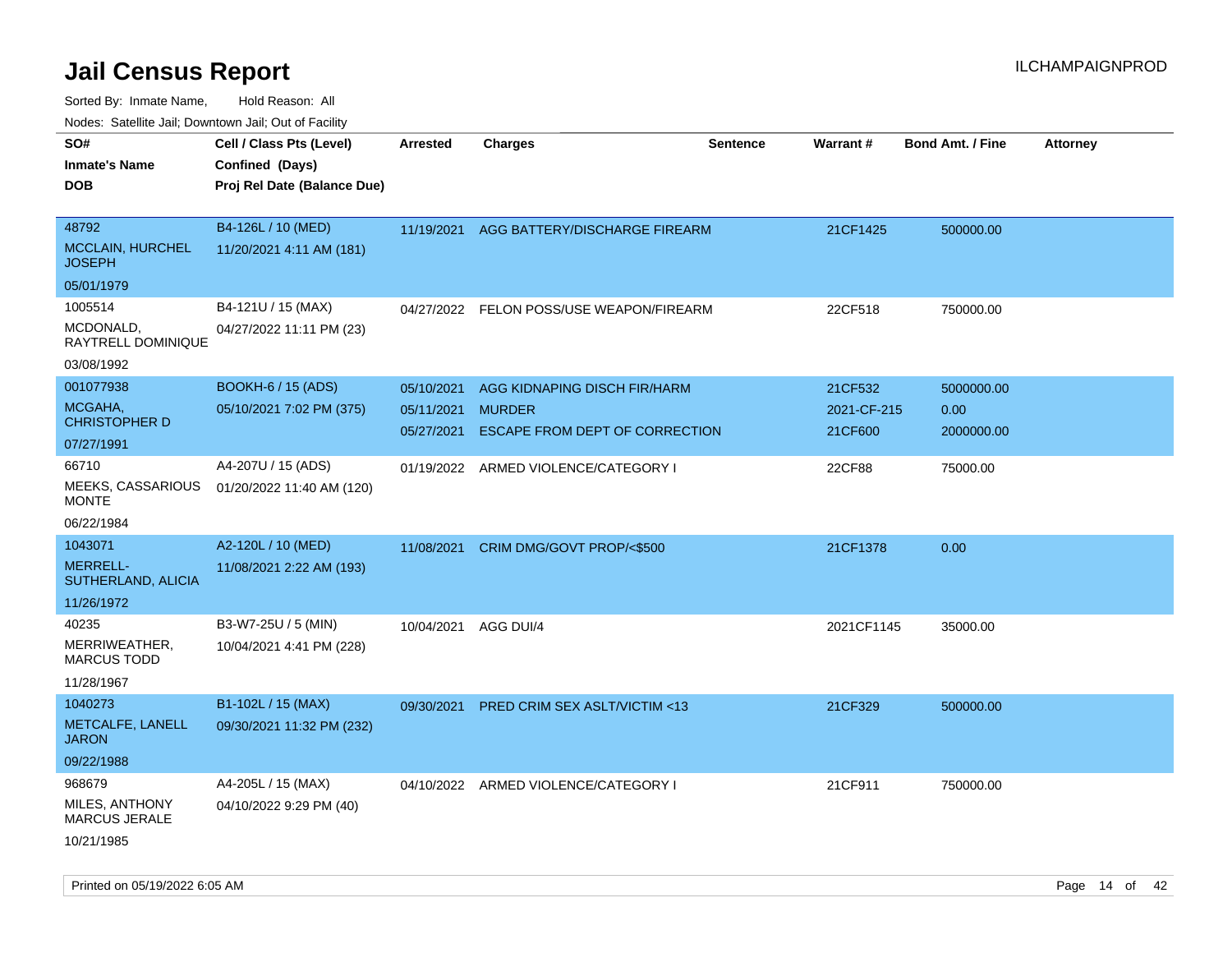Sorted By: Inmate Name, Hold Reason: All

| Nodes: Satellite Jail; Downtown Jail; Out of Facility |  |  |
|-------------------------------------------------------|--|--|
|                                                       |  |  |

| SO#<br><b>Inmate's Name</b>                  | Cell / Class Pts (Level)<br>Confined (Days)           | <b>Arrested</b>                        | <b>Charges</b>                                                                  | <b>Sentence</b> | Warrant#                          | <b>Bond Amt. / Fine</b>          | <b>Attorney</b> |
|----------------------------------------------|-------------------------------------------------------|----------------------------------------|---------------------------------------------------------------------------------|-----------------|-----------------------------------|----------------------------------|-----------------|
| <b>DOB</b>                                   | Proj Rel Date (Balance Due)                           |                                        |                                                                                 |                 |                                   |                                  |                 |
| 48792<br>MCCLAIN, HURCHEL<br><b>JOSEPH</b>   | B4-126L / 10 (MED)<br>11/20/2021 4:11 AM (181)        | 11/19/2021                             | AGG BATTERY/DISCHARGE FIREARM                                                   |                 | 21CF1425                          | 500000.00                        |                 |
| 05/01/1979                                   |                                                       |                                        |                                                                                 |                 |                                   |                                  |                 |
| 1005514<br>MCDONALD,<br>RAYTRELL DOMINIQUE   | B4-121U / 15 (MAX)<br>04/27/2022 11:11 PM (23)        | 04/27/2022                             | FELON POSS/USE WEAPON/FIREARM                                                   |                 | 22CF518                           | 750000.00                        |                 |
| 03/08/1992                                   |                                                       |                                        |                                                                                 |                 |                                   |                                  |                 |
| 001077938<br>MCGAHA.<br><b>CHRISTOPHER D</b> | <b>BOOKH-6 / 15 (ADS)</b><br>05/10/2021 7:02 PM (375) | 05/10/2021<br>05/11/2021<br>05/27/2021 | AGG KIDNAPING DISCH FIR/HARM<br><b>MURDER</b><br>ESCAPE FROM DEPT OF CORRECTION |                 | 21CF532<br>2021-CF-215<br>21CF600 | 5000000.00<br>0.00<br>2000000.00 |                 |
| 07/27/1991<br>66710                          |                                                       |                                        |                                                                                 |                 |                                   |                                  |                 |
| MEEKS, CASSARIOUS<br><b>MONTE</b>            | A4-207U / 15 (ADS)<br>01/20/2022 11:40 AM (120)       | 01/19/2022                             | ARMED VIOLENCE/CATEGORY I                                                       |                 | 22CF88                            | 75000.00                         |                 |
| 06/22/1984                                   |                                                       |                                        |                                                                                 |                 |                                   |                                  |                 |
| 1043071                                      | A2-120L / 10 (MED)                                    | 11/08/2021                             | CRIM DMG/GOVT PROP/<\$500                                                       |                 | 21CF1378                          | 0.00                             |                 |
| <b>MERRELL-</b><br>SUTHERLAND, ALICIA        | 11/08/2021 2:22 AM (193)                              |                                        |                                                                                 |                 |                                   |                                  |                 |
| 11/26/1972                                   |                                                       |                                        |                                                                                 |                 |                                   |                                  |                 |
| 40235<br>MERRIWEATHER,<br><b>MARCUS TODD</b> | B3-W7-25U / 5 (MIN)<br>10/04/2021 4:41 PM (228)       | 10/04/2021                             | AGG DUI/4                                                                       |                 | 2021CF1145                        | 35000.00                         |                 |
| 11/28/1967                                   |                                                       |                                        |                                                                                 |                 |                                   |                                  |                 |
| 1040273                                      | B1-102L / 15 (MAX)                                    | 09/30/2021                             | PRED CRIM SEX ASLT/VICTIM <13                                                   |                 | 21CF329                           | 500000.00                        |                 |
| METCALFE, LANELL<br><b>JARON</b>             | 09/30/2021 11:32 PM (232)                             |                                        |                                                                                 |                 |                                   |                                  |                 |
| 09/22/1988                                   |                                                       |                                        |                                                                                 |                 |                                   |                                  |                 |
| 968679                                       | A4-205L / 15 (MAX)                                    |                                        | 04/10/2022 ARMED VIOLENCE/CATEGORY I                                            |                 | 21CF911                           | 750000.00                        |                 |
| MILES, ANTHONY<br><b>MARCUS JERALE</b>       | 04/10/2022 9:29 PM (40)                               |                                        |                                                                                 |                 |                                   |                                  |                 |
| 10/21/1985                                   |                                                       |                                        |                                                                                 |                 |                                   |                                  |                 |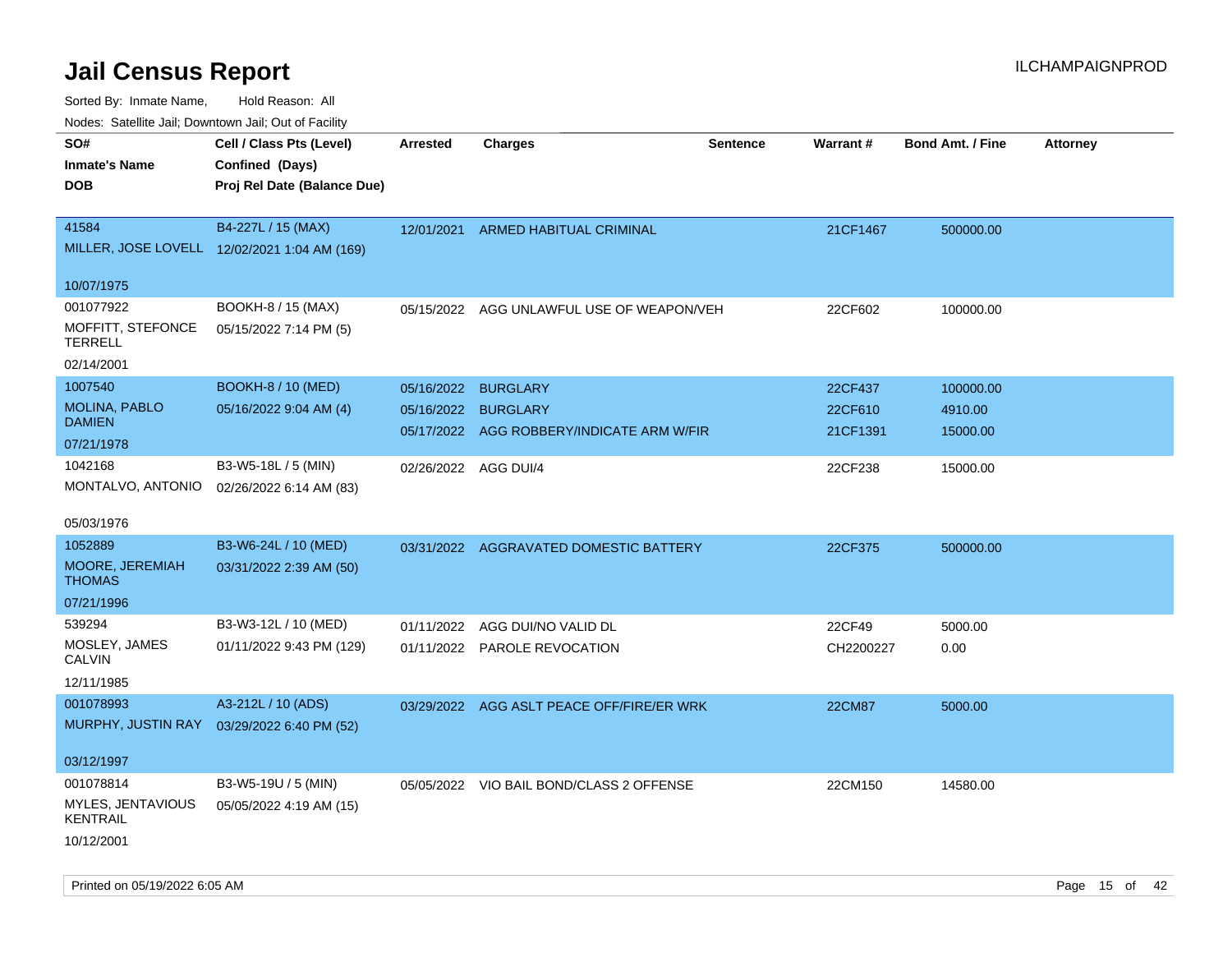Sorted By: Inmate Name, Hold Reason: All

| Nodes: Satellite Jail; Downtown Jail; Out of Facility |                                              |                 |                                           |                 |                 |                         |                 |
|-------------------------------------------------------|----------------------------------------------|-----------------|-------------------------------------------|-----------------|-----------------|-------------------------|-----------------|
| SO#                                                   | Cell / Class Pts (Level)                     | <b>Arrested</b> | <b>Charges</b>                            | <b>Sentence</b> | <b>Warrant#</b> | <b>Bond Amt. / Fine</b> | <b>Attorney</b> |
| <b>Inmate's Name</b>                                  | Confined (Days)                              |                 |                                           |                 |                 |                         |                 |
| <b>DOB</b>                                            | Proj Rel Date (Balance Due)                  |                 |                                           |                 |                 |                         |                 |
|                                                       |                                              |                 |                                           |                 |                 |                         |                 |
| 41584                                                 | B4-227L / 15 (MAX)                           |                 | 12/01/2021 ARMED HABITUAL CRIMINAL        |                 | 21CF1467        | 500000.00               |                 |
|                                                       | MILLER, JOSE LOVELL 12/02/2021 1:04 AM (169) |                 |                                           |                 |                 |                         |                 |
| 10/07/1975                                            |                                              |                 |                                           |                 |                 |                         |                 |
| 001077922                                             | BOOKH-8 / 15 (MAX)                           |                 | 05/15/2022 AGG UNLAWFUL USE OF WEAPON/VEH |                 | 22CF602         | 100000.00               |                 |
| MOFFITT, STEFONCE                                     | 05/15/2022 7:14 PM (5)                       |                 |                                           |                 |                 |                         |                 |
| <b>TERRELL</b>                                        |                                              |                 |                                           |                 |                 |                         |                 |
| 02/14/2001                                            |                                              |                 |                                           |                 |                 |                         |                 |
| 1007540                                               | <b>BOOKH-8 / 10 (MED)</b>                    |                 | 05/16/2022 BURGLARY                       |                 | 22CF437         | 100000.00               |                 |
| <b>MOLINA, PABLO</b><br><b>DAMIEN</b>                 | 05/16/2022 9:04 AM (4)                       |                 | 05/16/2022 BURGLARY                       |                 | 22CF610         | 4910.00                 |                 |
| 07/21/1978                                            |                                              |                 | 05/17/2022 AGG ROBBERY/INDICATE ARM W/FIR |                 | 21CF1391        | 15000.00                |                 |
| 1042168                                               | B3-W5-18L / 5 (MIN)                          |                 |                                           |                 |                 |                         |                 |
| MONTALVO, ANTONIO                                     | 02/26/2022 6:14 AM (83)                      |                 | 02/26/2022 AGG DUI/4                      |                 | 22CF238         | 15000.00                |                 |
|                                                       |                                              |                 |                                           |                 |                 |                         |                 |
| 05/03/1976                                            |                                              |                 |                                           |                 |                 |                         |                 |
| 1052889                                               | B3-W6-24L / 10 (MED)                         |                 | 03/31/2022 AGGRAVATED DOMESTIC BATTERY    |                 | 22CF375         | 500000.00               |                 |
| MOORE, JEREMIAH                                       | 03/31/2022 2:39 AM (50)                      |                 |                                           |                 |                 |                         |                 |
| <b>THOMAS</b>                                         |                                              |                 |                                           |                 |                 |                         |                 |
| 07/21/1996                                            |                                              |                 |                                           |                 |                 |                         |                 |
| 539294                                                | B3-W3-12L / 10 (MED)                         |                 | 01/11/2022 AGG DUI/NO VALID DL            |                 | 22CF49          | 5000.00                 |                 |
| MOSLEY, JAMES<br><b>CALVIN</b>                        | 01/11/2022 9:43 PM (129)                     |                 | 01/11/2022 PAROLE REVOCATION              |                 | CH2200227       | 0.00                    |                 |
| 12/11/1985                                            |                                              |                 |                                           |                 |                 |                         |                 |
| 001078993                                             | A3-212L / 10 (ADS)                           | 03/29/2022      | AGG ASLT PEACE OFF/FIRE/ER WRK            |                 | <b>22CM87</b>   | 5000.00                 |                 |
| <b>MURPHY, JUSTIN RAY</b>                             | 03/29/2022 6:40 PM (52)                      |                 |                                           |                 |                 |                         |                 |
|                                                       |                                              |                 |                                           |                 |                 |                         |                 |
| 03/12/1997                                            |                                              |                 |                                           |                 |                 |                         |                 |
| 001078814                                             | B3-W5-19U / 5 (MIN)                          |                 | 05/05/2022 VIO BAIL BOND/CLASS 2 OFFENSE  |                 | 22CM150         | 14580.00                |                 |
| MYLES, JENTAVIOUS                                     | 05/05/2022 4:19 AM (15)                      |                 |                                           |                 |                 |                         |                 |
| <b>KENTRAIL</b>                                       |                                              |                 |                                           |                 |                 |                         |                 |
| 10/12/2001                                            |                                              |                 |                                           |                 |                 |                         |                 |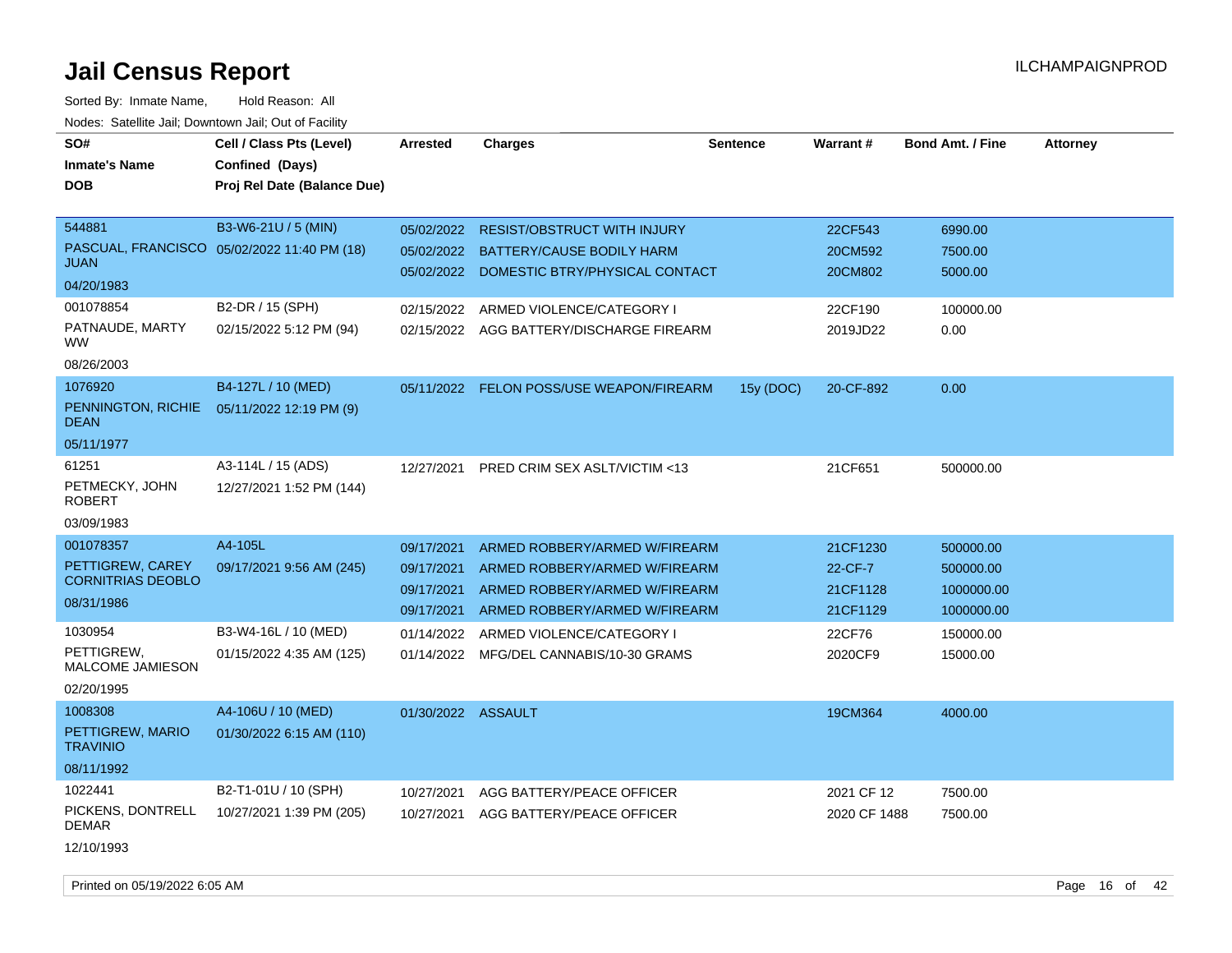| SO#                                 | Cell / Class Pts (Level)                    | <b>Arrested</b>    | <b>Charges</b>                          | <b>Sentence</b> | Warrant#     | <b>Bond Amt. / Fine</b> | <b>Attorney</b> |
|-------------------------------------|---------------------------------------------|--------------------|-----------------------------------------|-----------------|--------------|-------------------------|-----------------|
| <b>Inmate's Name</b>                | Confined (Days)                             |                    |                                         |                 |              |                         |                 |
| DOB                                 | Proj Rel Date (Balance Due)                 |                    |                                         |                 |              |                         |                 |
|                                     |                                             |                    |                                         |                 |              |                         |                 |
| 544881                              | B3-W6-21U / 5 (MIN)                         | 05/02/2022         | <b>RESIST/OBSTRUCT WITH INJURY</b>      |                 | 22CF543      | 6990.00                 |                 |
|                                     | PASCUAL, FRANCISCO 05/02/2022 11:40 PM (18) | 05/02/2022         | BATTERY/CAUSE BODILY HARM               |                 | 20CM592      | 7500.00                 |                 |
| <b>JUAN</b>                         |                                             | 05/02/2022         | DOMESTIC BTRY/PHYSICAL CONTACT          |                 | 20CM802      | 5000.00                 |                 |
| 04/20/1983                          |                                             |                    |                                         |                 |              |                         |                 |
| 001078854                           | B2-DR / 15 (SPH)                            | 02/15/2022         | ARMED VIOLENCE/CATEGORY I               |                 | 22CF190      | 100000.00               |                 |
| PATNAUDE, MARTY<br>WW.              | 02/15/2022 5:12 PM (94)                     | 02/15/2022         | AGG BATTERY/DISCHARGE FIREARM           |                 | 2019JD22     | 0.00                    |                 |
| 08/26/2003                          |                                             |                    |                                         |                 |              |                         |                 |
| 1076920                             | B4-127L / 10 (MED)                          | 05/11/2022         | <b>FELON POSS/USE WEAPON/FIREARM</b>    | 15y (DOC)       | 20-CF-892    | 0.00                    |                 |
| PENNINGTON, RICHIE<br><b>DEAN</b>   | 05/11/2022 12:19 PM (9)                     |                    |                                         |                 |              |                         |                 |
| 05/11/1977                          |                                             |                    |                                         |                 |              |                         |                 |
| 61251                               | A3-114L / 15 (ADS)                          | 12/27/2021         | <b>PRED CRIM SEX ASLT/VICTIM &lt;13</b> |                 | 21CF651      | 500000.00               |                 |
| PETMECKY, JOHN<br>ROBERT            | 12/27/2021 1:52 PM (144)                    |                    |                                         |                 |              |                         |                 |
| 03/09/1983                          |                                             |                    |                                         |                 |              |                         |                 |
| 001078357                           | A4-105L                                     | 09/17/2021         | ARMED ROBBERY/ARMED W/FIREARM           |                 | 21CF1230     | 500000.00               |                 |
| PETTIGREW, CAREY                    | 09/17/2021 9:56 AM (245)                    | 09/17/2021         | ARMED ROBBERY/ARMED W/FIREARM           |                 | 22-CF-7      | 500000.00               |                 |
| <b>CORNITRIAS DEOBLO</b>            |                                             | 09/17/2021         | ARMED ROBBERY/ARMED W/FIREARM           |                 | 21CF1128     | 1000000.00              |                 |
| 08/31/1986                          |                                             | 09/17/2021         | ARMED ROBBERY/ARMED W/FIREARM           |                 | 21CF1129     | 1000000.00              |                 |
| 1030954                             | B3-W4-16L / 10 (MED)                        | 01/14/2022         | ARMED VIOLENCE/CATEGORY I               |                 | 22CF76       | 150000.00               |                 |
| PETTIGREW,                          | 01/15/2022 4:35 AM (125)                    | 01/14/2022         | MFG/DEL CANNABIS/10-30 GRAMS            |                 | 2020CF9      | 15000.00                |                 |
| <b>MALCOME JAMIESON</b>             |                                             |                    |                                         |                 |              |                         |                 |
| 02/20/1995                          |                                             |                    |                                         |                 |              |                         |                 |
| 1008308                             | A4-106U / 10 (MED)                          | 01/30/2022 ASSAULT |                                         |                 | 19CM364      | 4000.00                 |                 |
| PETTIGREW, MARIO<br><b>TRAVINIO</b> | 01/30/2022 6:15 AM (110)                    |                    |                                         |                 |              |                         |                 |
| 08/11/1992                          |                                             |                    |                                         |                 |              |                         |                 |
| 1022441                             | B2-T1-01U / 10 (SPH)                        | 10/27/2021         | AGG BATTERY/PEACE OFFICER               |                 | 2021 CF 12   | 7500.00                 |                 |
| PICKENS, DONTRELL<br><b>DEMAR</b>   | 10/27/2021 1:39 PM (205)                    | 10/27/2021         | AGG BATTERY/PEACE OFFICER               |                 | 2020 CF 1488 | 7500.00                 |                 |
| 12/10/1993                          |                                             |                    |                                         |                 |              |                         |                 |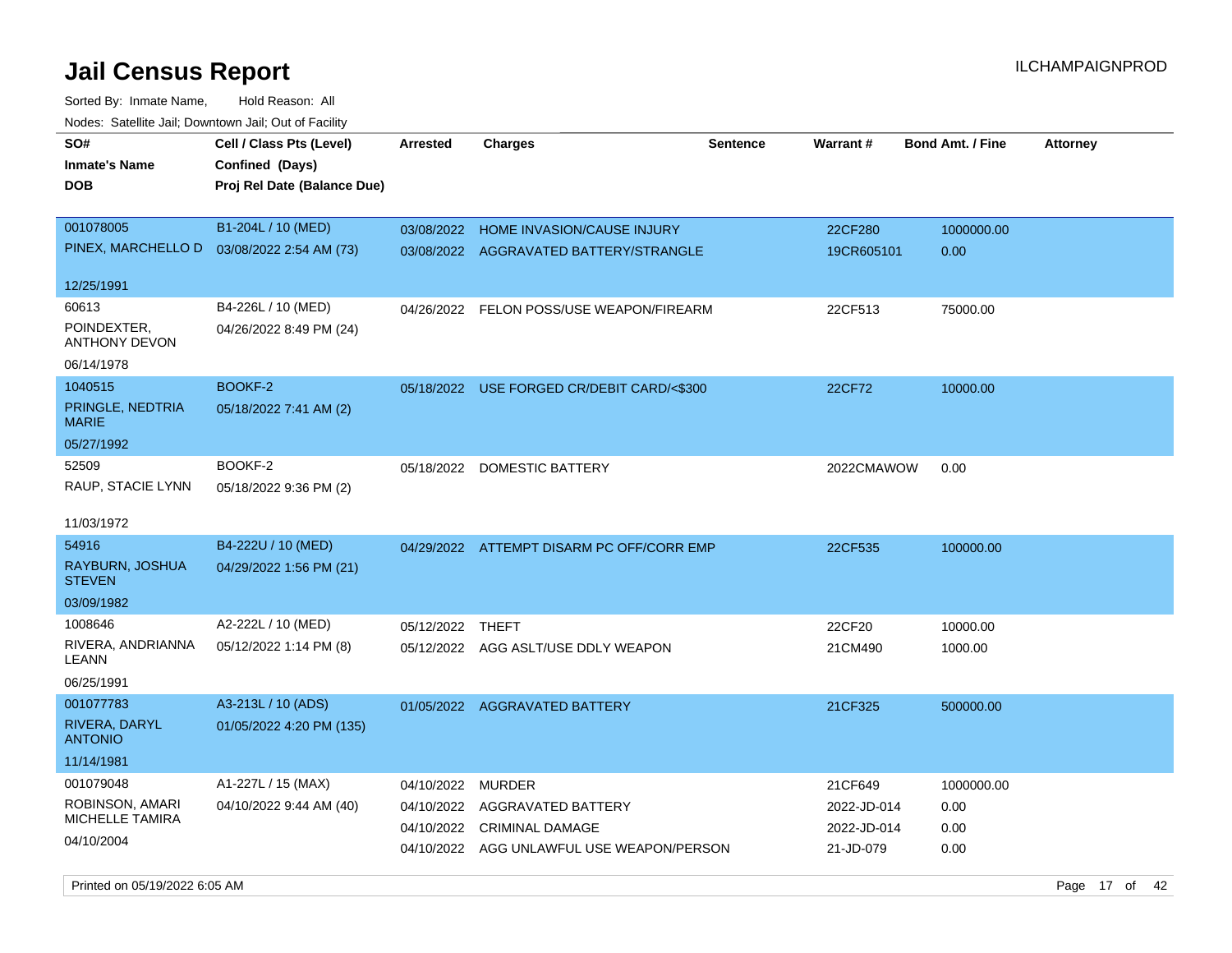Sorted By: Inmate Name, Hold Reason: All Nodes: Satellite Jail; Downtown Jail; Out of Facility

| roaco. Catolino cali, Downtown cali, Out of Fability                 |                                                                            |                                        |                                                                                                            |                 |                                                    |                                    |                 |
|----------------------------------------------------------------------|----------------------------------------------------------------------------|----------------------------------------|------------------------------------------------------------------------------------------------------------|-----------------|----------------------------------------------------|------------------------------------|-----------------|
| SO#<br>Inmate's Name<br>DOB                                          | Cell / Class Pts (Level)<br>Confined (Days)<br>Proj Rel Date (Balance Due) | <b>Arrested</b>                        | <b>Charges</b>                                                                                             | <b>Sentence</b> | <b>Warrant#</b>                                    | <b>Bond Amt. / Fine</b>            | <b>Attorney</b> |
| 001078005<br>PINEX, MARCHELLO D<br>12/25/1991                        | B1-204L / 10 (MED)<br>03/08/2022 2:54 AM (73)                              | 03/08/2022                             | HOME INVASION/CAUSE INJURY<br>03/08/2022 AGGRAVATED BATTERY/STRANGLE                                       |                 | 22CF280<br>19CR605101                              | 1000000.00<br>0.00                 |                 |
| 60613<br>POINDEXTER,<br>ANTHONY DEVON<br>06/14/1978                  | B4-226L / 10 (MED)<br>04/26/2022 8:49 PM (24)                              |                                        | 04/26/2022 FELON POSS/USE WEAPON/FIREARM                                                                   |                 | 22CF513                                            | 75000.00                           |                 |
| 1040515<br>PRINGLE, NEDTRIA<br><b>MARIE</b><br>05/27/1992            | BOOKF-2<br>05/18/2022 7:41 AM (2)                                          |                                        | 05/18/2022 USE FORGED CR/DEBIT CARD/<\$300                                                                 |                 | 22CF72                                             | 10000.00                           |                 |
| 52509<br>RAUP, STACIE LYNN<br>11/03/1972                             | BOOKF-2<br>05/18/2022 9:36 PM (2)                                          |                                        | 05/18/2022 DOMESTIC BATTERY                                                                                |                 | 2022CMAWOW                                         | 0.00                               |                 |
| 54916<br>RAYBURN, JOSHUA<br><b>STEVEN</b><br>03/09/1982              | B4-222U / 10 (MED)<br>04/29/2022 1:56 PM (21)                              |                                        | 04/29/2022 ATTEMPT DISARM PC OFF/CORR EMP                                                                  |                 | 22CF535                                            | 100000.00                          |                 |
| 1008646<br>RIVERA, ANDRIANNA<br>LEANN<br>06/25/1991                  | A2-222L / 10 (MED)<br>05/12/2022 1:14 PM (8)                               | 05/12/2022 THEFT                       | 05/12/2022 AGG ASLT/USE DDLY WEAPON                                                                        |                 | 22CF20<br>21CM490                                  | 10000.00<br>1000.00                |                 |
| 001077783<br>RIVERA, DARYL<br><b>ANTONIO</b><br>11/14/1981           | A3-213L / 10 (ADS)<br>01/05/2022 4:20 PM (135)                             |                                        | 01/05/2022 AGGRAVATED BATTERY                                                                              |                 | 21CF325                                            | 500000.00                          |                 |
| 001079048<br>ROBINSON, AMARI<br><b>MICHELLE TAMIRA</b><br>04/10/2004 | A1-227L / 15 (MAX)<br>04/10/2022 9:44 AM (40)                              | 04/10/2022<br>04/10/2022<br>04/10/2022 | <b>MURDER</b><br>AGGRAVATED BATTERY<br><b>CRIMINAL DAMAGE</b><br>04/10/2022 AGG UNLAWFUL USE WEAPON/PERSON |                 | 21CF649<br>2022-JD-014<br>2022-JD-014<br>21-JD-079 | 1000000.00<br>0.00<br>0.00<br>0.00 |                 |

Printed on 05/19/2022 6:05 AM Page 17 of 42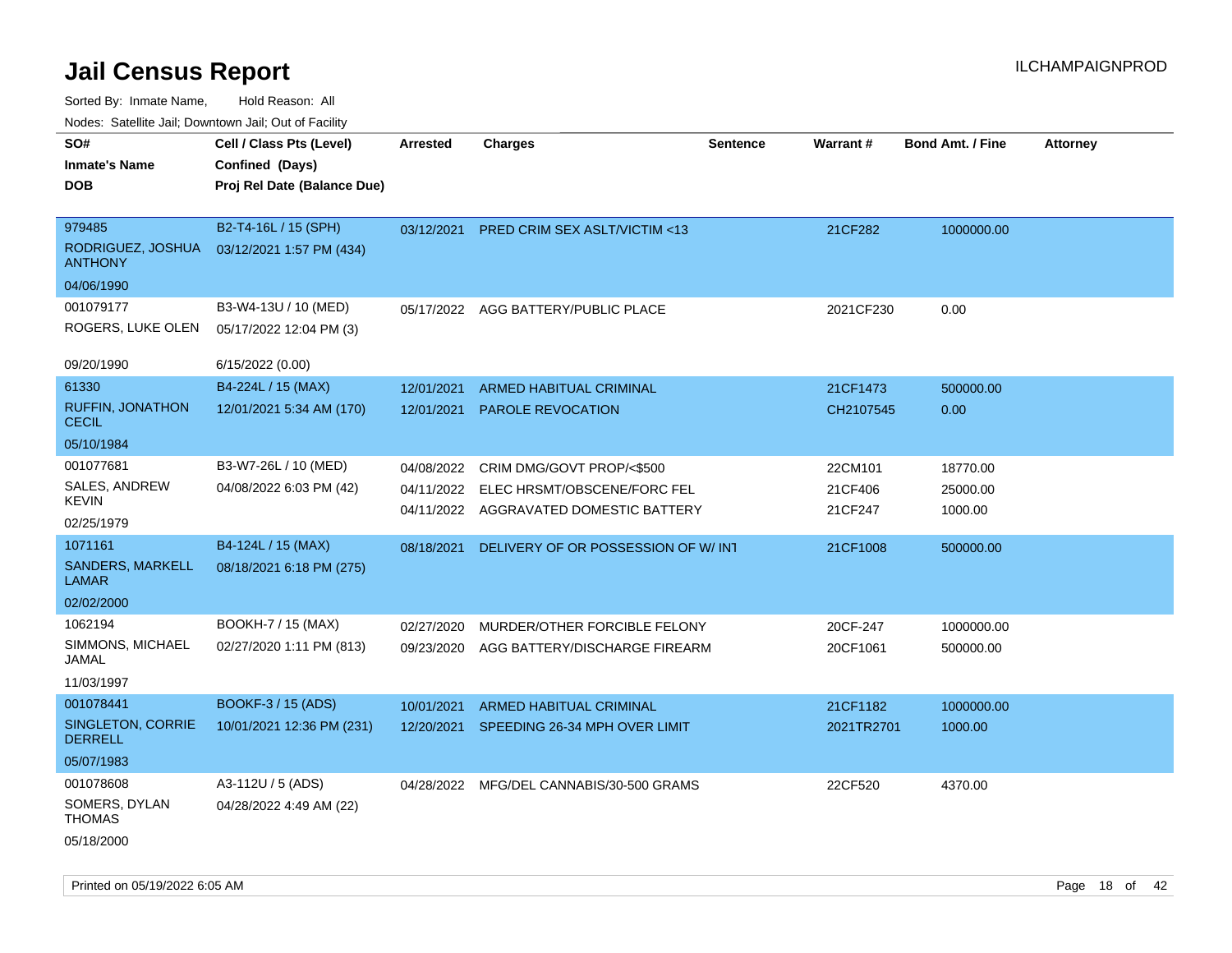| Noues. Sateme Jan, Downtown Jan, Out or Facility |                             |            |                                          |          |            |                         |                 |
|--------------------------------------------------|-----------------------------|------------|------------------------------------------|----------|------------|-------------------------|-----------------|
| SO#                                              | Cell / Class Pts (Level)    | Arrested   | <b>Charges</b>                           | Sentence | Warrant#   | <b>Bond Amt. / Fine</b> | <b>Attorney</b> |
| <b>Inmate's Name</b>                             | Confined (Days)             |            |                                          |          |            |                         |                 |
| <b>DOB</b>                                       | Proj Rel Date (Balance Due) |            |                                          |          |            |                         |                 |
|                                                  |                             |            |                                          |          |            |                         |                 |
| 979485                                           | B2-T4-16L / 15 (SPH)        | 03/12/2021 | <b>PRED CRIM SEX ASLT/VICTIM &lt;13</b>  |          | 21CF282    | 1000000.00              |                 |
| RODRIGUEZ, JOSHUA<br><b>ANTHONY</b>              | 03/12/2021 1:57 PM (434)    |            |                                          |          |            |                         |                 |
| 04/06/1990                                       |                             |            |                                          |          |            |                         |                 |
| 001079177                                        | B3-W4-13U / 10 (MED)        |            | 05/17/2022 AGG BATTERY/PUBLIC PLACE      |          | 2021CF230  | 0.00                    |                 |
| ROGERS, LUKE OLEN                                | 05/17/2022 12:04 PM (3)     |            |                                          |          |            |                         |                 |
|                                                  |                             |            |                                          |          |            |                         |                 |
| 09/20/1990                                       | 6/15/2022 (0.00)            |            |                                          |          |            |                         |                 |
| 61330                                            | B4-224L / 15 (MAX)          | 12/01/2021 | ARMED HABITUAL CRIMINAL                  |          | 21CF1473   | 500000.00               |                 |
| <b>RUFFIN, JONATHON</b><br><b>CECIL</b>          | 12/01/2021 5:34 AM (170)    | 12/01/2021 | PAROLE REVOCATION                        |          | CH2107545  | 0.00                    |                 |
| 05/10/1984                                       |                             |            |                                          |          |            |                         |                 |
| 001077681                                        | B3-W7-26L / 10 (MED)        | 04/08/2022 | CRIM DMG/GOVT PROP/<\$500                |          | 22CM101    | 18770.00                |                 |
| SALES, ANDREW                                    | 04/08/2022 6:03 PM (42)     | 04/11/2022 | ELEC HRSMT/OBSCENE/FORC FEL              |          | 21CF406    | 25000.00                |                 |
| <b>KEVIN</b>                                     |                             |            | 04/11/2022 AGGRAVATED DOMESTIC BATTERY   |          | 21CF247    | 1000.00                 |                 |
| 02/25/1979                                       |                             |            |                                          |          |            |                         |                 |
| 1071161                                          | B4-124L / 15 (MAX)          | 08/18/2021 | DELIVERY OF OR POSSESSION OF W/INT       |          | 21CF1008   | 500000.00               |                 |
| SANDERS, MARKELL<br><b>LAMAR</b>                 | 08/18/2021 6:18 PM (275)    |            |                                          |          |            |                         |                 |
| 02/02/2000                                       |                             |            |                                          |          |            |                         |                 |
| 1062194                                          | BOOKH-7 / 15 (MAX)          | 02/27/2020 | MURDER/OTHER FORCIBLE FELONY             |          | 20CF-247   | 1000000.00              |                 |
| SIMMONS, MICHAEL<br>JAMAL                        | 02/27/2020 1:11 PM (813)    | 09/23/2020 | AGG BATTERY/DISCHARGE FIREARM            |          | 20CF1061   | 500000.00               |                 |
| 11/03/1997                                       |                             |            |                                          |          |            |                         |                 |
| 001078441                                        | BOOKF-3 / 15 (ADS)          | 10/01/2021 | <b>ARMED HABITUAL CRIMINAL</b>           |          | 21CF1182   | 1000000.00              |                 |
| SINGLETON, CORRIE<br><b>DERRELL</b>              | 10/01/2021 12:36 PM (231)   |            | 12/20/2021 SPEEDING 26-34 MPH OVER LIMIT |          | 2021TR2701 | 1000.00                 |                 |
| 05/07/1983                                       |                             |            |                                          |          |            |                         |                 |
| 001078608                                        | A3-112U / 5 (ADS)           |            | 04/28/2022 MFG/DEL CANNABIS/30-500 GRAMS |          | 22CF520    | 4370.00                 |                 |
| SOMERS, DYLAN<br><b>THOMAS</b>                   | 04/28/2022 4:49 AM (22)     |            |                                          |          |            |                         |                 |
| 05/18/2000                                       |                             |            |                                          |          |            |                         |                 |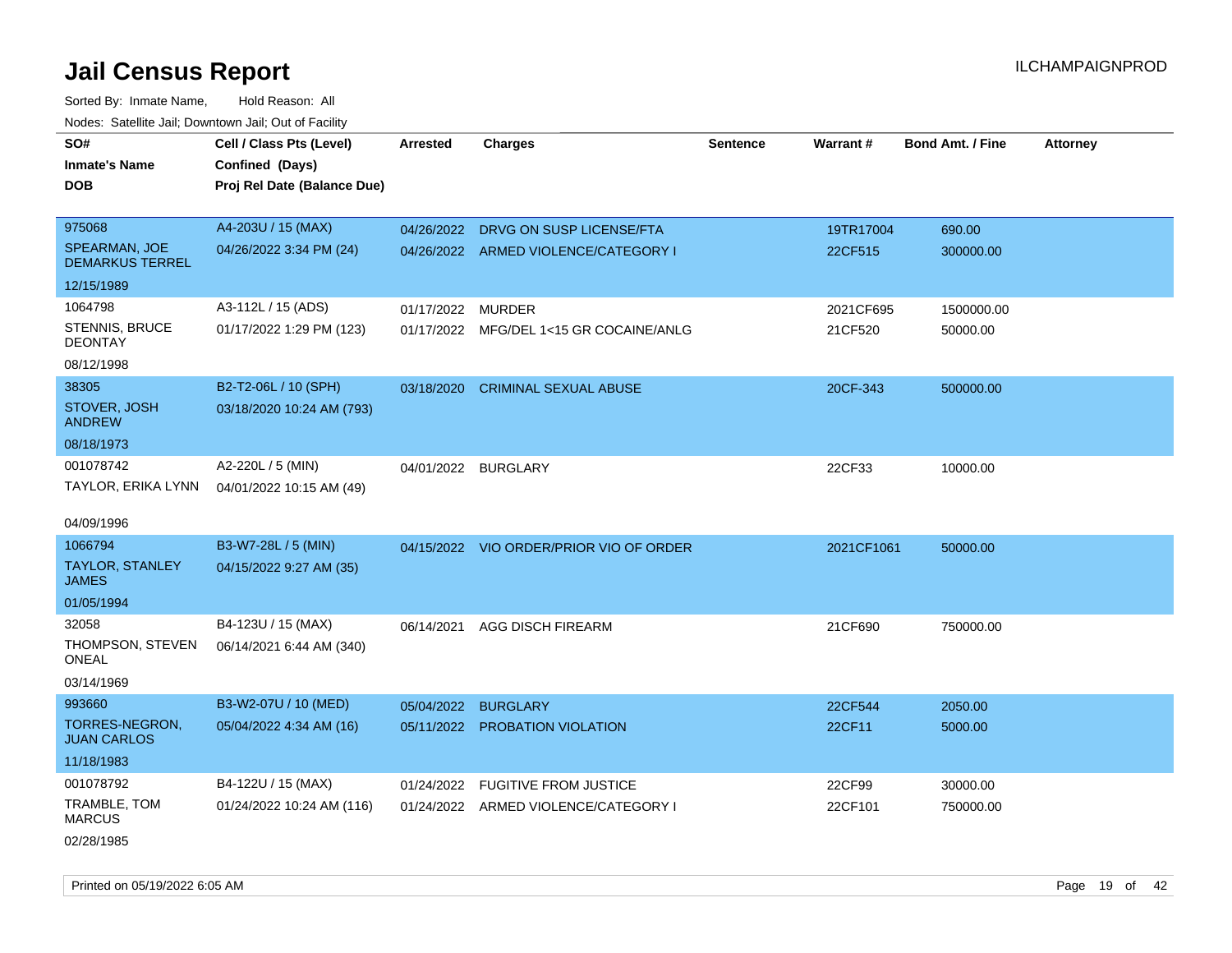Sorted By: Inmate Name, Hold Reason: All Nodes: Satellite Jail; Downtown Jail; Out of Facility

| roaco. Catolino dall, Downtown dall, Out of Fability |                             |                   |                                         |                 |            |                         |                 |
|------------------------------------------------------|-----------------------------|-------------------|-----------------------------------------|-----------------|------------|-------------------------|-----------------|
| SO#                                                  | Cell / Class Pts (Level)    | <b>Arrested</b>   | <b>Charges</b>                          | <b>Sentence</b> | Warrant#   | <b>Bond Amt. / Fine</b> | <b>Attorney</b> |
| <b>Inmate's Name</b>                                 | Confined (Days)             |                   |                                         |                 |            |                         |                 |
| <b>DOB</b>                                           | Proj Rel Date (Balance Due) |                   |                                         |                 |            |                         |                 |
|                                                      |                             |                   |                                         |                 |            |                         |                 |
| 975068                                               | A4-203U / 15 (MAX)          |                   | 04/26/2022 DRVG ON SUSP LICENSE/FTA     |                 | 19TR17004  | 690.00                  |                 |
| SPEARMAN, JOE<br><b>DEMARKUS TERREL</b>              | 04/26/2022 3:34 PM (24)     |                   | 04/26/2022 ARMED VIOLENCE/CATEGORY I    |                 | 22CF515    | 300000.00               |                 |
| 12/15/1989                                           |                             |                   |                                         |                 |            |                         |                 |
| 1064798                                              | A3-112L / 15 (ADS)          | 01/17/2022 MURDER |                                         |                 | 2021CF695  | 1500000.00              |                 |
| STENNIS, BRUCE<br><b>DEONTAY</b>                     | 01/17/2022 1:29 PM (123)    |                   | 01/17/2022 MFG/DEL 1<15 GR COCAINE/ANLG |                 | 21CF520    | 50000.00                |                 |
| 08/12/1998                                           |                             |                   |                                         |                 |            |                         |                 |
| 38305                                                | B2-T2-06L / 10 (SPH)        | 03/18/2020        | <b>CRIMINAL SEXUAL ABUSE</b>            |                 | 20CF-343   | 500000.00               |                 |
| STOVER, JOSH<br><b>ANDREW</b>                        | 03/18/2020 10:24 AM (793)   |                   |                                         |                 |            |                         |                 |
| 08/18/1973                                           |                             |                   |                                         |                 |            |                         |                 |
| 001078742                                            | A2-220L / 5 (MIN)           |                   | 04/01/2022 BURGLARY                     |                 | 22CF33     | 10000.00                |                 |
| TAYLOR, ERIKA LYNN                                   | 04/01/2022 10:15 AM (49)    |                   |                                         |                 |            |                         |                 |
|                                                      |                             |                   |                                         |                 |            |                         |                 |
| 04/09/1996                                           |                             |                   |                                         |                 |            |                         |                 |
| 1066794                                              | B3-W7-28L / 5 (MIN)         |                   | 04/15/2022 VIO ORDER/PRIOR VIO OF ORDER |                 | 2021CF1061 | 50000.00                |                 |
| TAYLOR, STANLEY<br><b>JAMES</b>                      | 04/15/2022 9:27 AM (35)     |                   |                                         |                 |            |                         |                 |
| 01/05/1994                                           |                             |                   |                                         |                 |            |                         |                 |
| 32058                                                | B4-123U / 15 (MAX)          | 06/14/2021        | AGG DISCH FIREARM                       |                 | 21CF690    | 750000.00               |                 |
| THOMPSON, STEVEN<br><b>ONEAL</b>                     | 06/14/2021 6:44 AM (340)    |                   |                                         |                 |            |                         |                 |
| 03/14/1969                                           |                             |                   |                                         |                 |            |                         |                 |
| 993660                                               | B3-W2-07U / 10 (MED)        | 05/04/2022        | <b>BURGLARY</b>                         |                 | 22CF544    | 2050.00                 |                 |
| TORRES-NEGRON,<br><b>JUAN CARLOS</b>                 | 05/04/2022 4:34 AM (16)     |                   | 05/11/2022 PROBATION VIOLATION          |                 | 22CF11     | 5000.00                 |                 |
| 11/18/1983                                           |                             |                   |                                         |                 |            |                         |                 |
| 001078792                                            | B4-122U / 15 (MAX)          | 01/24/2022        | <b>FUGITIVE FROM JUSTICE</b>            |                 | 22CF99     | 30000.00                |                 |
| TRAMBLE, TOM<br><b>MARCUS</b>                        | 01/24/2022 10:24 AM (116)   |                   | 01/24/2022 ARMED VIOLENCE/CATEGORY I    |                 | 22CF101    | 750000.00               |                 |
| 02/28/1985                                           |                             |                   |                                         |                 |            |                         |                 |

Printed on 05/19/2022 6:05 AM **Page 19 of 42**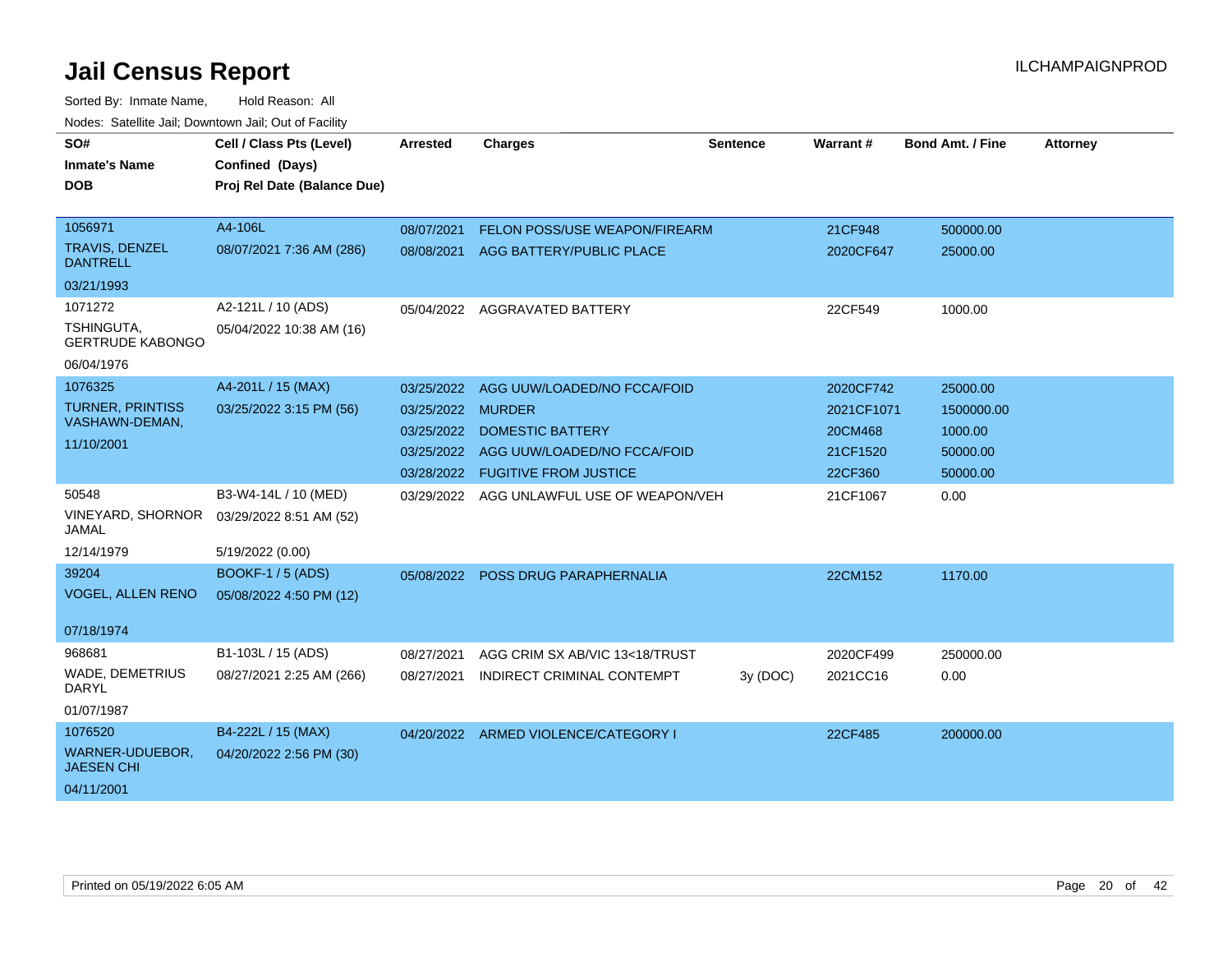| SO#<br><b>Inmate's Name</b><br>DOB        | Cell / Class Pts (Level)<br>Confined (Days)<br>Proj Rel Date (Balance Due) | <b>Arrested</b> | <b>Charges</b>                       | <b>Sentence</b> | <b>Warrant#</b> | <b>Bond Amt. / Fine</b> | <b>Attorney</b> |
|-------------------------------------------|----------------------------------------------------------------------------|-----------------|--------------------------------------|-----------------|-----------------|-------------------------|-----------------|
| 1056971                                   | A4-106L                                                                    | 08/07/2021      | <b>FELON POSS/USE WEAPON/FIREARM</b> |                 | 21CF948         | 500000.00               |                 |
| <b>TRAVIS, DENZEL</b><br><b>DANTRELL</b>  | 08/07/2021 7:36 AM (286)                                                   | 08/08/2021      | AGG BATTERY/PUBLIC PLACE             |                 | 2020CF647       | 25000.00                |                 |
| 03/21/1993                                |                                                                            |                 |                                      |                 |                 |                         |                 |
| 1071272                                   | A2-121L / 10 (ADS)                                                         |                 | 05/04/2022 AGGRAVATED BATTERY        |                 | 22CF549         | 1000.00                 |                 |
| TSHINGUTA,<br><b>GERTRUDE KABONGO</b>     | 05/04/2022 10:38 AM (16)                                                   |                 |                                      |                 |                 |                         |                 |
| 06/04/1976                                |                                                                            |                 |                                      |                 |                 |                         |                 |
| 1076325                                   | A4-201L / 15 (MAX)                                                         | 03/25/2022      | AGG UUW/LOADED/NO FCCA/FOID          |                 | 2020CF742       | 25000.00                |                 |
| <b>TURNER, PRINTISS</b><br>VASHAWN-DEMAN, | 03/25/2022 3:15 PM (56)                                                    | 03/25/2022      | <b>MURDER</b>                        |                 | 2021CF1071      | 1500000.00              |                 |
| 11/10/2001                                |                                                                            | 03/25/2022      | <b>DOMESTIC BATTERY</b>              |                 | 20CM468         | 1000.00                 |                 |
|                                           |                                                                            | 03/25/2022      | AGG UUW/LOADED/NO FCCA/FOID          |                 | 21CF1520        | 50000.00                |                 |
|                                           |                                                                            | 03/28/2022      | <b>FUGITIVE FROM JUSTICE</b>         |                 | 22CF360         | 50000.00                |                 |
| 50548                                     | B3-W4-14L / 10 (MED)                                                       | 03/29/2022      | AGG UNLAWFUL USE OF WEAPON/VEH       |                 | 21CF1067        | 0.00                    |                 |
| VINEYARD, SHORNOR<br><b>JAMAL</b>         | 03/29/2022 8:51 AM (52)                                                    |                 |                                      |                 |                 |                         |                 |
| 12/14/1979                                | 5/19/2022 (0.00)                                                           |                 |                                      |                 |                 |                         |                 |
| 39204                                     | <b>BOOKF-1 / 5 (ADS)</b>                                                   |                 | 05/08/2022 POSS DRUG PARAPHERNALIA   |                 | 22CM152         | 1170.00                 |                 |
| <b>VOGEL, ALLEN RENO</b>                  | 05/08/2022 4:50 PM (12)                                                    |                 |                                      |                 |                 |                         |                 |
| 07/18/1974                                |                                                                            |                 |                                      |                 |                 |                         |                 |
| 968681                                    | B1-103L / 15 (ADS)                                                         | 08/27/2021      | AGG CRIM SX AB/VIC 13<18/TRUST       |                 | 2020CF499       | 250000.00               |                 |
| <b>WADE, DEMETRIUS</b><br><b>DARYL</b>    | 08/27/2021 2:25 AM (266)                                                   | 08/27/2021      | INDIRECT CRIMINAL CONTEMPT           | 3y(DOC)         | 2021CC16        | 0.00                    |                 |
| 01/07/1987                                |                                                                            |                 |                                      |                 |                 |                         |                 |
| 1076520                                   | B4-222L / 15 (MAX)                                                         |                 | 04/20/2022 ARMED VIOLENCE/CATEGORY I |                 | 22CF485         | 200000.00               |                 |
| WARNER-UDUEBOR,<br><b>JAESEN CHI</b>      | 04/20/2022 2:56 PM (30)                                                    |                 |                                      |                 |                 |                         |                 |
| 04/11/2001                                |                                                                            |                 |                                      |                 |                 |                         |                 |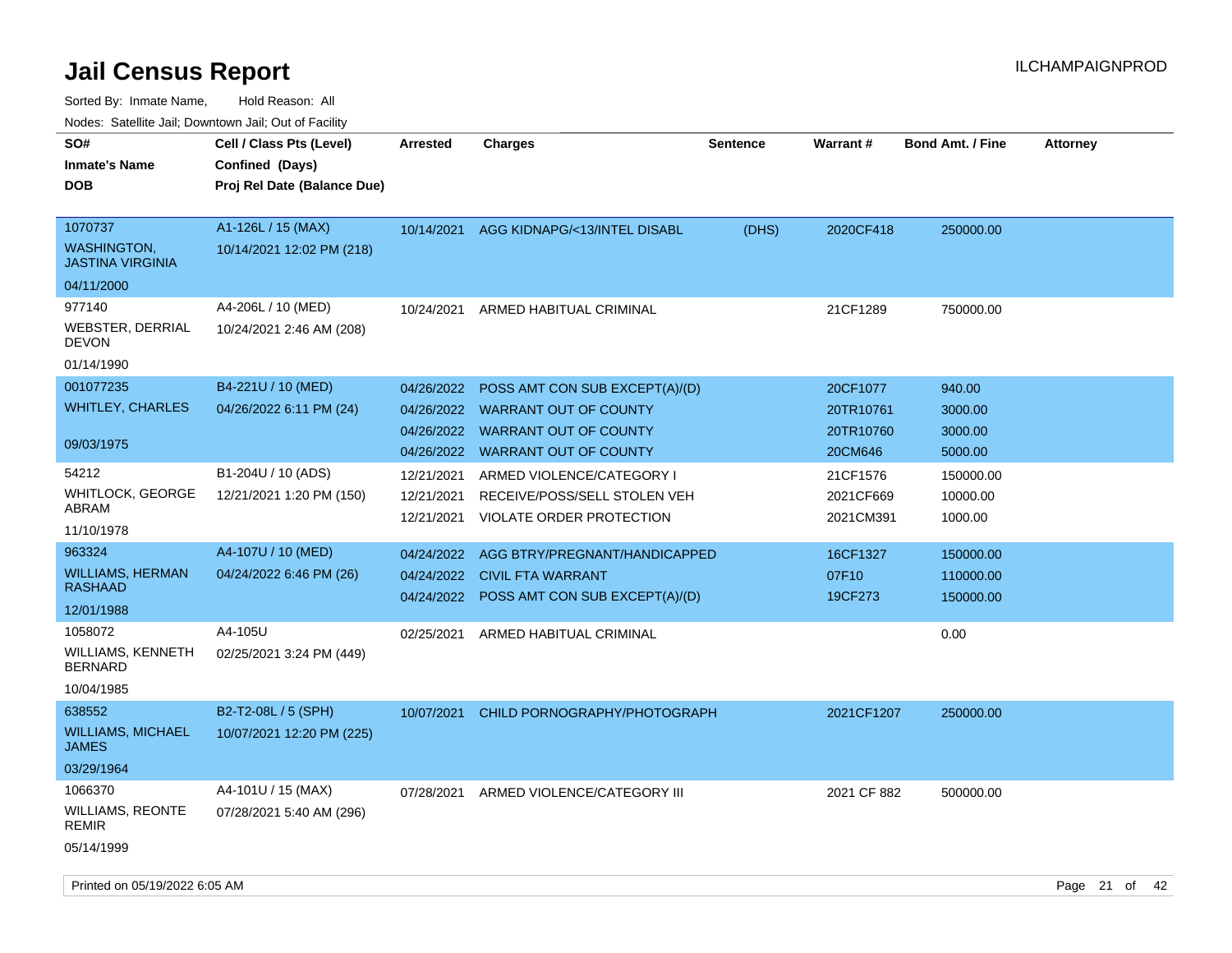Sorted By: Inmate Name, Hold Reason: All

|                                                                        | Nodes: Satellite Jail; Downtown Jail; Out of Facility                      |                                        |                                                                                                                                            |                 |                                               |                                         |                 |
|------------------------------------------------------------------------|----------------------------------------------------------------------------|----------------------------------------|--------------------------------------------------------------------------------------------------------------------------------------------|-----------------|-----------------------------------------------|-----------------------------------------|-----------------|
| SO#<br><b>Inmate's Name</b><br><b>DOB</b>                              | Cell / Class Pts (Level)<br>Confined (Days)<br>Proj Rel Date (Balance Due) | <b>Arrested</b>                        | <b>Charges</b>                                                                                                                             | <b>Sentence</b> | Warrant#                                      | <b>Bond Amt. / Fine</b>                 | <b>Attorney</b> |
| 1070737<br><b>WASHINGTON,</b><br><b>JASTINA VIRGINIA</b><br>04/11/2000 | A1-126L / 15 (MAX)<br>10/14/2021 12:02 PM (218)                            |                                        | 10/14/2021 AGG KIDNAPG/<13/INTEL DISABL                                                                                                    | (DHS)           | 2020CF418                                     | 250000.00                               |                 |
| 977140<br><b>WEBSTER, DERRIAL</b><br><b>DEVON</b><br>01/14/1990        | A4-206L / 10 (MED)<br>10/24/2021 2:46 AM (208)                             | 10/24/2021                             | ARMED HABITUAL CRIMINAL                                                                                                                    |                 | 21CF1289                                      | 750000.00                               |                 |
| 001077235<br><b>WHITLEY, CHARLES</b><br>09/03/1975                     | B4-221U / 10 (MED)<br>04/26/2022 6:11 PM (24)                              | 04/26/2022                             | POSS AMT CON SUB EXCEPT(A)/(D)<br>04/26/2022 WARRANT OUT OF COUNTY<br>04/26/2022 WARRANT OUT OF COUNTY<br>04/26/2022 WARRANT OUT OF COUNTY |                 | 20CF1077<br>20TR10761<br>20TR10760<br>20CM646 | 940.00<br>3000.00<br>3000.00<br>5000.00 |                 |
| 54212<br><b>WHITLOCK, GEORGE</b><br>ABRAM<br>11/10/1978                | B1-204U / 10 (ADS)<br>12/21/2021 1:20 PM (150)                             | 12/21/2021<br>12/21/2021<br>12/21/2021 | ARMED VIOLENCE/CATEGORY I<br>RECEIVE/POSS/SELL STOLEN VEH<br>VIOLATE ORDER PROTECTION                                                      |                 | 21CF1576<br>2021CF669<br>2021CM391            | 150000.00<br>10000.00<br>1000.00        |                 |
| 963324<br><b>WILLIAMS, HERMAN</b><br><b>RASHAAD</b><br>12/01/1988      | A4-107U / 10 (MED)<br>04/24/2022 6:46 PM (26)                              | 04/24/2022<br>04/24/2022<br>04/24/2022 | AGG BTRY/PREGNANT/HANDICAPPED<br><b>CIVIL FTA WARRANT</b><br>POSS AMT CON SUB EXCEPT(A)/(D)                                                |                 | 16CF1327<br>07F10<br>19CF273                  | 150000.00<br>110000.00<br>150000.00     |                 |
| 1058072<br>WILLIAMS, KENNETH<br><b>BERNARD</b><br>10/04/1985           | A4-105U<br>02/25/2021 3:24 PM (449)                                        | 02/25/2021                             | ARMED HABITUAL CRIMINAL                                                                                                                    |                 |                                               | 0.00                                    |                 |
| 638552<br><b>WILLIAMS, MICHAEL</b><br><b>JAMES</b><br>03/29/1964       | B2-T2-08L / 5 (SPH)<br>10/07/2021 12:20 PM (225)                           | 10/07/2021                             | CHILD PORNOGRAPHY/PHOTOGRAPH                                                                                                               |                 | 2021CF1207                                    | 250000.00                               |                 |
| 1066370<br>WILLIAMS, REONTE<br><b>REMIR</b><br>05/14/1999              | A4-101U / 15 (MAX)<br>07/28/2021 5:40 AM (296)                             | 07/28/2021                             | ARMED VIOLENCE/CATEGORY III                                                                                                                |                 | 2021 CF 882                                   | 500000.00                               |                 |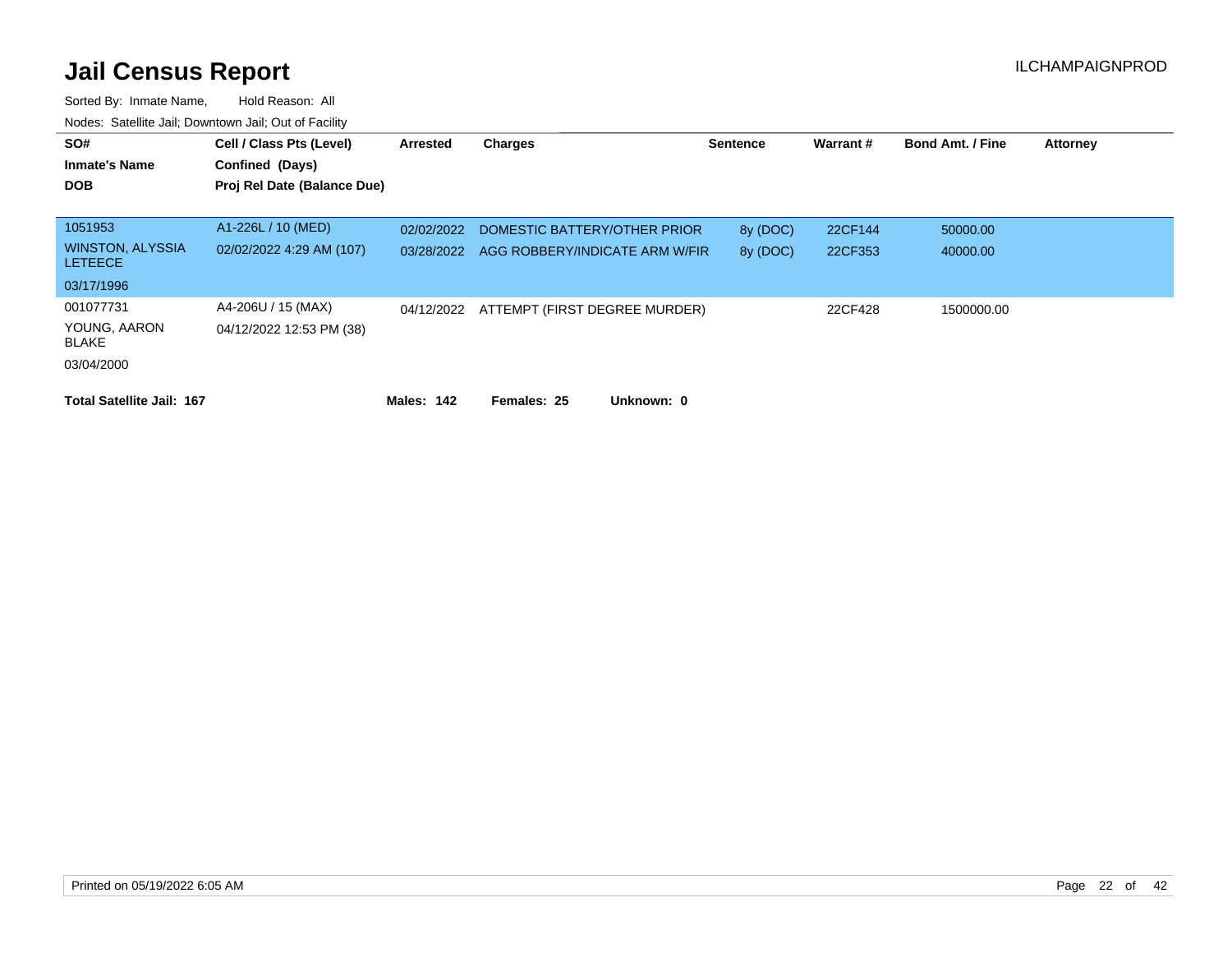| SO#<br><b>Inmate's Name</b><br><b>DOB</b> | Cell / Class Pts (Level)<br>Confined (Days)    | Arrested   | Charges                        | <b>Sentence</b> | Warrant# | <b>Bond Amt. / Fine</b> | <b>Attorney</b> |
|-------------------------------------------|------------------------------------------------|------------|--------------------------------|-----------------|----------|-------------------------|-----------------|
|                                           | Proj Rel Date (Balance Due)                    |            |                                |                 |          |                         |                 |
| 1051953                                   | A1-226L / 10 (MED)                             | 02/02/2022 | DOMESTIC BATTERY/OTHER PRIOR   | 8y (DOC)        | 22CF144  | 50000.00                |                 |
| <b>WINSTON, ALYSSIA</b><br><b>LETEECE</b> | 02/02/2022 4:29 AM (107)                       | 03/28/2022 | AGG ROBBERY/INDICATE ARM W/FIR | 8y (DOC)        | 22CF353  | 40000.00                |                 |
| 03/17/1996                                |                                                |            |                                |                 |          |                         |                 |
| 001077731<br>YOUNG, AARON<br><b>BLAKE</b> | A4-206U / 15 (MAX)<br>04/12/2022 12:53 PM (38) | 04/12/2022 | ATTEMPT (FIRST DEGREE MURDER)  |                 | 22CF428  | 1500000.00              |                 |
| 03/04/2000                                |                                                |            |                                |                 |          |                         |                 |
| <b>Total Satellite Jail: 167</b>          |                                                | Males: 142 | Females: 25<br>Unknown: 0      |                 |          |                         |                 |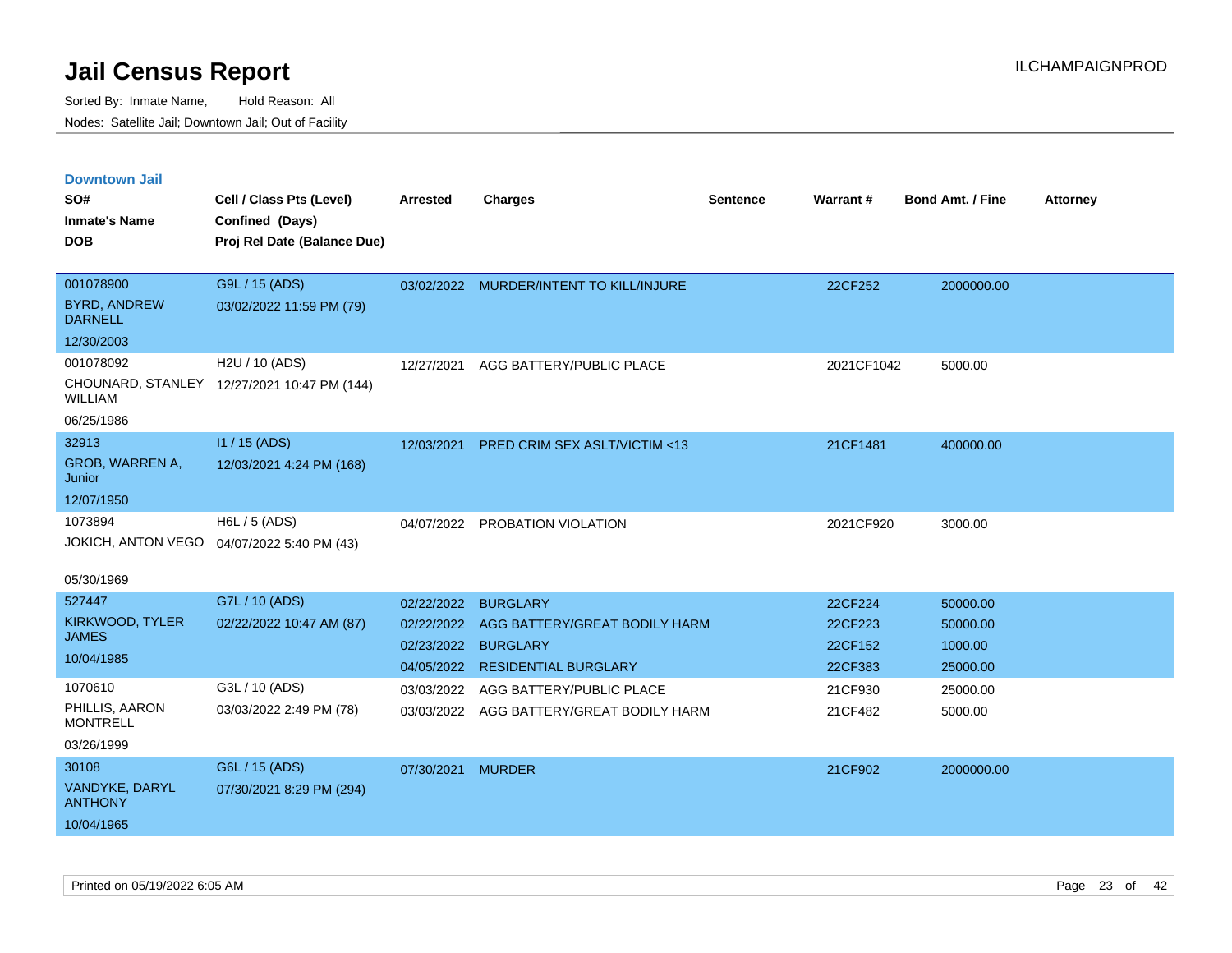| <b>Downtown Jail</b>                  |                                             |                   |                                          |                 |            |                         |                 |
|---------------------------------------|---------------------------------------------|-------------------|------------------------------------------|-----------------|------------|-------------------------|-----------------|
| SO#                                   | Cell / Class Pts (Level)                    | <b>Arrested</b>   | <b>Charges</b>                           | <b>Sentence</b> | Warrant#   | <b>Bond Amt. / Fine</b> | <b>Attorney</b> |
| <b>Inmate's Name</b>                  | Confined (Days)                             |                   |                                          |                 |            |                         |                 |
| <b>DOB</b>                            | Proj Rel Date (Balance Due)                 |                   |                                          |                 |            |                         |                 |
|                                       |                                             |                   |                                          |                 |            |                         |                 |
| 001078900                             | G9L / 15 (ADS)                              |                   | 03/02/2022 MURDER/INTENT TO KILL/INJURE  |                 | 22CF252    | 2000000.00              |                 |
| <b>BYRD, ANDREW</b><br><b>DARNELL</b> | 03/02/2022 11:59 PM (79)                    |                   |                                          |                 |            |                         |                 |
| 12/30/2003                            |                                             |                   |                                          |                 |            |                         |                 |
| 001078092                             | H2U / 10 (ADS)                              | 12/27/2021        | AGG BATTERY/PUBLIC PLACE                 |                 | 2021CF1042 | 5000.00                 |                 |
| <b>WILLIAM</b>                        | CHOUNARD, STANLEY 12/27/2021 10:47 PM (144) |                   |                                          |                 |            |                         |                 |
| 06/25/1986                            |                                             |                   |                                          |                 |            |                         |                 |
| 32913                                 | I1 / 15 (ADS)                               | 12/03/2021        | PRED CRIM SEX ASLT/VICTIM <13            |                 | 21CF1481   | 400000.00               |                 |
| GROB, WARREN A,<br>Junior             | 12/03/2021 4:24 PM (168)                    |                   |                                          |                 |            |                         |                 |
| 12/07/1950                            |                                             |                   |                                          |                 |            |                         |                 |
| 1073894                               | H6L / 5 (ADS)                               |                   | 04/07/2022 PROBATION VIOLATION           |                 | 2021CF920  | 3000.00                 |                 |
| JOKICH, ANTON VEGO                    | 04/07/2022 5:40 PM (43)                     |                   |                                          |                 |            |                         |                 |
| 05/30/1969                            |                                             |                   |                                          |                 |            |                         |                 |
| 527447                                | G7L / 10 (ADS)                              | 02/22/2022        | <b>BURGLARY</b>                          |                 | 22CF224    | 50000.00                |                 |
| KIRKWOOD, TYLER                       | 02/22/2022 10:47 AM (87)                    | 02/22/2022        | AGG BATTERY/GREAT BODILY HARM            |                 | 22CF223    | 50000.00                |                 |
| <b>JAMES</b>                          |                                             |                   | 02/23/2022 BURGLARY                      |                 | 22CF152    | 1000.00                 |                 |
| 10/04/1985                            |                                             |                   | 04/05/2022 RESIDENTIAL BURGLARY          |                 | 22CF383    | 25000.00                |                 |
| 1070610                               | G3L / 10 (ADS)                              | 03/03/2022        | AGG BATTERY/PUBLIC PLACE                 |                 | 21CF930    | 25000.00                |                 |
| PHILLIS, AARON<br><b>MONTRELL</b>     | 03/03/2022 2:49 PM (78)                     |                   | 03/03/2022 AGG BATTERY/GREAT BODILY HARM |                 | 21CF482    | 5000.00                 |                 |
| 03/26/1999                            |                                             |                   |                                          |                 |            |                         |                 |
| 30108                                 | G6L / 15 (ADS)                              | 07/30/2021 MURDER |                                          |                 | 21CF902    | 2000000.00              |                 |
| VANDYKE, DARYL<br><b>ANTHONY</b>      | 07/30/2021 8:29 PM (294)                    |                   |                                          |                 |            |                         |                 |
| 10/04/1965                            |                                             |                   |                                          |                 |            |                         |                 |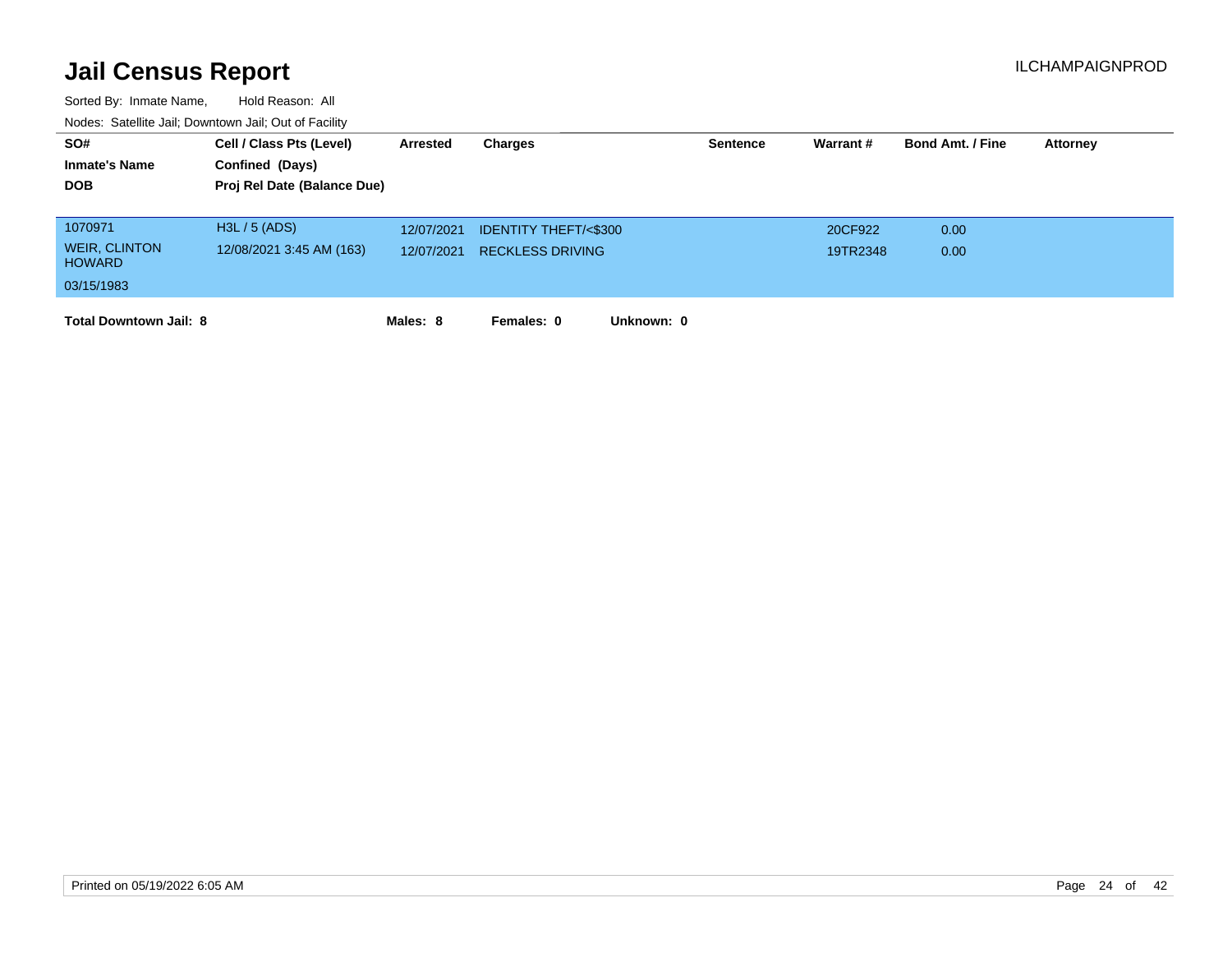| SO#                                   | Cell / Class Pts (Level)    | Arrested   | Charges                         | <b>Sentence</b> | Warrant# | <b>Bond Amt. / Fine</b> | <b>Attorney</b> |
|---------------------------------------|-----------------------------|------------|---------------------------------|-----------------|----------|-------------------------|-----------------|
| <b>Inmate's Name</b>                  | Confined (Days)             |            |                                 |                 |          |                         |                 |
| <b>DOB</b>                            | Proj Rel Date (Balance Due) |            |                                 |                 |          |                         |                 |
|                                       |                             |            |                                 |                 |          |                         |                 |
| 1070971                               | H3L / 5 (ADS)               | 12/07/2021 | <b>IDENTITY THEFT/&lt;\$300</b> |                 | 20CF922  | 0.00                    |                 |
| <b>WEIR, CLINTON</b><br><b>HOWARD</b> | 12/08/2021 3:45 AM (163)    | 12/07/2021 | <b>RECKLESS DRIVING</b>         |                 | 19TR2348 | 0.00                    |                 |
| 03/15/1983                            |                             |            |                                 |                 |          |                         |                 |
| <b>Total Downtown Jail: 8</b>         |                             | Males: 8   | Females: 0<br>Unknown: 0        |                 |          |                         |                 |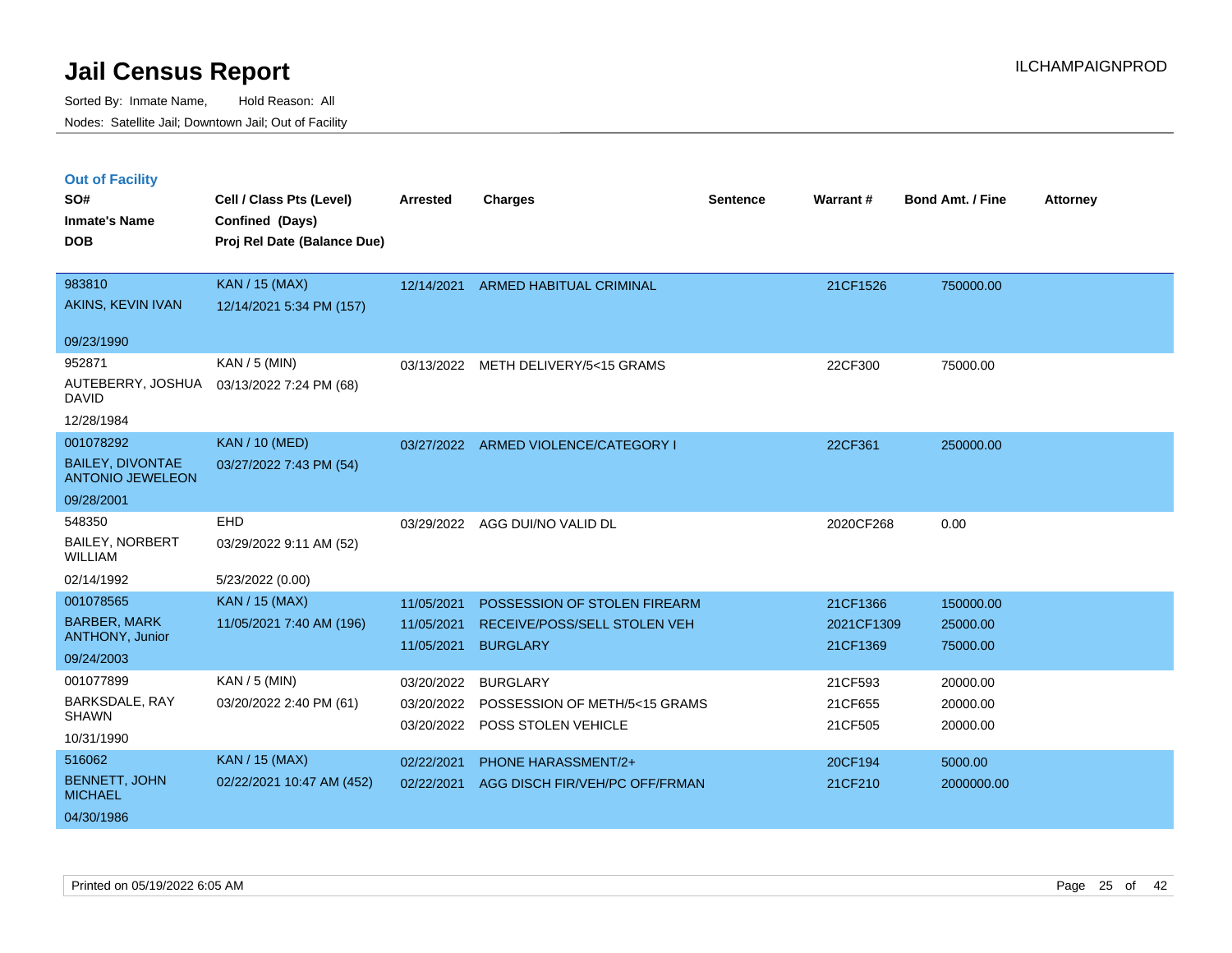Sorted By: Inmate Name, Hold Reason: All Nodes: Satellite Jail; Downtown Jail; Out of Facility

### **Out of Facility**

| SO#<br><b>Inmate's Name</b><br><b>DOB</b>                                | Cell / Class Pts (Level)<br>Confined (Days)<br>Proj Rel Date (Balance Due) | <b>Arrested</b>                        | <b>Charges</b>                                                                  | <b>Sentence</b> | Warrant#                           | <b>Bond Amt. / Fine</b>           | <b>Attorney</b> |
|--------------------------------------------------------------------------|----------------------------------------------------------------------------|----------------------------------------|---------------------------------------------------------------------------------|-----------------|------------------------------------|-----------------------------------|-----------------|
| 983810<br>AKINS, KEVIN IVAN                                              | <b>KAN / 15 (MAX)</b><br>12/14/2021 5:34 PM (157)                          |                                        | 12/14/2021 ARMED HABITUAL CRIMINAL                                              |                 | 21CF1526                           | 750000.00                         |                 |
| 09/23/1990                                                               |                                                                            |                                        |                                                                                 |                 |                                    |                                   |                 |
| 952871<br>AUTEBERRY, JOSHUA<br><b>DAVID</b>                              | KAN / 5 (MIN)<br>03/13/2022 7:24 PM (68)                                   |                                        | 03/13/2022 METH DELIVERY/5<15 GRAMS                                             |                 | 22CF300                            | 75000.00                          |                 |
| 12/28/1984<br>001078292                                                  |                                                                            |                                        |                                                                                 |                 |                                    |                                   |                 |
| <b>BAILEY, DIVONTAE</b><br><b>ANTONIO JEWELEON</b>                       | <b>KAN / 10 (MED)</b><br>03/27/2022 7:43 PM (54)                           |                                        | 03/27/2022 ARMED VIOLENCE/CATEGORY I                                            |                 | 22CF361                            | 250000.00                         |                 |
| 09/28/2001                                                               |                                                                            |                                        |                                                                                 |                 |                                    |                                   |                 |
| 548350<br><b>BAILEY, NORBERT</b><br><b>WILLIAM</b>                       | EHD<br>03/29/2022 9:11 AM (52)                                             |                                        | 03/29/2022 AGG DUI/NO VALID DL                                                  |                 | 2020CF268                          | 0.00                              |                 |
| 02/14/1992                                                               | 5/23/2022 (0.00)                                                           |                                        |                                                                                 |                 |                                    |                                   |                 |
| 001078565<br><b>BARBER, MARK</b><br><b>ANTHONY, Junior</b><br>09/24/2003 | <b>KAN / 15 (MAX)</b><br>11/05/2021 7:40 AM (196)                          | 11/05/2021<br>11/05/2021<br>11/05/2021 | POSSESSION OF STOLEN FIREARM<br>RECEIVE/POSS/SELL STOLEN VEH<br><b>BURGLARY</b> |                 | 21CF1366<br>2021CF1309<br>21CF1369 | 150000.00<br>25000.00<br>75000.00 |                 |
| 001077899<br>BARKSDALE, RAY<br><b>SHAWN</b><br>10/31/1990                | $KAN / 5$ (MIN)<br>03/20/2022 2:40 PM (61)                                 | 03/20/2022<br>03/20/2022<br>03/20/2022 | <b>BURGLARY</b><br>POSSESSION OF METH/5<15 GRAMS<br>POSS STOLEN VEHICLE         |                 | 21CF593<br>21CF655<br>21CF505      | 20000.00<br>20000.00<br>20000.00  |                 |
| 516062<br><b>BENNETT, JOHN</b><br><b>MICHAEL</b><br>04/30/1986           | <b>KAN / 15 (MAX)</b><br>02/22/2021 10:47 AM (452)                         | 02/22/2021<br>02/22/2021               | PHONE HARASSMENT/2+<br>AGG DISCH FIR/VEH/PC OFF/FRMAN                           |                 | 20CF194<br>21CF210                 | 5000.00<br>2000000.00             |                 |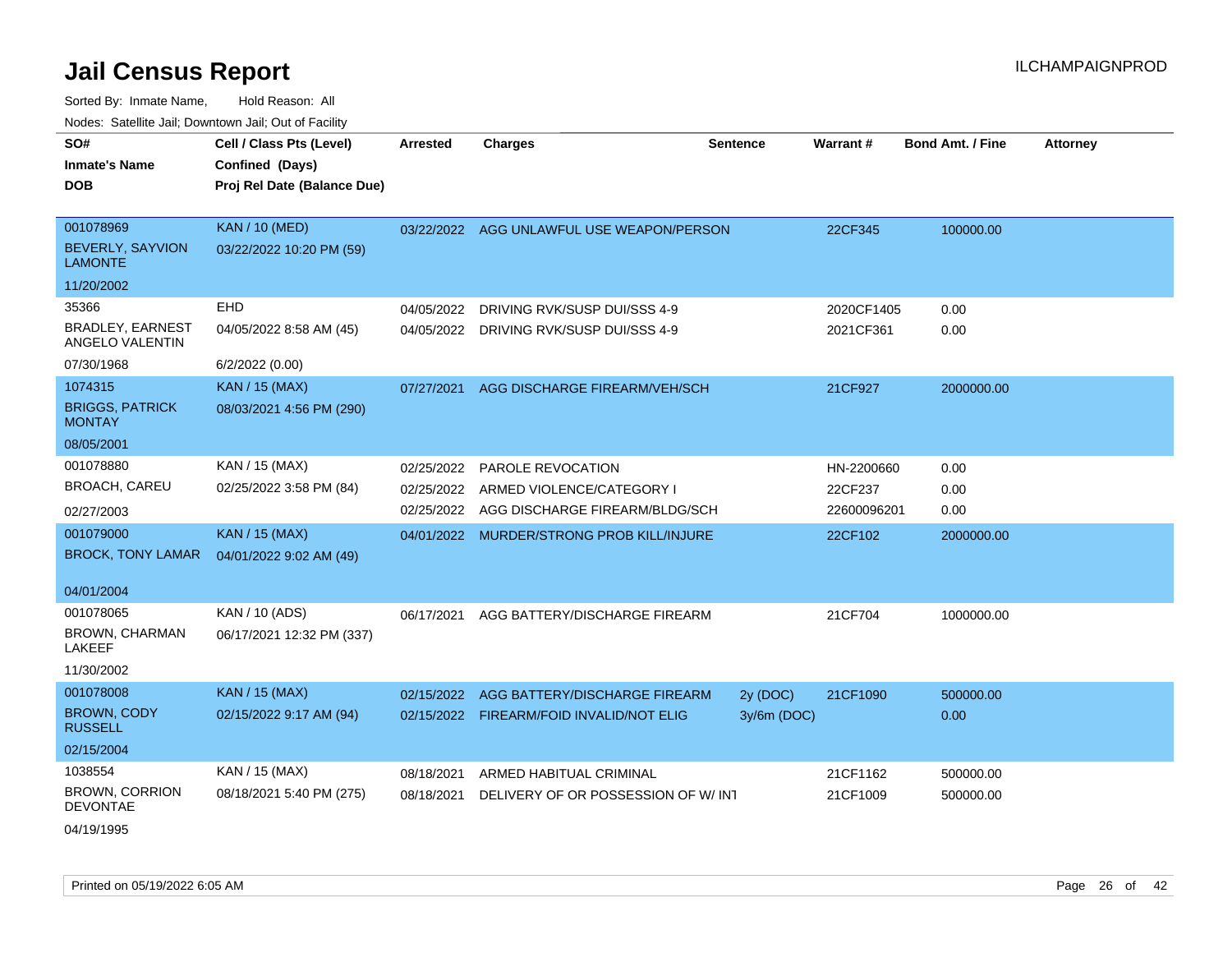| SO#                                        | Cell / Class Pts (Level)    | <b>Arrested</b> | <b>Charges</b>                            | <b>Sentence</b> | Warrant#    | <b>Bond Amt. / Fine</b> | <b>Attorney</b> |
|--------------------------------------------|-----------------------------|-----------------|-------------------------------------------|-----------------|-------------|-------------------------|-----------------|
| <b>Inmate's Name</b>                       | Confined (Days)             |                 |                                           |                 |             |                         |                 |
| <b>DOB</b>                                 | Proj Rel Date (Balance Due) |                 |                                           |                 |             |                         |                 |
|                                            |                             |                 |                                           |                 |             |                         |                 |
| 001078969                                  | <b>KAN / 10 (MED)</b>       |                 | 03/22/2022 AGG UNLAWFUL USE WEAPON/PERSON |                 | 22CF345     | 100000.00               |                 |
| <b>BEVERLY, SAYVION</b><br><b>LAMONTE</b>  | 03/22/2022 10:20 PM (59)    |                 |                                           |                 |             |                         |                 |
| 11/20/2002                                 |                             |                 |                                           |                 |             |                         |                 |
| 35366                                      | EHD                         | 04/05/2022      | DRIVING RVK/SUSP DUI/SSS 4-9              |                 | 2020CF1405  | 0.00                    |                 |
| <b>BRADLEY, EARNEST</b><br>ANGELO VALENTIN | 04/05/2022 8:58 AM (45)     | 04/05/2022      | DRIVING RVK/SUSP DUI/SSS 4-9              |                 | 2021CF361   | 0.00                    |                 |
| 07/30/1968                                 | 6/2/2022 (0.00)             |                 |                                           |                 |             |                         |                 |
| 1074315                                    | <b>KAN / 15 (MAX)</b>       | 07/27/2021      | AGG DISCHARGE FIREARM/VEH/SCH             |                 | 21CF927     | 2000000.00              |                 |
| <b>BRIGGS, PATRICK</b><br><b>MONTAY</b>    | 08/03/2021 4:56 PM (290)    |                 |                                           |                 |             |                         |                 |
| 08/05/2001                                 |                             |                 |                                           |                 |             |                         |                 |
| 001078880                                  | KAN / 15 (MAX)              | 02/25/2022      | <b>PAROLE REVOCATION</b>                  |                 | HN-2200660  | 0.00                    |                 |
| <b>BROACH, CAREU</b>                       | 02/25/2022 3:58 PM (84)     | 02/25/2022      | ARMED VIOLENCE/CATEGORY I                 |                 | 22CF237     | 0.00                    |                 |
| 02/27/2003                                 |                             |                 | 02/25/2022 AGG DISCHARGE FIREARM/BLDG/SCH |                 | 22600096201 | 0.00                    |                 |
| 001079000                                  | <b>KAN / 15 (MAX)</b>       |                 | 04/01/2022 MURDER/STRONG PROB KILL/INJURE |                 | 22CF102     | 2000000.00              |                 |
| <b>BROCK, TONY LAMAR</b>                   | 04/01/2022 9:02 AM (49)     |                 |                                           |                 |             |                         |                 |
|                                            |                             |                 |                                           |                 |             |                         |                 |
| 04/01/2004                                 |                             |                 |                                           |                 |             |                         |                 |
| 001078065                                  | KAN / 10 (ADS)              | 06/17/2021      | AGG BATTERY/DISCHARGE FIREARM             |                 | 21CF704     | 1000000.00              |                 |
| BROWN, CHARMAN<br>LAKEEF                   | 06/17/2021 12:32 PM (337)   |                 |                                           |                 |             |                         |                 |
| 11/30/2002                                 |                             |                 |                                           |                 |             |                         |                 |
| 001078008                                  | <b>KAN / 15 (MAX)</b>       |                 | 02/15/2022 AGG BATTERY/DISCHARGE FIREARM  | 2y (DOC)        | 21CF1090    | 500000.00               |                 |
| BROWN, CODY<br><b>RUSSELL</b>              | 02/15/2022 9:17 AM (94)     |                 | 02/15/2022 FIREARM/FOID INVALID/NOT ELIG  | 3y/6m (DOC)     |             | 0.00                    |                 |
| 02/15/2004                                 |                             |                 |                                           |                 |             |                         |                 |
| 1038554                                    | KAN / 15 (MAX)              | 08/18/2021      | ARMED HABITUAL CRIMINAL                   |                 | 21CF1162    | 500000.00               |                 |
| <b>BROWN, CORRION</b><br><b>DEVONTAE</b>   | 08/18/2021 5:40 PM (275)    | 08/18/2021      | DELIVERY OF OR POSSESSION OF W/INT        |                 | 21CF1009    | 500000.00               |                 |
| 04/19/1995                                 |                             |                 |                                           |                 |             |                         |                 |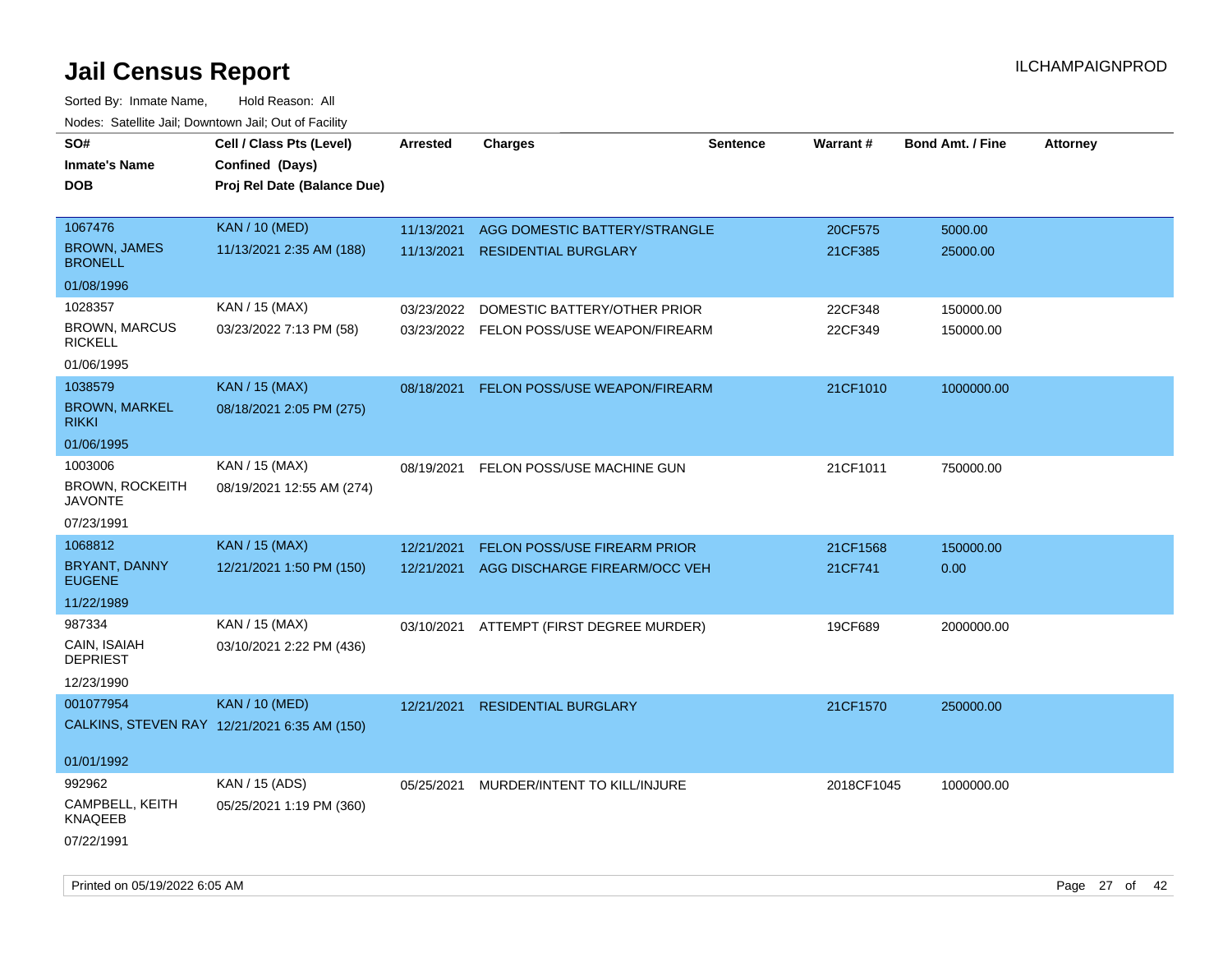| SO#<br><b>Inmate's Name</b><br><b>DOB</b>                                     | Cell / Class Pts (Level)<br>Confined (Days)<br>Proj Rel Date (Balance Due) | Arrested                 | <b>Charges</b>                                                           | <b>Sentence</b> | <b>Warrant#</b>     | <b>Bond Amt. / Fine</b> | <b>Attorney</b> |
|-------------------------------------------------------------------------------|----------------------------------------------------------------------------|--------------------------|--------------------------------------------------------------------------|-----------------|---------------------|-------------------------|-----------------|
| 1067476<br><b>BROWN, JAMES</b><br><b>BRONELL</b>                              | <b>KAN / 10 (MED)</b><br>11/13/2021 2:35 AM (188)                          | 11/13/2021<br>11/13/2021 | AGG DOMESTIC BATTERY/STRANGLE<br><b>RESIDENTIAL BURGLARY</b>             |                 | 20CF575<br>21CF385  | 5000.00<br>25000.00     |                 |
| 01/08/1996<br>1028357<br><b>BROWN, MARCUS</b><br><b>RICKELL</b><br>01/06/1995 | KAN / 15 (MAX)<br>03/23/2022 7:13 PM (58)                                  | 03/23/2022               | DOMESTIC BATTERY/OTHER PRIOR<br>03/23/2022 FELON POSS/USE WEAPON/FIREARM |                 | 22CF348<br>22CF349  | 150000.00<br>150000.00  |                 |
| 1038579<br><b>BROWN, MARKEL</b><br><b>RIKKI</b><br>01/06/1995                 | <b>KAN / 15 (MAX)</b><br>08/18/2021 2:05 PM (275)                          | 08/18/2021               | FELON POSS/USE WEAPON/FIREARM                                            |                 | 21CF1010            | 1000000.00              |                 |
| 1003006<br><b>BROWN, ROCKEITH</b><br><b>JAVONTE</b><br>07/23/1991             | KAN / 15 (MAX)<br>08/19/2021 12:55 AM (274)                                | 08/19/2021               | FELON POSS/USE MACHINE GUN                                               |                 | 21CF1011            | 750000.00               |                 |
| 1068812<br>BRYANT, DANNY<br><b>EUGENE</b><br>11/22/1989                       | <b>KAN / 15 (MAX)</b><br>12/21/2021 1:50 PM (150)                          | 12/21/2021<br>12/21/2021 | FELON POSS/USE FIREARM PRIOR<br>AGG DISCHARGE FIREARM/OCC VEH            |                 | 21CF1568<br>21CF741 | 150000.00<br>0.00       |                 |
| 987334<br>CAIN, ISAIAH<br><b>DEPRIEST</b><br>12/23/1990                       | KAN / 15 (MAX)<br>03/10/2021 2:22 PM (436)                                 |                          | 03/10/2021 ATTEMPT (FIRST DEGREE MURDER)                                 |                 | 19CF689             | 2000000.00              |                 |
| 001077954<br>01/01/1992                                                       | <b>KAN / 10 (MED)</b><br>CALKINS, STEVEN RAY 12/21/2021 6:35 AM (150)      | 12/21/2021               | <b>RESIDENTIAL BURGLARY</b>                                              |                 | 21CF1570            | 250000.00               |                 |
| 992962<br>CAMPBELL, KEITH<br>KNAQEEB<br>07/22/1991                            | KAN / 15 (ADS)<br>05/25/2021 1:19 PM (360)                                 | 05/25/2021               | MURDER/INTENT TO KILL/INJURE                                             |                 | 2018CF1045          | 1000000.00              |                 |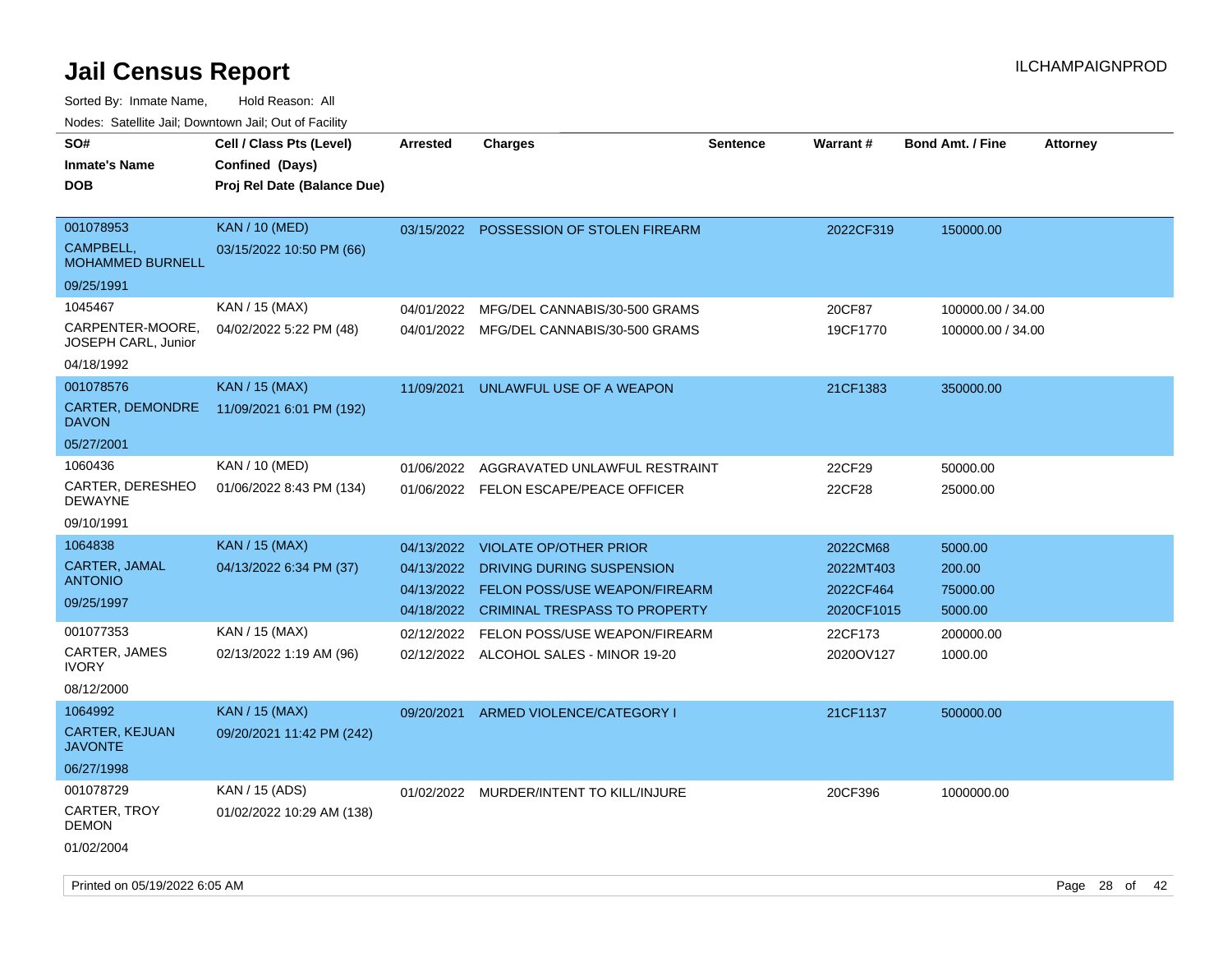Sorted By: Inmate Name, Hold Reason: All Nodes: Satellite Jail; Downtown Jail; Out of Facility

| SO#                                | Cell / Class Pts (Level)    | <b>Arrested</b> | <b>Charges</b>                           | <b>Sentence</b> | <b>Warrant#</b> | <b>Bond Amt. / Fine</b> | <b>Attorney</b> |
|------------------------------------|-----------------------------|-----------------|------------------------------------------|-----------------|-----------------|-------------------------|-----------------|
| <b>Inmate's Name</b>               |                             |                 |                                          |                 |                 |                         |                 |
|                                    | Confined (Days)             |                 |                                          |                 |                 |                         |                 |
| <b>DOB</b>                         | Proj Rel Date (Balance Due) |                 |                                          |                 |                 |                         |                 |
| 001078953                          | <b>KAN / 10 (MED)</b>       | 03/15/2022      | POSSESSION OF STOLEN FIREARM             |                 | 2022CF319       | 150000.00               |                 |
| CAMPBELL,                          | 03/15/2022 10:50 PM (66)    |                 |                                          |                 |                 |                         |                 |
| <b>MOHAMMED BURNELL</b>            |                             |                 |                                          |                 |                 |                         |                 |
| 09/25/1991                         |                             |                 |                                          |                 |                 |                         |                 |
| 1045467                            | KAN / 15 (MAX)              | 04/01/2022      | MFG/DEL CANNABIS/30-500 GRAMS            |                 | 20CF87          | 100000.00 / 34.00       |                 |
| CARPENTER-MOORE,                   | 04/02/2022 5:22 PM (48)     |                 | 04/01/2022 MFG/DEL CANNABIS/30-500 GRAMS |                 | 19CF1770        | 100000.00 / 34.00       |                 |
| <b>JOSEPH CARL, Junior</b>         |                             |                 |                                          |                 |                 |                         |                 |
| 04/18/1992                         |                             |                 |                                          |                 |                 |                         |                 |
| 001078576                          | <b>KAN / 15 (MAX)</b>       | 11/09/2021      | UNLAWFUL USE OF A WEAPON                 |                 | 21CF1383        | 350000.00               |                 |
| <b>CARTER, DEMONDRE</b>            | 11/09/2021 6:01 PM (192)    |                 |                                          |                 |                 |                         |                 |
| <b>DAVON</b>                       |                             |                 |                                          |                 |                 |                         |                 |
| 05/27/2001                         |                             |                 |                                          |                 |                 |                         |                 |
| 1060436                            | KAN / 10 (MED)              | 01/06/2022      | AGGRAVATED UNLAWFUL RESTRAINT            |                 | 22CF29          | 50000.00                |                 |
| CARTER, DERESHEO<br><b>DEWAYNE</b> | 01/06/2022 8:43 PM (134)    |                 | 01/06/2022 FELON ESCAPE/PEACE OFFICER    |                 | 22CF28          | 25000.00                |                 |
| 09/10/1991                         |                             |                 |                                          |                 |                 |                         |                 |
| 1064838                            | <b>KAN / 15 (MAX)</b>       | 04/13/2022      | <b>VIOLATE OP/OTHER PRIOR</b>            |                 | 2022CM68        | 5000.00                 |                 |
| CARTER, JAMAL                      | 04/13/2022 6:34 PM (37)     | 04/13/2022      | DRIVING DURING SUSPENSION                |                 | 2022MT403       | 200.00                  |                 |
| <b>ANTONIO</b>                     |                             | 04/13/2022      | FELON POSS/USE WEAPON/FIREARM            |                 | 2022CF464       | 75000.00                |                 |
| 09/25/1997                         |                             |                 | 04/18/2022 CRIMINAL TRESPASS TO PROPERTY |                 | 2020CF1015      | 5000.00                 |                 |
| 001077353                          | KAN / 15 (MAX)              | 02/12/2022      | FELON POSS/USE WEAPON/FIREARM            |                 | 22CF173         |                         |                 |
| CARTER, JAMES                      | 02/13/2022 1:19 AM (96)     |                 |                                          |                 |                 | 200000.00               |                 |
| <b>IVORY</b>                       |                             | 02/12/2022      | ALCOHOL SALES - MINOR 19-20              |                 | 2020OV127       | 1000.00                 |                 |
| 08/12/2000                         |                             |                 |                                          |                 |                 |                         |                 |
| 1064992                            | <b>KAN / 15 (MAX)</b>       | 09/20/2021      | ARMED VIOLENCE/CATEGORY I                |                 | 21CF1137        | 500000.00               |                 |
| CARTER, KEJUAN                     | 09/20/2021 11:42 PM (242)   |                 |                                          |                 |                 |                         |                 |
| <b>JAVONTE</b>                     |                             |                 |                                          |                 |                 |                         |                 |
| 06/27/1998                         |                             |                 |                                          |                 |                 |                         |                 |
| 001078729                          | KAN / 15 (ADS)              |                 | 01/02/2022 MURDER/INTENT TO KILL/INJURE  |                 | 20CF396         | 1000000.00              |                 |
| CARTER, TROY                       | 01/02/2022 10:29 AM (138)   |                 |                                          |                 |                 |                         |                 |
| <b>DEMON</b>                       |                             |                 |                                          |                 |                 |                         |                 |
| 01/02/2004                         |                             |                 |                                          |                 |                 |                         |                 |

Printed on 05/19/2022 6:05 AM Page 28 of 42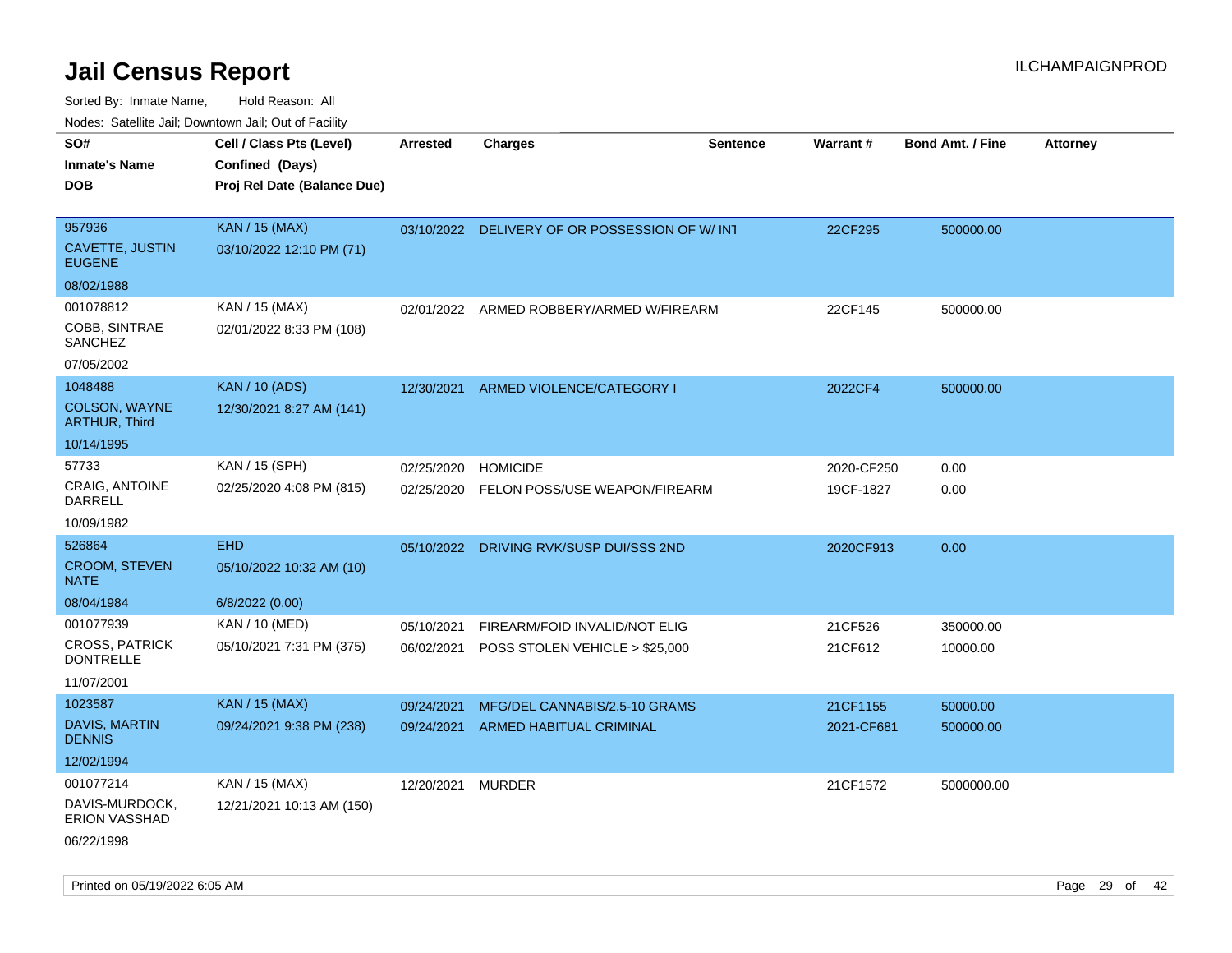Sorted By: Inmate Name, Hold Reason: All Nodes: Satellite Jail; Downtown Jail; Out of Facility

| roaco. Calcinio dan, Downtown dan, Cal or Fability |                                                                            |                 |                                               |                 |                 |                         |                 |
|----------------------------------------------------|----------------------------------------------------------------------------|-----------------|-----------------------------------------------|-----------------|-----------------|-------------------------|-----------------|
| SO#<br>Inmate's Name<br><b>DOB</b>                 | Cell / Class Pts (Level)<br>Confined (Days)<br>Proj Rel Date (Balance Due) | <b>Arrested</b> | <b>Charges</b>                                | <b>Sentence</b> | <b>Warrant#</b> | <b>Bond Amt. / Fine</b> | <b>Attorney</b> |
| 957936                                             | <b>KAN / 15 (MAX)</b>                                                      |                 | 03/10/2022 DELIVERY OF OR POSSESSION OF W/INT |                 | 22CF295         | 500000.00               |                 |
| <b>CAVETTE, JUSTIN</b><br><b>EUGENE</b>            | 03/10/2022 12:10 PM (71)                                                   |                 |                                               |                 |                 |                         |                 |
| 08/02/1988                                         |                                                                            |                 |                                               |                 |                 |                         |                 |
| 001078812                                          | KAN / 15 (MAX)                                                             |                 | 02/01/2022 ARMED ROBBERY/ARMED W/FIREARM      |                 | 22CF145         | 500000.00               |                 |
| COBB, SINTRAE<br>SANCHEZ                           | 02/01/2022 8:33 PM (108)                                                   |                 |                                               |                 |                 |                         |                 |
| 07/05/2002                                         |                                                                            |                 |                                               |                 |                 |                         |                 |
| 1048488                                            | <b>KAN / 10 (ADS)</b>                                                      | 12/30/2021      | ARMED VIOLENCE/CATEGORY I                     |                 | 2022CF4         | 500000.00               |                 |
| <b>COLSON, WAYNE</b><br><b>ARTHUR, Third</b>       | 12/30/2021 8:27 AM (141)                                                   |                 |                                               |                 |                 |                         |                 |
| 10/14/1995                                         |                                                                            |                 |                                               |                 |                 |                         |                 |
| 57733                                              | KAN / 15 (SPH)                                                             | 02/25/2020      | <b>HOMICIDE</b>                               |                 | 2020-CF250      | 0.00                    |                 |
| CRAIG, ANTOINE<br>DARRELL                          | 02/25/2020 4:08 PM (815)                                                   | 02/25/2020      | FELON POSS/USE WEAPON/FIREARM                 |                 | 19CF-1827       | 0.00                    |                 |
| 10/09/1982                                         |                                                                            |                 |                                               |                 |                 |                         |                 |
| 526864                                             | <b>EHD</b>                                                                 | 05/10/2022      | DRIVING RVK/SUSP DUI/SSS 2ND                  |                 | 2020CF913       | 0.00                    |                 |
| <b>CROOM, STEVEN</b><br>NATE                       | 05/10/2022 10:32 AM (10)                                                   |                 |                                               |                 |                 |                         |                 |
| 08/04/1984                                         | 6/8/2022 (0.00)                                                            |                 |                                               |                 |                 |                         |                 |
| 001077939                                          | KAN / 10 (MED)                                                             | 05/10/2021      | FIREARM/FOID INVALID/NOT ELIG                 |                 | 21CF526         | 350000.00               |                 |
| <b>CROSS, PATRICK</b><br><b>DONTRELLE</b>          | 05/10/2021 7:31 PM (375)                                                   | 06/02/2021      | POSS STOLEN VEHICLE > \$25,000                |                 | 21CF612         | 10000.00                |                 |
| 11/07/2001                                         |                                                                            |                 |                                               |                 |                 |                         |                 |
| 1023587                                            | <b>KAN / 15 (MAX)</b>                                                      | 09/24/2021      | MFG/DEL CANNABIS/2.5-10 GRAMS                 |                 | 21CF1155        | 50000.00                |                 |
| DAVIS, MARTIN<br><b>DENNIS</b>                     | 09/24/2021 9:38 PM (238)                                                   | 09/24/2021      | <b>ARMED HABITUAL CRIMINAL</b>                |                 | 2021-CF681      | 500000.00               |                 |
| 12/02/1994                                         |                                                                            |                 |                                               |                 |                 |                         |                 |
| 001077214                                          | KAN / 15 (MAX)                                                             | 12/20/2021      | MURDER                                        |                 | 21CF1572        | 5000000.00              |                 |
| DAVIS-MURDOCK,<br><b>ERION VASSHAD</b>             | 12/21/2021 10:13 AM (150)                                                  |                 |                                               |                 |                 |                         |                 |
|                                                    |                                                                            |                 |                                               |                 |                 |                         |                 |

06/22/1998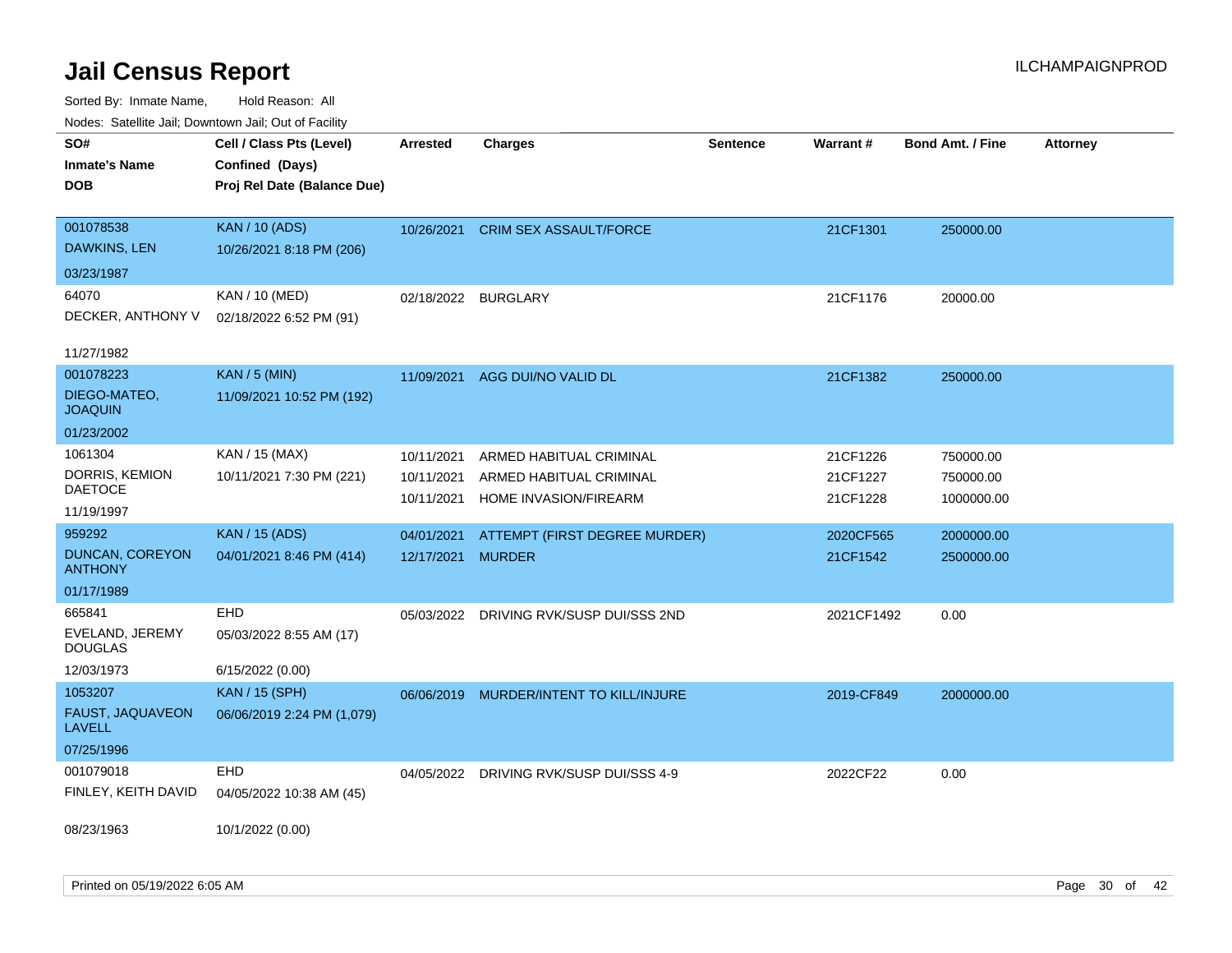| Noues. Sateme Jan, Downtown Jan, Out of Facility |                             |                     |                               |                 |            |                         |                 |
|--------------------------------------------------|-----------------------------|---------------------|-------------------------------|-----------------|------------|-------------------------|-----------------|
| SO#                                              | Cell / Class Pts (Level)    | Arrested            | <b>Charges</b>                | <b>Sentence</b> | Warrant#   | <b>Bond Amt. / Fine</b> | <b>Attorney</b> |
| <b>Inmate's Name</b>                             | Confined (Days)             |                     |                               |                 |            |                         |                 |
| <b>DOB</b>                                       | Proj Rel Date (Balance Due) |                     |                               |                 |            |                         |                 |
|                                                  |                             |                     |                               |                 |            |                         |                 |
| 001078538                                        | <b>KAN / 10 (ADS)</b>       | 10/26/2021          | <b>CRIM SEX ASSAULT/FORCE</b> |                 | 21CF1301   | 250000.00               |                 |
| DAWKINS, LEN                                     | 10/26/2021 8:18 PM (206)    |                     |                               |                 |            |                         |                 |
| 03/23/1987                                       |                             |                     |                               |                 |            |                         |                 |
| 64070                                            | KAN / 10 (MED)              | 02/18/2022 BURGLARY |                               |                 | 21CF1176   | 20000.00                |                 |
| DECKER, ANTHONY V                                | 02/18/2022 6:52 PM (91)     |                     |                               |                 |            |                         |                 |
|                                                  |                             |                     |                               |                 |            |                         |                 |
| 11/27/1982                                       |                             |                     |                               |                 |            |                         |                 |
| 001078223                                        | <b>KAN / 5 (MIN)</b>        | 11/09/2021          | AGG DUI/NO VALID DL           |                 | 21CF1382   | 250000.00               |                 |
| DIEGO-MATEO,<br><b>JOAQUIN</b>                   | 11/09/2021 10:52 PM (192)   |                     |                               |                 |            |                         |                 |
| 01/23/2002                                       |                             |                     |                               |                 |            |                         |                 |
| 1061304                                          | KAN / 15 (MAX)              | 10/11/2021          | ARMED HABITUAL CRIMINAL       |                 | 21CF1226   | 750000.00               |                 |
| DORRIS, KEMION                                   | 10/11/2021 7:30 PM (221)    | 10/11/2021          | ARMED HABITUAL CRIMINAL       |                 | 21CF1227   | 750000.00               |                 |
| DAETOCE                                          |                             | 10/11/2021          | HOME INVASION/FIREARM         |                 | 21CF1228   | 1000000.00              |                 |
| 11/19/1997                                       |                             |                     |                               |                 |            |                         |                 |
| 959292                                           | <b>KAN / 15 (ADS)</b>       | 04/01/2021          | ATTEMPT (FIRST DEGREE MURDER) |                 | 2020CF565  | 2000000.00              |                 |
| DUNCAN, COREYON<br><b>ANTHONY</b>                | 04/01/2021 8:46 PM (414)    | 12/17/2021          | <b>MURDER</b>                 |                 | 21CF1542   | 2500000.00              |                 |
| 01/17/1989                                       |                             |                     |                               |                 |            |                         |                 |
| 665841                                           | EHD                         | 05/03/2022          | DRIVING RVK/SUSP DUI/SSS 2ND  |                 | 2021CF1492 | 0.00                    |                 |
| EVELAND, JEREMY<br><b>DOUGLAS</b>                | 05/03/2022 8:55 AM (17)     |                     |                               |                 |            |                         |                 |
| 12/03/1973                                       | 6/15/2022 (0.00)            |                     |                               |                 |            |                         |                 |
| 1053207                                          | <b>KAN / 15 (SPH)</b>       | 06/06/2019          | MURDER/INTENT TO KILL/INJURE  |                 | 2019-CF849 | 2000000.00              |                 |
| FAUST, JAQUAVEON<br><b>LAVELL</b>                | 06/06/2019 2:24 PM (1,079)  |                     |                               |                 |            |                         |                 |
| 07/25/1996                                       |                             |                     |                               |                 |            |                         |                 |
| 001079018                                        | EHD                         | 04/05/2022          | DRIVING RVK/SUSP DUI/SSS 4-9  |                 | 2022CF22   | 0.00                    |                 |
| FINLEY, KEITH DAVID                              | 04/05/2022 10:38 AM (45)    |                     |                               |                 |            |                         |                 |
|                                                  |                             |                     |                               |                 |            |                         |                 |
| 08/23/1963                                       | 10/1/2022 (0.00)            |                     |                               |                 |            |                         |                 |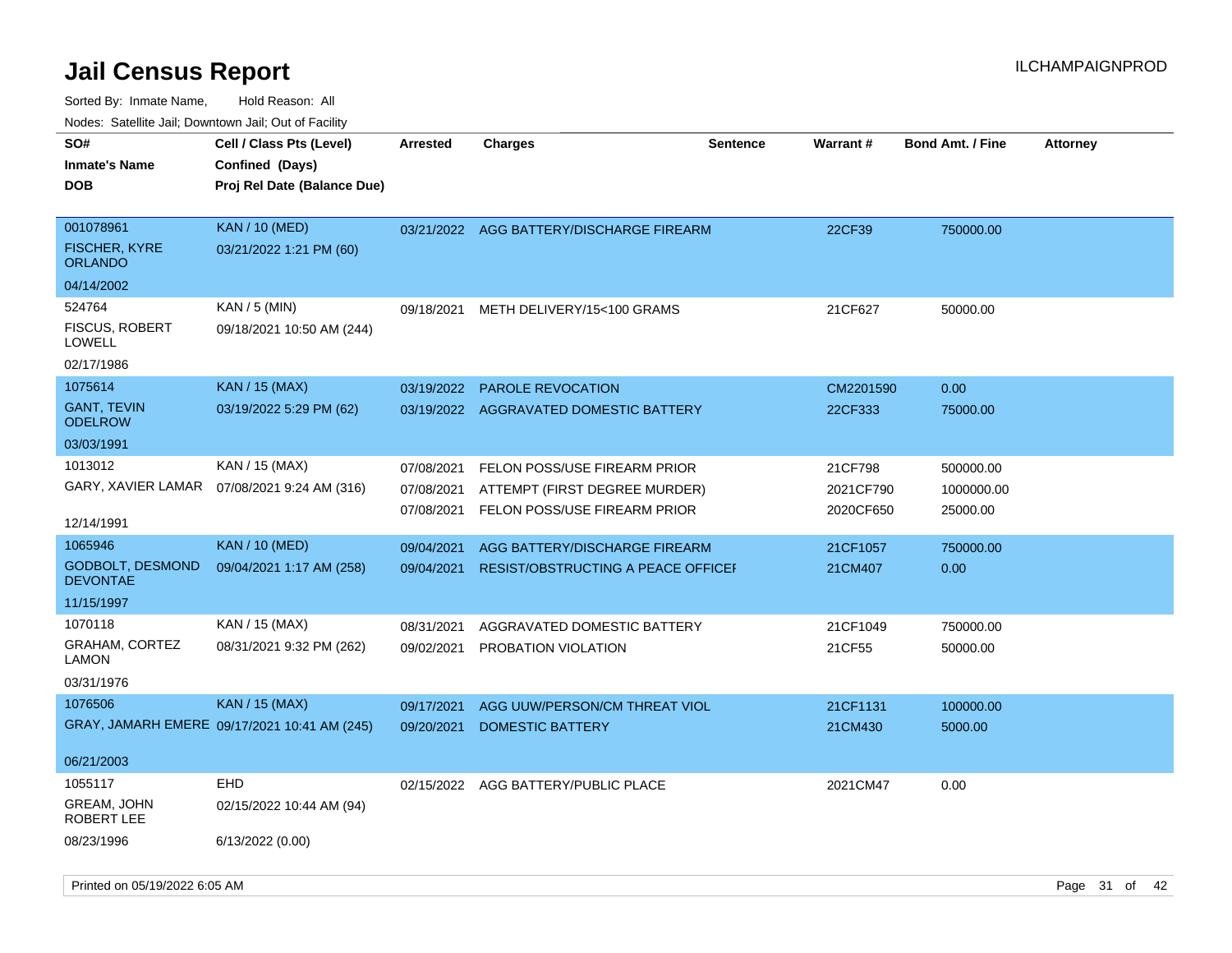| Nuuts. Saltiille Jall, Duwilluwii Jall, Oul Ul I aulilly<br>SO# | Cell / Class Pts (Level)                     | <b>Arrested</b> | Charges                                  | <b>Sentence</b> | Warrant#  | <b>Bond Amt. / Fine</b> | <b>Attorney</b> |
|-----------------------------------------------------------------|----------------------------------------------|-----------------|------------------------------------------|-----------------|-----------|-------------------------|-----------------|
| Inmate's Name                                                   | Confined (Days)                              |                 |                                          |                 |           |                         |                 |
| <b>DOB</b>                                                      | Proj Rel Date (Balance Due)                  |                 |                                          |                 |           |                         |                 |
|                                                                 |                                              |                 |                                          |                 |           |                         |                 |
| 001078961                                                       | <b>KAN / 10 (MED)</b>                        |                 | 03/21/2022 AGG BATTERY/DISCHARGE FIREARM |                 | 22CF39    | 750000.00               |                 |
| FISCHER, KYRE<br>ORLANDO                                        | 03/21/2022 1:21 PM (60)                      |                 |                                          |                 |           |                         |                 |
| 04/14/2002                                                      |                                              |                 |                                          |                 |           |                         |                 |
| 524764                                                          | KAN / 5 (MIN)                                | 09/18/2021      | METH DELIVERY/15<100 GRAMS               |                 | 21CF627   | 50000.00                |                 |
| <b>FISCUS, ROBERT</b><br>LOWELL                                 | 09/18/2021 10:50 AM (244)                    |                 |                                          |                 |           |                         |                 |
| 02/17/1986                                                      |                                              |                 |                                          |                 |           |                         |                 |
| 1075614                                                         | <b>KAN / 15 (MAX)</b>                        | 03/19/2022      | PAROLE REVOCATION                        |                 | CM2201590 | 0.00                    |                 |
| <b>GANT, TEVIN</b><br>ODELROW                                   | 03/19/2022 5:29 PM (62)                      |                 | 03/19/2022 AGGRAVATED DOMESTIC BATTERY   |                 | 22CF333   | 75000.00                |                 |
| 03/03/1991                                                      |                                              |                 |                                          |                 |           |                         |                 |
| 1013012                                                         | KAN / 15 (MAX)                               | 07/08/2021      | FELON POSS/USE FIREARM PRIOR             |                 | 21CF798   | 500000.00               |                 |
|                                                                 | GARY, XAVIER LAMAR 07/08/2021 9:24 AM (316)  | 07/08/2021      | ATTEMPT (FIRST DEGREE MURDER)            |                 | 2021CF790 | 1000000.00              |                 |
| 12/14/1991                                                      |                                              | 07/08/2021      | FELON POSS/USE FIREARM PRIOR             |                 | 2020CF650 | 25000.00                |                 |
| 1065946                                                         | <b>KAN / 10 (MED)</b>                        | 09/04/2021      | AGG BATTERY/DISCHARGE FIREARM            |                 | 21CF1057  | 750000.00               |                 |
| <b>GODBOLT, DESMOND</b><br><b>DEVONTAE</b>                      | 09/04/2021 1:17 AM (258)                     | 09/04/2021      | RESIST/OBSTRUCTING A PEACE OFFICEF       |                 | 21CM407   | 0.00                    |                 |
| 11/15/1997                                                      |                                              |                 |                                          |                 |           |                         |                 |
| 1070118                                                         | KAN / 15 (MAX)                               | 08/31/2021      | AGGRAVATED DOMESTIC BATTERY              |                 | 21CF1049  | 750000.00               |                 |
| GRAHAM, CORTEZ<br>LAMON                                         | 08/31/2021 9:32 PM (262)                     | 09/02/2021      | PROBATION VIOLATION                      |                 | 21CF55    | 50000.00                |                 |
| 03/31/1976                                                      |                                              |                 |                                          |                 |           |                         |                 |
| 1076506                                                         | <b>KAN</b> / 15 (MAX)                        | 09/17/2021      | AGG UUW/PERSON/CM THREAT VIOL            |                 | 21CF1131  | 100000.00               |                 |
|                                                                 | GRAY, JAMARH EMERE 09/17/2021 10:41 AM (245) | 09/20/2021      | <b>DOMESTIC BATTERY</b>                  |                 | 21CM430   | 5000.00                 |                 |
| 06/21/2003                                                      |                                              |                 |                                          |                 |           |                         |                 |
| 1055117                                                         | EHD                                          |                 | 02/15/2022 AGG BATTERY/PUBLIC PLACE      |                 | 2021CM47  | 0.00                    |                 |
| GREAM, JOHN<br>ROBERT LEE                                       | 02/15/2022 10:44 AM (94)                     |                 |                                          |                 |           |                         |                 |
| 08/23/1996                                                      | 6/13/2022 (0.00)                             |                 |                                          |                 |           |                         |                 |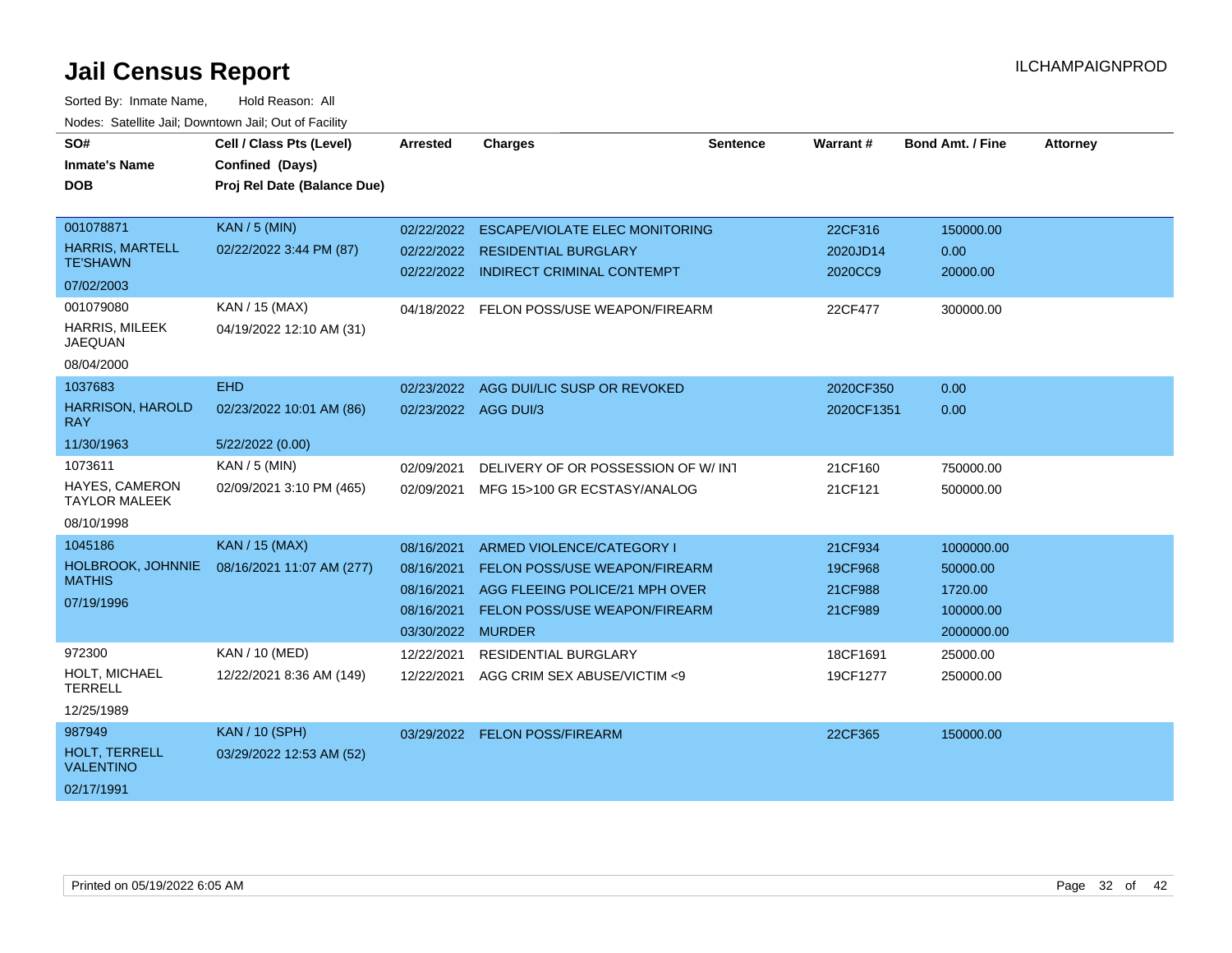| SO#                                       | Cell / Class Pts (Level)    | <b>Arrested</b> | <b>Charges</b>                        | <b>Sentence</b> | Warrant #  | <b>Bond Amt. / Fine</b> | <b>Attorney</b> |
|-------------------------------------------|-----------------------------|-----------------|---------------------------------------|-----------------|------------|-------------------------|-----------------|
| <b>Inmate's Name</b>                      | Confined (Days)             |                 |                                       |                 |            |                         |                 |
| <b>DOB</b>                                | Proj Rel Date (Balance Due) |                 |                                       |                 |            |                         |                 |
|                                           |                             |                 |                                       |                 |            |                         |                 |
| 001078871                                 | <b>KAN / 5 (MIN)</b>        | 02/22/2022      | <b>ESCAPE/VIOLATE ELEC MONITORING</b> |                 | 22CF316    | 150000.00               |                 |
| <b>HARRIS, MARTELL</b><br><b>TE'SHAWN</b> | 02/22/2022 3:44 PM (87)     | 02/22/2022      | <b>RESIDENTIAL BURGLARY</b>           |                 | 2020JD14   | 0.00                    |                 |
| 07/02/2003                                |                             |                 | 02/22/2022 INDIRECT CRIMINAL CONTEMPT |                 | 2020CC9    | 20000.00                |                 |
| 001079080                                 | KAN / 15 (MAX)              | 04/18/2022      | FELON POSS/USE WEAPON/FIREARM         |                 | 22CF477    | 300000.00               |                 |
| <b>HARRIS, MILEEK</b><br><b>JAEQUAN</b>   | 04/19/2022 12:10 AM (31)    |                 |                                       |                 |            |                         |                 |
| 08/04/2000                                |                             |                 |                                       |                 |            |                         |                 |
| 1037683                                   | <b>EHD</b>                  | 02/23/2022      | AGG DUI/LIC SUSP OR REVOKED           |                 | 2020CF350  | 0.00                    |                 |
| <b>HARRISON, HAROLD</b><br><b>RAY</b>     | 02/23/2022 10:01 AM (86)    |                 | 02/23/2022 AGG DUI/3                  |                 | 2020CF1351 | 0.00                    |                 |
| 11/30/1963                                | 5/22/2022 (0.00)            |                 |                                       |                 |            |                         |                 |
| 1073611                                   | KAN / 5 (MIN)               | 02/09/2021      | DELIVERY OF OR POSSESSION OF W/INT    |                 | 21CF160    | 750000.00               |                 |
| HAYES, CAMERON<br><b>TAYLOR MALEEK</b>    | 02/09/2021 3:10 PM (465)    | 02/09/2021      | MFG 15>100 GR ECSTASY/ANALOG          |                 | 21CF121    | 500000.00               |                 |
| 08/10/1998                                |                             |                 |                                       |                 |            |                         |                 |
| 1045186                                   | <b>KAN / 15 (MAX)</b>       | 08/16/2021      | ARMED VIOLENCE/CATEGORY I             |                 | 21CF934    | 1000000.00              |                 |
| HOLBROOK, JOHNNIE                         | 08/16/2021 11:07 AM (277)   | 08/16/2021      | <b>FELON POSS/USE WEAPON/FIREARM</b>  |                 | 19CF968    | 50000.00                |                 |
| <b>MATHIS</b>                             |                             | 08/16/2021      | AGG FLEEING POLICE/21 MPH OVER        |                 | 21CF988    | 1720.00                 |                 |
| 07/19/1996                                |                             | 08/16/2021      | <b>FELON POSS/USE WEAPON/FIREARM</b>  |                 | 21CF989    | 100000.00               |                 |
|                                           |                             | 03/30/2022      | <b>MURDER</b>                         |                 |            | 2000000.00              |                 |
| 972300                                    | <b>KAN / 10 (MED)</b>       | 12/22/2021      | <b>RESIDENTIAL BURGLARY</b>           |                 | 18CF1691   | 25000.00                |                 |
| HOLT, MICHAEL<br><b>TERRELL</b>           | 12/22/2021 8:36 AM (149)    | 12/22/2021      | AGG CRIM SEX ABUSE/VICTIM <9          |                 | 19CF1277   | 250000.00               |                 |
| 12/25/1989                                |                             |                 |                                       |                 |            |                         |                 |
| 987949                                    | <b>KAN / 10 (SPH)</b>       |                 | 03/29/2022 FELON POSS/FIREARM         |                 | 22CF365    | 150000.00               |                 |
| HOLT. TERRELL<br><b>VALENTINO</b>         | 03/29/2022 12:53 AM (52)    |                 |                                       |                 |            |                         |                 |
| 02/17/1991                                |                             |                 |                                       |                 |            |                         |                 |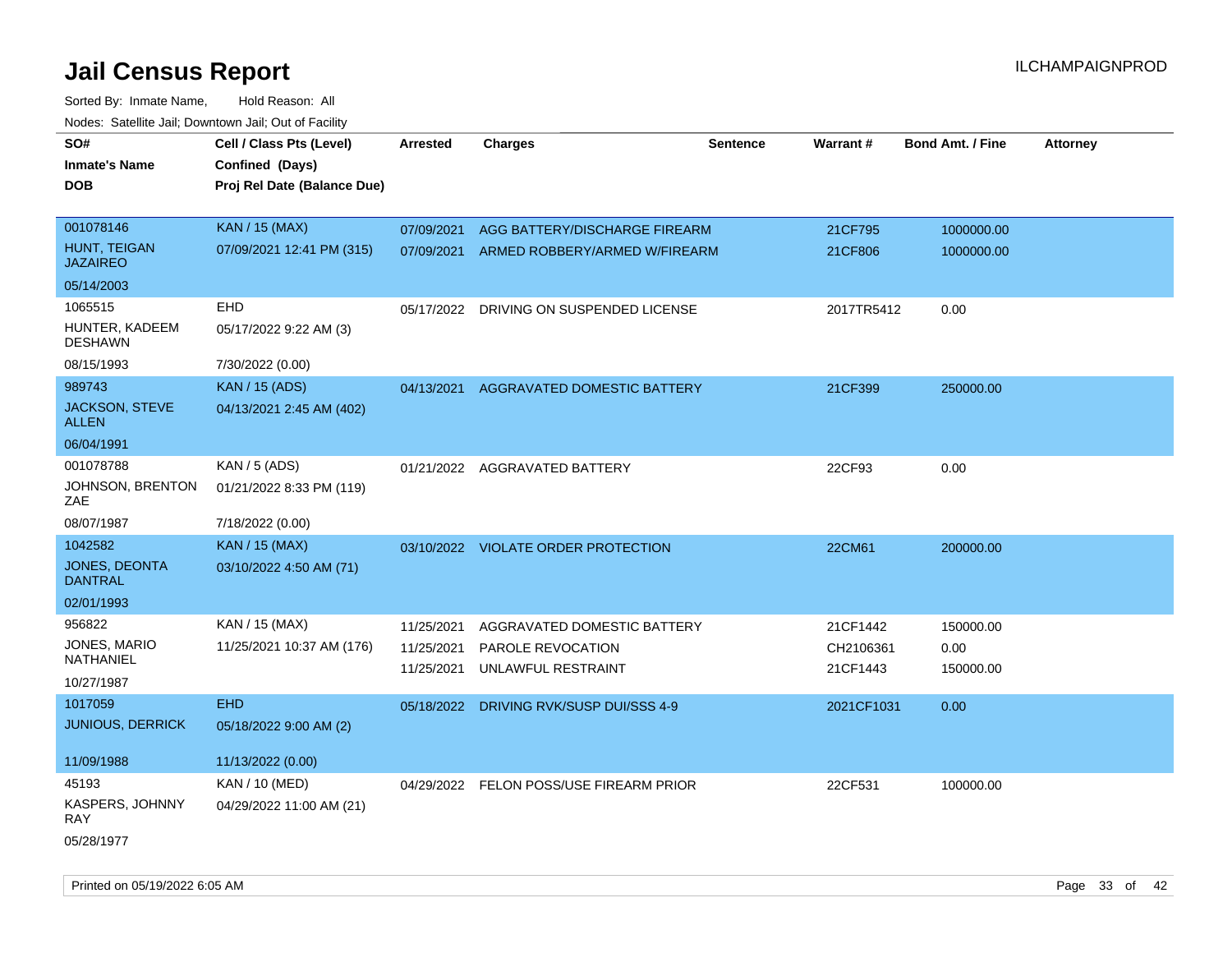| SO#                                  | Cell / Class Pts (Level)    | <b>Arrested</b> | <b>Charges</b>                           | <b>Sentence</b> | Warrant#   | <b>Bond Amt. / Fine</b> | <b>Attorney</b> |
|--------------------------------------|-----------------------------|-----------------|------------------------------------------|-----------------|------------|-------------------------|-----------------|
| <b>Inmate's Name</b>                 | Confined (Days)             |                 |                                          |                 |            |                         |                 |
| <b>DOB</b>                           | Proj Rel Date (Balance Due) |                 |                                          |                 |            |                         |                 |
|                                      |                             |                 |                                          |                 |            |                         |                 |
| 001078146                            | <b>KAN / 15 (MAX)</b>       | 07/09/2021      | AGG BATTERY/DISCHARGE FIREARM            |                 | 21CF795    | 1000000.00              |                 |
| HUNT, TEIGAN<br><b>JAZAIREO</b>      | 07/09/2021 12:41 PM (315)   |                 | 07/09/2021 ARMED ROBBERY/ARMED W/FIREARM |                 | 21CF806    | 1000000.00              |                 |
| 05/14/2003                           |                             |                 |                                          |                 |            |                         |                 |
| 1065515                              | EHD                         | 05/17/2022      | DRIVING ON SUSPENDED LICENSE             |                 | 2017TR5412 | 0.00                    |                 |
| HUNTER, KADEEM<br><b>DESHAWN</b>     | 05/17/2022 9:22 AM (3)      |                 |                                          |                 |            |                         |                 |
| 08/15/1993                           | 7/30/2022 (0.00)            |                 |                                          |                 |            |                         |                 |
| 989743                               | <b>KAN / 15 (ADS)</b>       | 04/13/2021      | AGGRAVATED DOMESTIC BATTERY              |                 | 21CF399    | 250000.00               |                 |
| JACKSON, STEVE<br><b>ALLEN</b>       | 04/13/2021 2:45 AM (402)    |                 |                                          |                 |            |                         |                 |
| 06/04/1991                           |                             |                 |                                          |                 |            |                         |                 |
| 001078788                            | KAN / 5 (ADS)               |                 | 01/21/2022 AGGRAVATED BATTERY            |                 | 22CF93     | 0.00                    |                 |
| JOHNSON, BRENTON<br>ZAE              | 01/21/2022 8:33 PM (119)    |                 |                                          |                 |            |                         |                 |
| 08/07/1987                           | 7/18/2022 (0.00)            |                 |                                          |                 |            |                         |                 |
| 1042582                              | <b>KAN</b> / 15 (MAX)       |                 | 03/10/2022 VIOLATE ORDER PROTECTION      |                 | 22CM61     | 200000.00               |                 |
| JONES, DEONTA<br><b>DANTRAL</b>      | 03/10/2022 4:50 AM (71)     |                 |                                          |                 |            |                         |                 |
| 02/01/1993                           |                             |                 |                                          |                 |            |                         |                 |
| 956822                               | KAN / 15 (MAX)              | 11/25/2021      | AGGRAVATED DOMESTIC BATTERY              |                 | 21CF1442   | 150000.00               |                 |
| JONES, MARIO                         | 11/25/2021 10:37 AM (176)   | 11/25/2021      | PAROLE REVOCATION                        |                 | CH2106361  | 0.00                    |                 |
| NATHANIEL                            |                             | 11/25/2021      | UNLAWFUL RESTRAINT                       |                 | 21CF1443   | 150000.00               |                 |
| 10/27/1987                           |                             |                 |                                          |                 |            |                         |                 |
| 1017059                              | EHD                         |                 | 05/18/2022 DRIVING RVK/SUSP DUI/SSS 4-9  |                 | 2021CF1031 | 0.00                    |                 |
| <b>JUNIOUS, DERRICK</b>              | 05/18/2022 9:00 AM (2)      |                 |                                          |                 |            |                         |                 |
|                                      |                             |                 |                                          |                 |            |                         |                 |
| 11/09/1988                           | 11/13/2022 (0.00)           |                 |                                          |                 |            |                         |                 |
| 45193                                | KAN / 10 (MED)              |                 | 04/29/2022 FELON POSS/USE FIREARM PRIOR  |                 | 22CF531    | 100000.00               |                 |
| <b>KASPERS, JOHNNY</b><br><b>RAY</b> | 04/29/2022 11:00 AM (21)    |                 |                                          |                 |            |                         |                 |
| 05/28/1977                           |                             |                 |                                          |                 |            |                         |                 |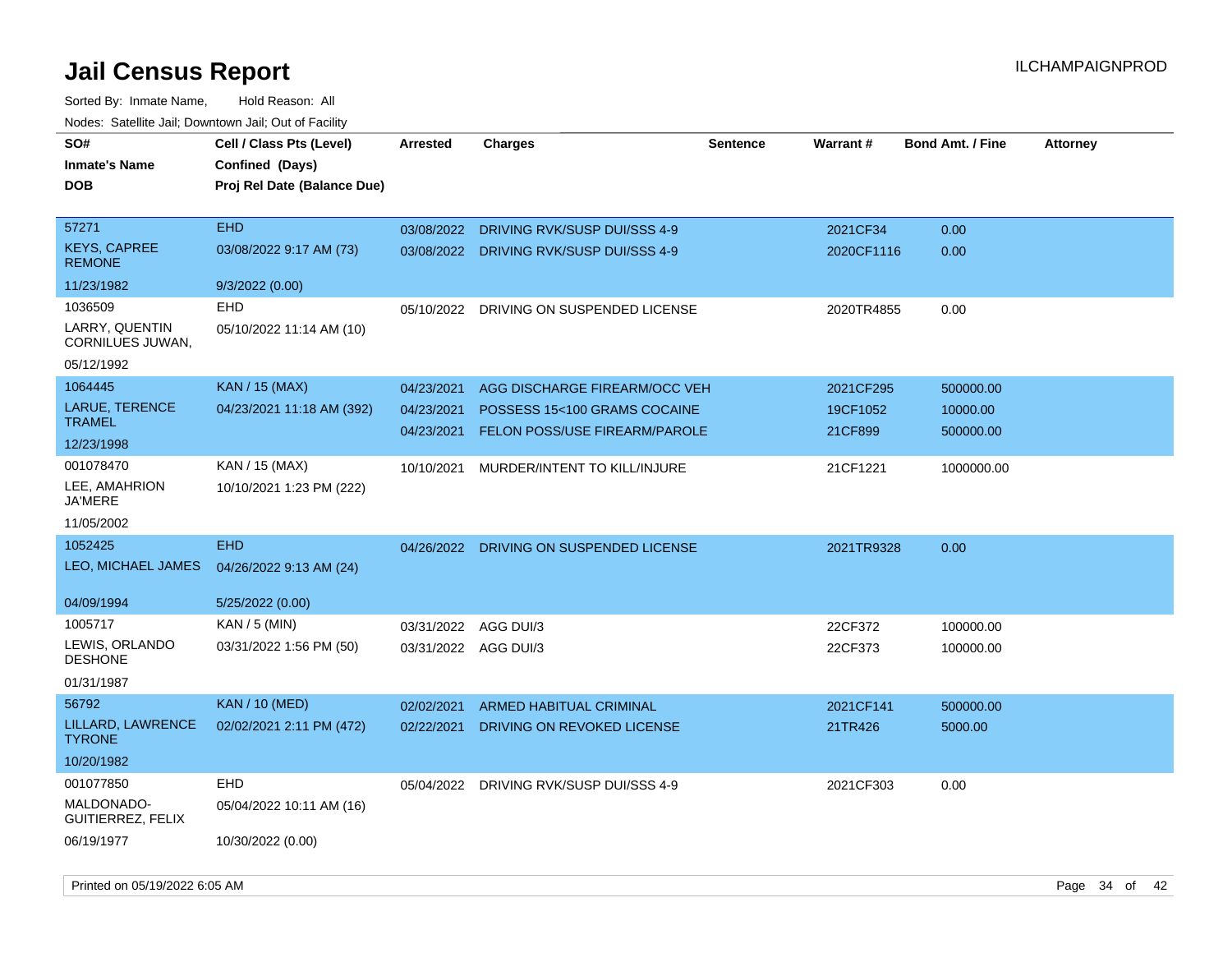| rouco. Calcinic Jan, Downtown Jan, Out of Facility |                             |                      |                                         |                 |            |                         |                 |
|----------------------------------------------------|-----------------------------|----------------------|-----------------------------------------|-----------------|------------|-------------------------|-----------------|
| SO#                                                | Cell / Class Pts (Level)    | <b>Arrested</b>      | Charges                                 | <b>Sentence</b> | Warrant#   | <b>Bond Amt. / Fine</b> | <b>Attorney</b> |
| Inmate's Name                                      | Confined (Days)             |                      |                                         |                 |            |                         |                 |
| <b>DOB</b>                                         | Proj Rel Date (Balance Due) |                      |                                         |                 |            |                         |                 |
|                                                    |                             |                      |                                         |                 |            |                         |                 |
| 57271                                              | <b>EHD</b>                  | 03/08/2022           | DRIVING RVK/SUSP DUI/SSS 4-9            |                 | 2021CF34   | 0.00                    |                 |
| <b>KEYS, CAPREE</b><br><b>REMONE</b>               | 03/08/2022 9:17 AM (73)     |                      | 03/08/2022 DRIVING RVK/SUSP DUI/SSS 4-9 |                 | 2020CF1116 | 0.00                    |                 |
| 11/23/1982                                         | 9/3/2022 (0.00)             |                      |                                         |                 |            |                         |                 |
| 1036509                                            | <b>EHD</b>                  | 05/10/2022           | DRIVING ON SUSPENDED LICENSE            |                 | 2020TR4855 | 0.00                    |                 |
| LARRY, QUENTIN<br>CORNILUES JUWAN,                 | 05/10/2022 11:14 AM (10)    |                      |                                         |                 |            |                         |                 |
| 05/12/1992                                         |                             |                      |                                         |                 |            |                         |                 |
| 1064445                                            | <b>KAN / 15 (MAX)</b>       | 04/23/2021           | AGG DISCHARGE FIREARM/OCC VEH           |                 | 2021CF295  | 500000.00               |                 |
| LARUE, TERENCE                                     | 04/23/2021 11:18 AM (392)   | 04/23/2021           | POSSESS 15<100 GRAMS COCAINE            |                 | 19CF1052   | 10000.00                |                 |
| TRAMEL                                             |                             | 04/23/2021           | <b>FELON POSS/USE FIREARM/PAROLE</b>    |                 | 21CF899    | 500000.00               |                 |
| 12/23/1998                                         |                             |                      |                                         |                 |            |                         |                 |
| 001078470                                          | KAN / 15 (MAX)              | 10/10/2021           | MURDER/INTENT TO KILL/INJURE            |                 | 21CF1221   | 1000000.00              |                 |
| LEE, AMAHRION<br>JA'MERE                           | 10/10/2021 1:23 PM (222)    |                      |                                         |                 |            |                         |                 |
| 11/05/2002                                         |                             |                      |                                         |                 |            |                         |                 |
| 1052425                                            | <b>EHD</b>                  | 04/26/2022           | DRIVING ON SUSPENDED LICENSE            |                 | 2021TR9328 | 0.00                    |                 |
| LEO, MICHAEL JAMES                                 | 04/26/2022 9:13 AM (24)     |                      |                                         |                 |            |                         |                 |
|                                                    |                             |                      |                                         |                 |            |                         |                 |
| 04/09/1994                                         | 5/25/2022 (0.00)            |                      |                                         |                 |            |                         |                 |
| 1005717                                            | $KAN / 5$ (MIN)             | 03/31/2022           | AGG DUI/3                               |                 | 22CF372    | 100000.00               |                 |
| LEWIS, ORLANDO<br><b>DESHONE</b>                   | 03/31/2022 1:56 PM (50)     | 03/31/2022 AGG DUI/3 |                                         |                 | 22CF373    | 100000.00               |                 |
| 01/31/1987                                         |                             |                      |                                         |                 |            |                         |                 |
| 56792                                              | <b>KAN / 10 (MED)</b>       | 02/02/2021           | <b>ARMED HABITUAL CRIMINAL</b>          |                 | 2021CF141  | 500000.00               |                 |
| LILLARD, LAWRENCE<br><b>TYRONE</b>                 | 02/02/2021 2:11 PM (472)    | 02/22/2021           | DRIVING ON REVOKED LICENSE              |                 | 21TR426    | 5000.00                 |                 |
| 10/20/1982                                         |                             |                      |                                         |                 |            |                         |                 |
| 001077850                                          | <b>EHD</b>                  | 05/04/2022           | DRIVING RVK/SUSP DUI/SSS 4-9            |                 | 2021CF303  | 0.00                    |                 |
| MALDONADO-<br>GUITIERREZ, FELIX                    | 05/04/2022 10:11 AM (16)    |                      |                                         |                 |            |                         |                 |
| 06/19/1977                                         | 10/30/2022 (0.00)           |                      |                                         |                 |            |                         |                 |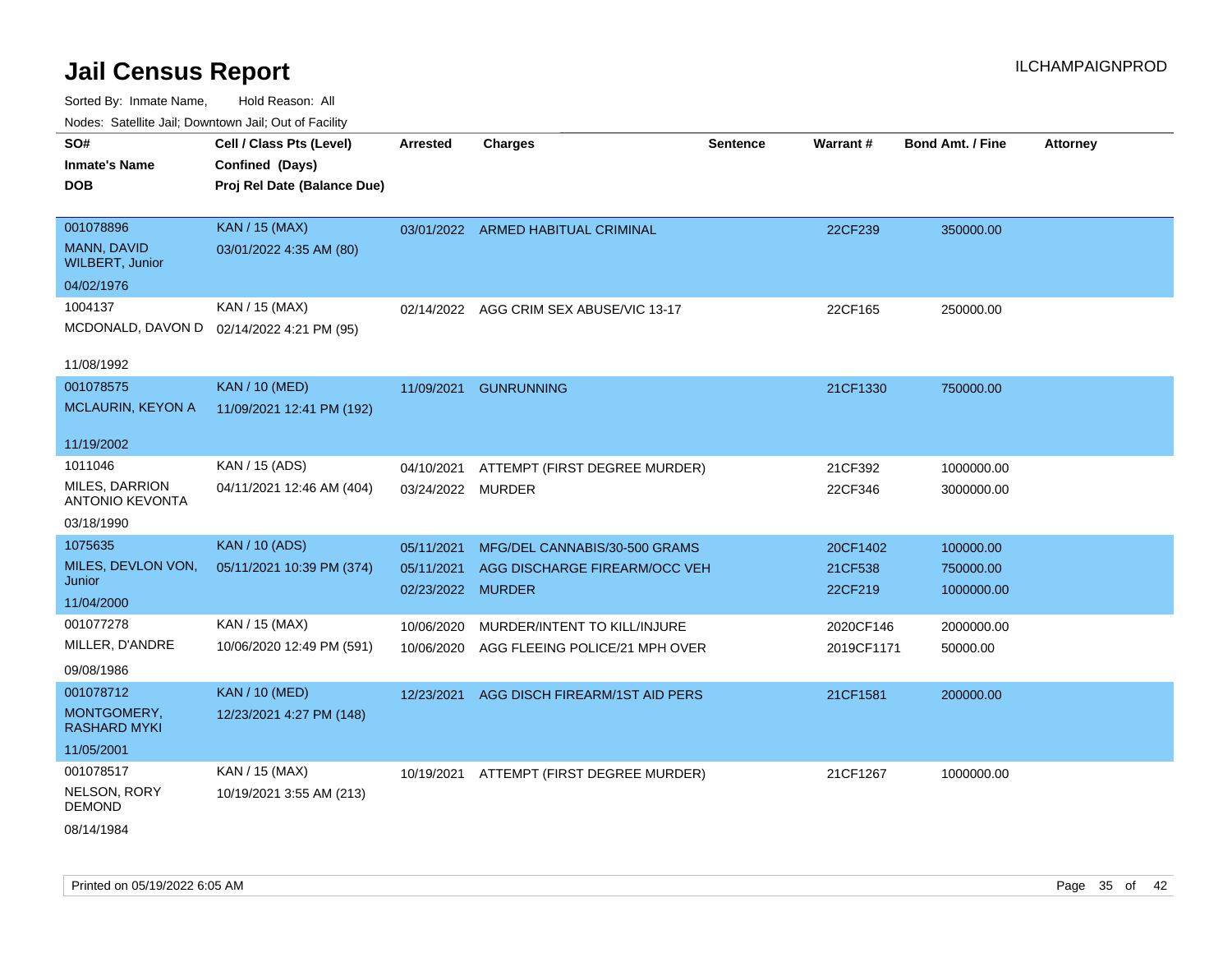Sorted By: Inmate Name, Hold Reason: All Nodes: Satellite Jail; Downtown Jail; Out of Facility

| <b>NOULD:</b> Catoline can, Downtown can, Out of Fability |                                           |                   |                                          |                 |            |                         |                 |
|-----------------------------------------------------------|-------------------------------------------|-------------------|------------------------------------------|-----------------|------------|-------------------------|-----------------|
| SO#                                                       | Cell / Class Pts (Level)                  | <b>Arrested</b>   | <b>Charges</b>                           | <b>Sentence</b> | Warrant#   | <b>Bond Amt. / Fine</b> | <b>Attorney</b> |
| <b>Inmate's Name</b>                                      | Confined (Days)                           |                   |                                          |                 |            |                         |                 |
| <b>DOB</b>                                                | Proj Rel Date (Balance Due)               |                   |                                          |                 |            |                         |                 |
|                                                           |                                           |                   |                                          |                 |            |                         |                 |
| 001078896                                                 | <b>KAN / 15 (MAX)</b>                     |                   | 03/01/2022 ARMED HABITUAL CRIMINAL       |                 | 22CF239    | 350000.00               |                 |
| <b>MANN, DAVID</b><br><b>WILBERT, Junior</b>              | 03/01/2022 4:35 AM (80)                   |                   |                                          |                 |            |                         |                 |
| 04/02/1976                                                |                                           |                   |                                          |                 |            |                         |                 |
| 1004137                                                   | KAN / 15 (MAX)                            |                   | 02/14/2022 AGG CRIM SEX ABUSE/VIC 13-17  |                 | 22CF165    | 250000.00               |                 |
|                                                           | MCDONALD, DAVON D 02/14/2022 4:21 PM (95) |                   |                                          |                 |            |                         |                 |
|                                                           |                                           |                   |                                          |                 |            |                         |                 |
| 11/08/1992                                                |                                           |                   |                                          |                 |            |                         |                 |
| 001078575                                                 | <b>KAN / 10 (MED)</b>                     | 11/09/2021        | <b>GUNRUNNING</b>                        |                 | 21CF1330   | 750000.00               |                 |
| <b>MCLAURIN, KEYON A</b>                                  | 11/09/2021 12:41 PM (192)                 |                   |                                          |                 |            |                         |                 |
| 11/19/2002                                                |                                           |                   |                                          |                 |            |                         |                 |
| 1011046                                                   | KAN / 15 (ADS)                            |                   |                                          |                 |            |                         |                 |
| MILES, DARRION                                            |                                           | 04/10/2021        | ATTEMPT (FIRST DEGREE MURDER)            |                 | 21CF392    | 1000000.00              |                 |
| <b>ANTONIO KEVONTA</b>                                    | 04/11/2021 12:46 AM (404)                 | 03/24/2022 MURDER |                                          |                 | 22CF346    | 3000000.00              |                 |
| 03/18/1990                                                |                                           |                   |                                          |                 |            |                         |                 |
| 1075635                                                   | <b>KAN / 10 (ADS)</b>                     | 05/11/2021        | MFG/DEL CANNABIS/30-500 GRAMS            |                 | 20CF1402   | 100000.00               |                 |
| MILES, DEVLON VON,                                        | 05/11/2021 10:39 PM (374)                 | 05/11/2021        | AGG DISCHARGE FIREARM/OCC VEH            |                 | 21CF538    | 750000.00               |                 |
| Junior                                                    |                                           | 02/23/2022        | <b>MURDER</b>                            |                 | 22CF219    | 1000000.00              |                 |
| 11/04/2000                                                |                                           |                   |                                          |                 |            |                         |                 |
| 001077278                                                 | KAN / 15 (MAX)                            | 10/06/2020        | MURDER/INTENT TO KILL/INJURE             |                 | 2020CF146  | 2000000.00              |                 |
| MILLER, D'ANDRE                                           | 10/06/2020 12:49 PM (591)                 | 10/06/2020        | AGG FLEEING POLICE/21 MPH OVER           |                 | 2019CF1171 | 50000.00                |                 |
| 09/08/1986                                                |                                           |                   |                                          |                 |            |                         |                 |
| 001078712                                                 | <b>KAN / 10 (MED)</b>                     | 12/23/2021        | AGG DISCH FIREARM/1ST AID PERS           |                 | 21CF1581   | 200000.00               |                 |
| MONTGOMERY,<br><b>RASHARD MYKI</b>                        | 12/23/2021 4:27 PM (148)                  |                   |                                          |                 |            |                         |                 |
| 11/05/2001                                                |                                           |                   |                                          |                 |            |                         |                 |
| 001078517                                                 | KAN / 15 (MAX)                            |                   | 10/19/2021 ATTEMPT (FIRST DEGREE MURDER) |                 | 21CF1267   | 1000000.00              |                 |
| NELSON, RORY<br><b>DEMOND</b>                             | 10/19/2021 3:55 AM (213)                  |                   |                                          |                 |            |                         |                 |
|                                                           |                                           |                   |                                          |                 |            |                         |                 |

08/14/1984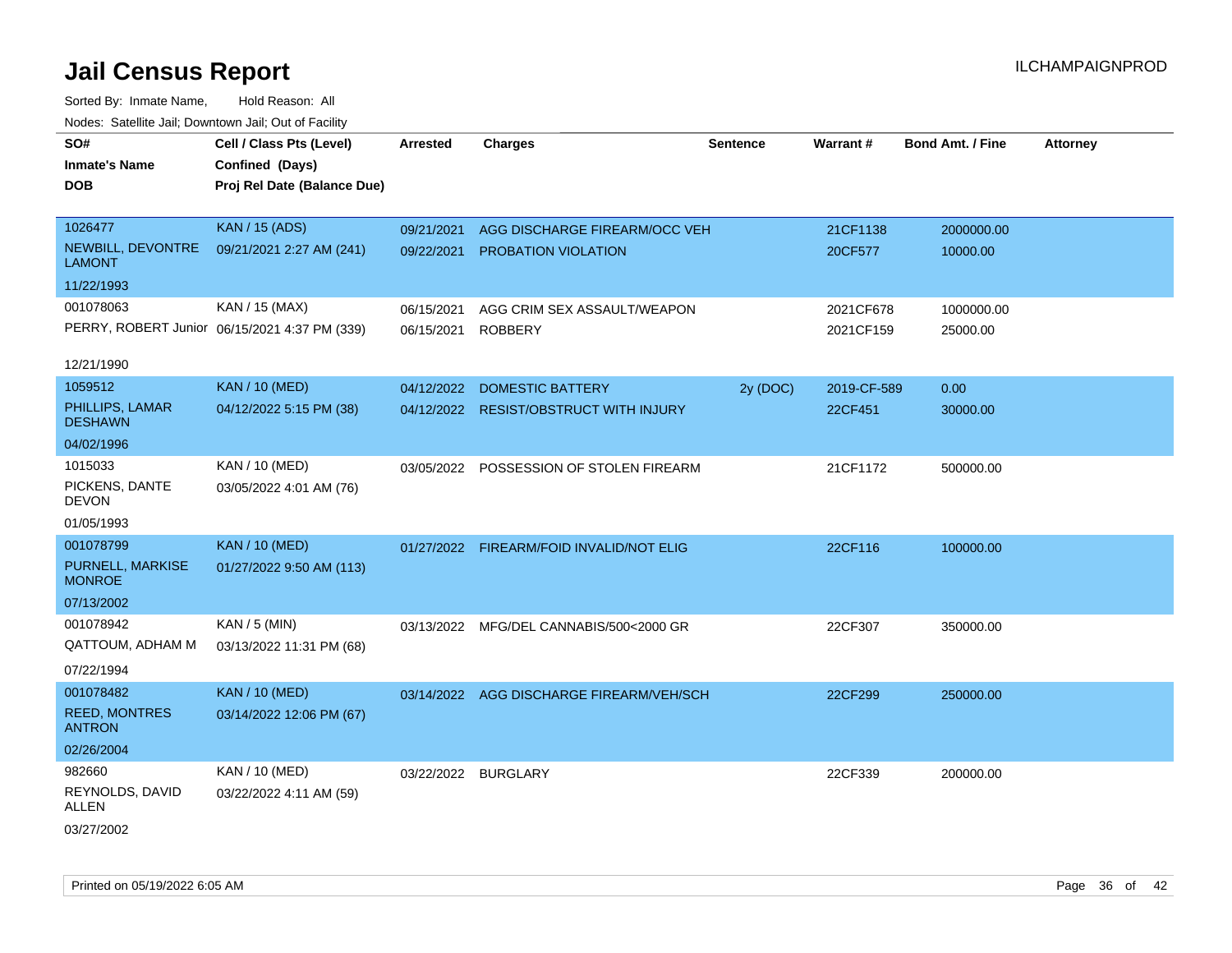| Noues. Salemie Jan, Downtown Jan, Out of Facility |                                               |                 |                                          |                 |             |                         |                 |
|---------------------------------------------------|-----------------------------------------------|-----------------|------------------------------------------|-----------------|-------------|-------------------------|-----------------|
| SO#                                               | Cell / Class Pts (Level)                      | <b>Arrested</b> | <b>Charges</b>                           | <b>Sentence</b> | Warrant#    | <b>Bond Amt. / Fine</b> | <b>Attorney</b> |
| <b>Inmate's Name</b>                              | Confined (Days)                               |                 |                                          |                 |             |                         |                 |
| <b>DOB</b>                                        | Proj Rel Date (Balance Due)                   |                 |                                          |                 |             |                         |                 |
|                                                   |                                               |                 |                                          |                 |             |                         |                 |
| 1026477                                           | <b>KAN / 15 (ADS)</b>                         | 09/21/2021      | AGG DISCHARGE FIREARM/OCC VEH            |                 | 21CF1138    | 2000000.00              |                 |
| NEWBILL, DEVONTRE<br><b>LAMONT</b>                | 09/21/2021 2:27 AM (241)                      | 09/22/2021      | PROBATION VIOLATION                      |                 | 20CF577     | 10000.00                |                 |
| 11/22/1993                                        |                                               |                 |                                          |                 |             |                         |                 |
| 001078063                                         | KAN / 15 (MAX)                                | 06/15/2021      | AGG CRIM SEX ASSAULT/WEAPON              |                 | 2021CF678   | 1000000.00              |                 |
|                                                   | PERRY, ROBERT Junior 06/15/2021 4:37 PM (339) | 06/15/2021      | <b>ROBBERY</b>                           |                 | 2021CF159   | 25000.00                |                 |
| 12/21/1990                                        |                                               |                 |                                          |                 |             |                         |                 |
| 1059512                                           | <b>KAN / 10 (MED)</b>                         |                 | 04/12/2022 DOMESTIC BATTERY              | 2y (DOC)        | 2019-CF-589 | 0.00                    |                 |
| PHILLIPS, LAMAR<br><b>DESHAWN</b>                 | 04/12/2022 5:15 PM (38)                       |                 | 04/12/2022 RESIST/OBSTRUCT WITH INJURY   |                 | 22CF451     | 30000.00                |                 |
| 04/02/1996                                        |                                               |                 |                                          |                 |             |                         |                 |
| 1015033                                           | KAN / 10 (MED)                                |                 | 03/05/2022 POSSESSION OF STOLEN FIREARM  |                 | 21CF1172    | 500000.00               |                 |
| PICKENS, DANTE<br><b>DEVON</b>                    | 03/05/2022 4:01 AM (76)                       |                 |                                          |                 |             |                         |                 |
| 01/05/1993                                        |                                               |                 |                                          |                 |             |                         |                 |
| 001078799                                         | <b>KAN / 10 (MED)</b>                         | 01/27/2022      | FIREARM/FOID INVALID/NOT ELIG            |                 | 22CF116     | 100000.00               |                 |
| PURNELL, MARKISE<br><b>MONROE</b>                 | 01/27/2022 9:50 AM (113)                      |                 |                                          |                 |             |                         |                 |
| 07/13/2002                                        |                                               |                 |                                          |                 |             |                         |                 |
| 001078942                                         | KAN / 5 (MIN)                                 |                 | 03/13/2022 MFG/DEL CANNABIS/500<2000 GR  |                 | 22CF307     | 350000.00               |                 |
| QATTOUM, ADHAM M                                  | 03/13/2022 11:31 PM (68)                      |                 |                                          |                 |             |                         |                 |
| 07/22/1994                                        |                                               |                 |                                          |                 |             |                         |                 |
| 001078482                                         | <b>KAN / 10 (MED)</b>                         |                 | 03/14/2022 AGG DISCHARGE FIREARM/VEH/SCH |                 | 22CF299     | 250000.00               |                 |
| <b>REED, MONTRES</b><br><b>ANTRON</b>             | 03/14/2022 12:06 PM (67)                      |                 |                                          |                 |             |                         |                 |
| 02/26/2004                                        |                                               |                 |                                          |                 |             |                         |                 |
| 982660                                            | KAN / 10 (MED)                                |                 | 03/22/2022 BURGLARY                      |                 | 22CF339     | 200000.00               |                 |
| REYNOLDS, DAVID<br>ALLEN                          | 03/22/2022 4:11 AM (59)                       |                 |                                          |                 |             |                         |                 |
| 03/27/2002                                        |                                               |                 |                                          |                 |             |                         |                 |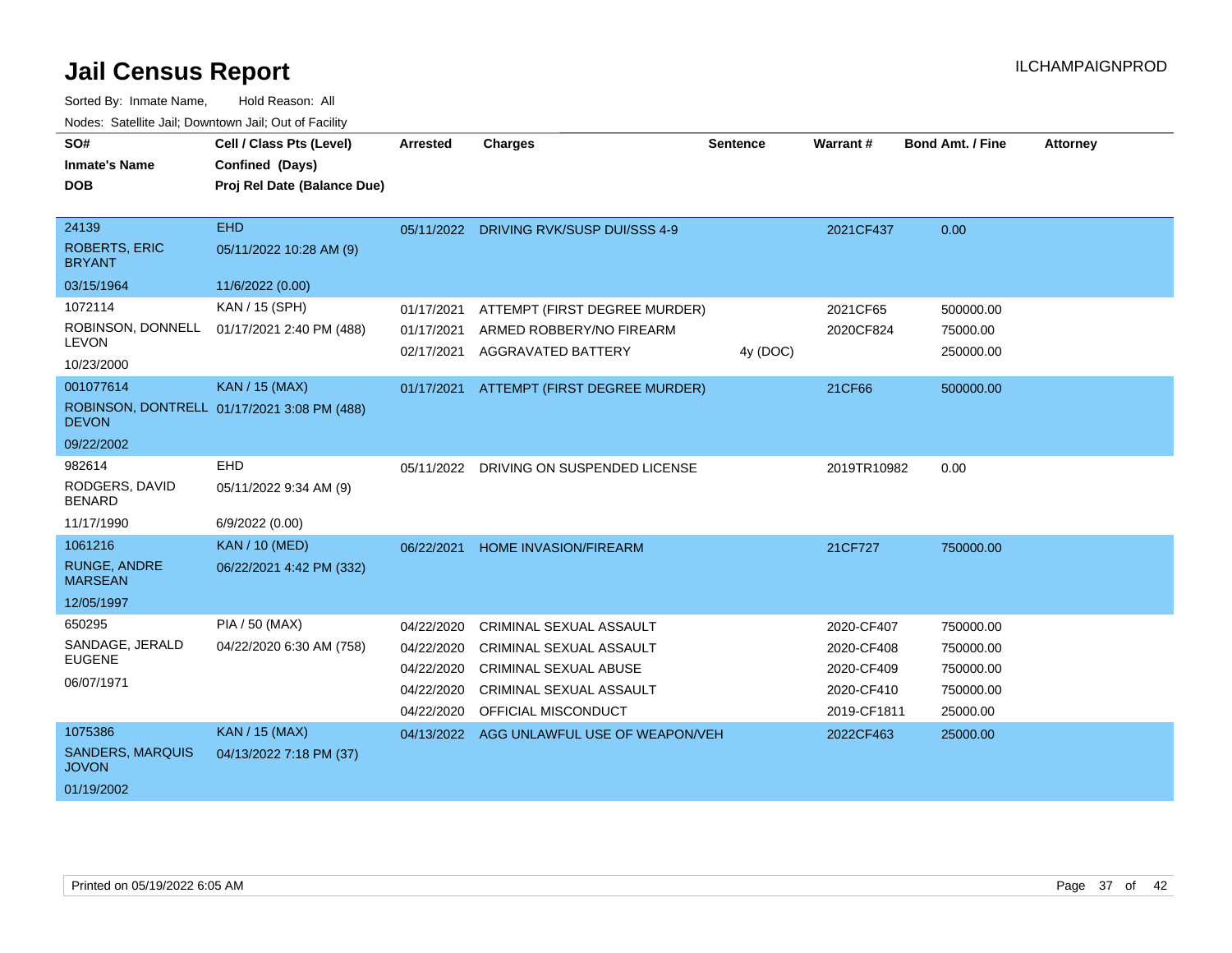| SO#<br><b>Inmate's Name</b><br><b>DOB</b>      | Cell / Class Pts (Level)<br>Confined (Days)<br>Proj Rel Date (Balance Due) | <b>Arrested</b> | <b>Charges</b>                           | <b>Sentence</b> | Warrant#    | <b>Bond Amt. / Fine</b> | <b>Attorney</b> |
|------------------------------------------------|----------------------------------------------------------------------------|-----------------|------------------------------------------|-----------------|-------------|-------------------------|-----------------|
| 24139<br><b>ROBERTS, ERIC</b><br><b>BRYANT</b> | <b>EHD</b><br>05/11/2022 10:28 AM (9)                                      |                 | 05/11/2022 DRIVING RVK/SUSP DUI/SSS 4-9  |                 | 2021CF437   | 0.00                    |                 |
| 03/15/1964                                     | 11/6/2022 (0.00)                                                           |                 |                                          |                 |             |                         |                 |
| 1072114                                        | KAN / 15 (SPH)                                                             | 01/17/2021      | ATTEMPT (FIRST DEGREE MURDER)            |                 | 2021CF65    | 500000.00               |                 |
| ROBINSON, DONNELL<br><b>LEVON</b>              | 01/17/2021 2:40 PM (488)                                                   | 01/17/2021      | ARMED ROBBERY/NO FIREARM                 |                 | 2020CF824   | 75000.00                |                 |
| 10/23/2000                                     |                                                                            | 02/17/2021      | <b>AGGRAVATED BATTERY</b>                | 4y (DOC)        |             | 250000.00               |                 |
| 001077614                                      | <b>KAN / 15 (MAX)</b>                                                      |                 | 01/17/2021 ATTEMPT (FIRST DEGREE MURDER) |                 | 21CF66      | 500000.00               |                 |
| <b>DEVON</b>                                   | ROBINSON, DONTRELL 01/17/2021 3:08 PM (488)                                |                 |                                          |                 |             |                         |                 |
| 09/22/2002                                     |                                                                            |                 |                                          |                 |             |                         |                 |
| 982614                                         | EHD                                                                        | 05/11/2022      | DRIVING ON SUSPENDED LICENSE             |                 | 2019TR10982 | 0.00                    |                 |
| RODGERS, DAVID<br><b>BENARD</b>                | 05/11/2022 9:34 AM (9)                                                     |                 |                                          |                 |             |                         |                 |
| 11/17/1990                                     | 6/9/2022 (0.00)                                                            |                 |                                          |                 |             |                         |                 |
| 1061216                                        | <b>KAN / 10 (MED)</b>                                                      | 06/22/2021      | <b>HOME INVASION/FIREARM</b>             |                 | 21CF727     | 750000.00               |                 |
| <b>RUNGE, ANDRE</b><br><b>MARSEAN</b>          | 06/22/2021 4:42 PM (332)                                                   |                 |                                          |                 |             |                         |                 |
| 12/05/1997                                     |                                                                            |                 |                                          |                 |             |                         |                 |
| 650295                                         | PIA / 50 (MAX)                                                             | 04/22/2020      | CRIMINAL SEXUAL ASSAULT                  |                 | 2020-CF407  | 750000.00               |                 |
| SANDAGE, JERALD                                | 04/22/2020 6:30 AM (758)                                                   | 04/22/2020      | <b>CRIMINAL SEXUAL ASSAULT</b>           |                 | 2020-CF408  | 750000.00               |                 |
| <b>EUGENE</b>                                  |                                                                            | 04/22/2020      | <b>CRIMINAL SEXUAL ABUSE</b>             |                 | 2020-CF409  | 750000.00               |                 |
| 06/07/1971                                     |                                                                            | 04/22/2020      | CRIMINAL SEXUAL ASSAULT                  |                 | 2020-CF410  | 750000.00               |                 |
|                                                |                                                                            | 04/22/2020      | OFFICIAL MISCONDUCT                      |                 | 2019-CF1811 | 25000.00                |                 |
| 1075386                                        | <b>KAN / 15 (MAX)</b>                                                      | 04/13/2022      | AGG UNLAWFUL USE OF WEAPON/VEH           |                 | 2022CF463   | 25000.00                |                 |
| <b>SANDERS, MARQUIS</b><br><b>JOVON</b>        | 04/13/2022 7:18 PM (37)                                                    |                 |                                          |                 |             |                         |                 |
| 01/19/2002                                     |                                                                            |                 |                                          |                 |             |                         |                 |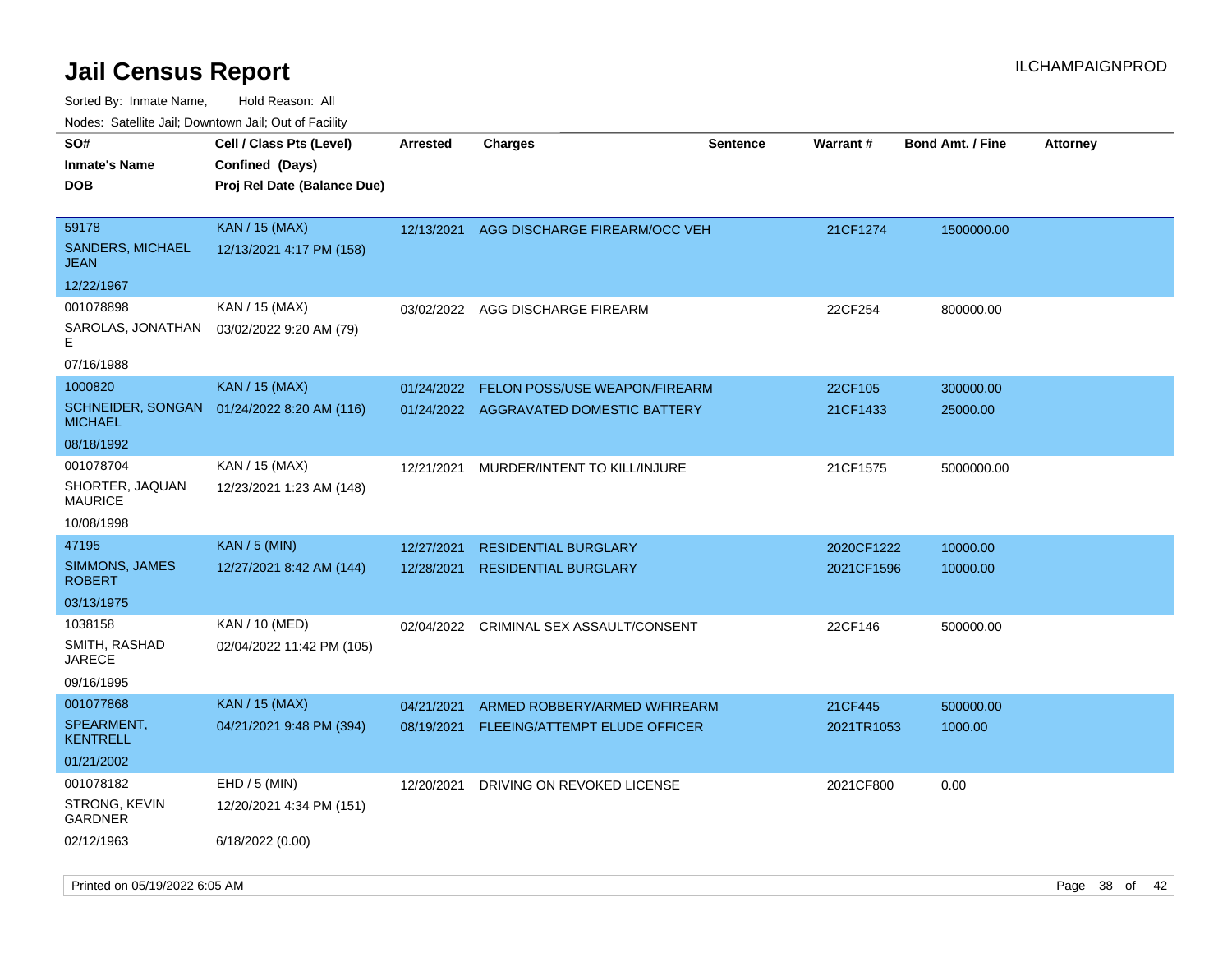| SO#<br>Inmate's Name<br><b>DOB</b>       | Cell / Class Pts (Level)<br>Confined (Days)<br>Proj Rel Date (Balance Due) | <b>Arrested</b> | <b>Charges</b>                          | <b>Sentence</b> | <b>Warrant#</b> | <b>Bond Amt. / Fine</b> | <b>Attorney</b> |
|------------------------------------------|----------------------------------------------------------------------------|-----------------|-----------------------------------------|-----------------|-----------------|-------------------------|-----------------|
| 59178<br><b>SANDERS, MICHAEL</b><br>JEAN | <b>KAN / 15 (MAX)</b><br>12/13/2021 4:17 PM (158)                          | 12/13/2021      | AGG DISCHARGE FIREARM/OCC VEH           |                 | 21CF1274        | 1500000.00              |                 |
| 12/22/1967                               |                                                                            |                 |                                         |                 |                 |                         |                 |
| 001078898                                | KAN / 15 (MAX)                                                             |                 | 03/02/2022 AGG DISCHARGE FIREARM        |                 | 22CF254         | 800000.00               |                 |
| SAROLAS, JONATHAN<br>E                   | 03/02/2022 9:20 AM (79)                                                    |                 |                                         |                 |                 |                         |                 |
| 07/16/1988                               |                                                                            |                 |                                         |                 |                 |                         |                 |
| 1000820                                  | <b>KAN</b> / 15 (MAX)                                                      | 01/24/2022      | FELON POSS/USE WEAPON/FIREARM           |                 | 22CF105         | 300000.00               |                 |
| <b>SCHNEIDER, SONGAN</b><br>MICHAEL      | 01/24/2022 8:20 AM (116)                                                   |                 | 01/24/2022 AGGRAVATED DOMESTIC BATTERY  |                 | 21CF1433        | 25000.00                |                 |
| 08/18/1992                               |                                                                            |                 |                                         |                 |                 |                         |                 |
| 001078704                                | KAN / 15 (MAX)                                                             | 12/21/2021      | MURDER/INTENT TO KILL/INJURE            |                 | 21CF1575        | 5000000.00              |                 |
| SHORTER, JAQUAN<br>MAURICE               | 12/23/2021 1:23 AM (148)                                                   |                 |                                         |                 |                 |                         |                 |
| 10/08/1998                               |                                                                            |                 |                                         |                 |                 |                         |                 |
| 47195                                    | <b>KAN / 5 (MIN)</b>                                                       | 12/27/2021      | <b>RESIDENTIAL BURGLARY</b>             |                 | 2020CF1222      | 10000.00                |                 |
| SIMMONS, JAMES<br>ROBERT                 | 12/27/2021 8:42 AM (144)                                                   | 12/28/2021      | <b>RESIDENTIAL BURGLARY</b>             |                 | 2021CF1596      | 10000.00                |                 |
| 03/13/1975                               |                                                                            |                 |                                         |                 |                 |                         |                 |
| 1038158                                  | KAN / 10 (MED)                                                             |                 | 02/04/2022 CRIMINAL SEX ASSAULT/CONSENT |                 | 22CF146         | 500000.00               |                 |
| SMITH, RASHAD<br>JARECE                  | 02/04/2022 11:42 PM (105)                                                  |                 |                                         |                 |                 |                         |                 |
| 09/16/1995                               |                                                                            |                 |                                         |                 |                 |                         |                 |
| 001077868                                | <b>KAN</b> / 15 (MAX)                                                      | 04/21/2021      | ARMED ROBBERY/ARMED W/FIREARM           |                 | 21CF445         | 500000.00               |                 |
| SPEARMENT,<br>KENTRELL                   | 04/21/2021 9:48 PM (394)                                                   | 08/19/2021      | FLEEING/ATTEMPT ELUDE OFFICER           |                 | 2021TR1053      | 1000.00                 |                 |
| 01/21/2002                               |                                                                            |                 |                                         |                 |                 |                         |                 |
| 001078182                                | $EHD / 5$ (MIN)                                                            | 12/20/2021      | DRIVING ON REVOKED LICENSE              |                 | 2021CF800       | 0.00                    |                 |
| STRONG, KEVIN<br>GARDNER                 | 12/20/2021 4:34 PM (151)                                                   |                 |                                         |                 |                 |                         |                 |
| 02/12/1963                               | 6/18/2022 (0.00)                                                           |                 |                                         |                 |                 |                         |                 |
|                                          |                                                                            |                 |                                         |                 |                 |                         |                 |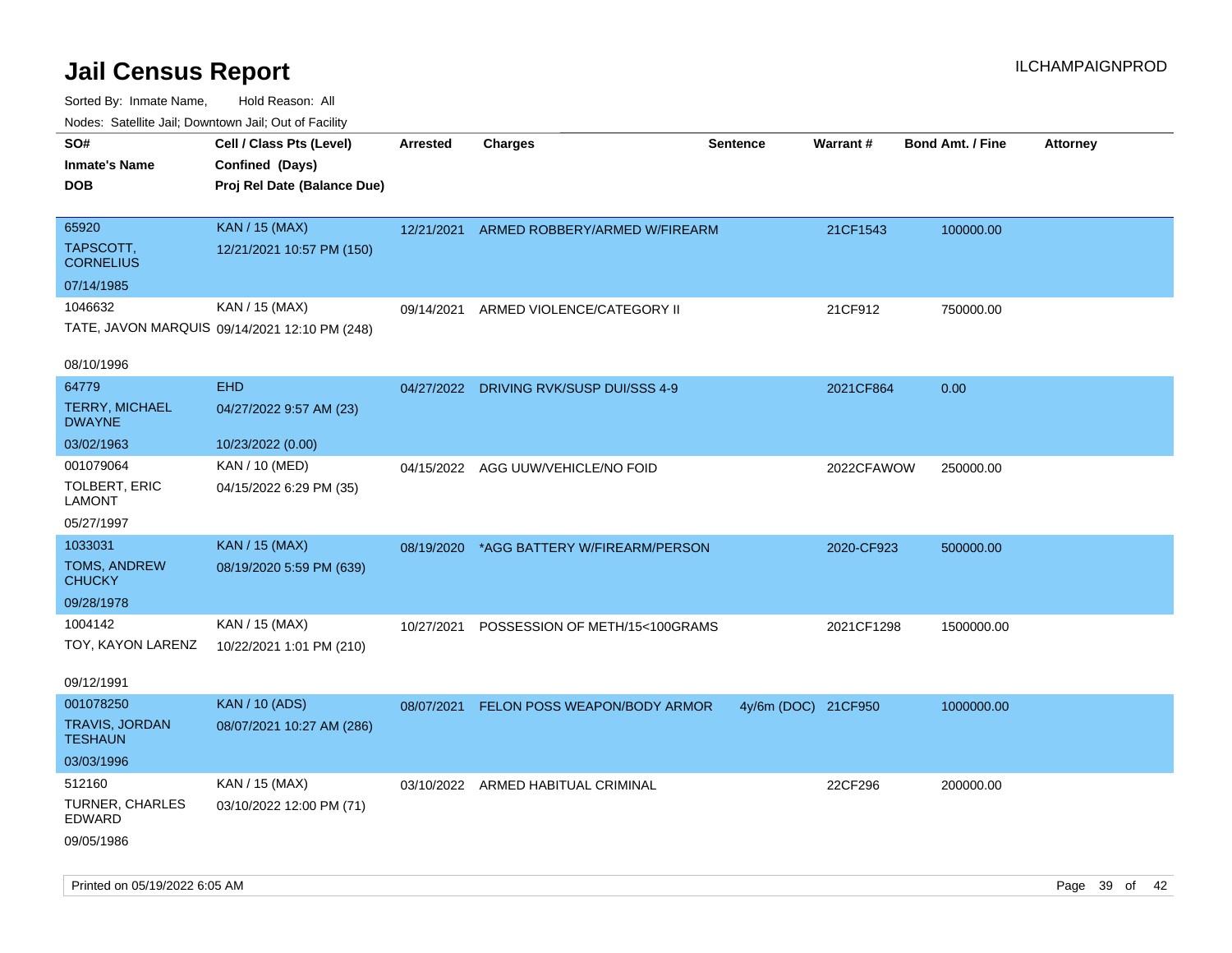| roaco. Odichile Jan, Downtown Jan, Out of Facility |                                                                            |                 |                                          |                     |            |                         |          |
|----------------------------------------------------|----------------------------------------------------------------------------|-----------------|------------------------------------------|---------------------|------------|-------------------------|----------|
| SO#<br><b>Inmate's Name</b><br><b>DOB</b>          | Cell / Class Pts (Level)<br>Confined (Days)<br>Proj Rel Date (Balance Due) | <b>Arrested</b> | <b>Charges</b>                           | <b>Sentence</b>     | Warrant#   | <b>Bond Amt. / Fine</b> | Attorney |
|                                                    |                                                                            |                 |                                          |                     |            |                         |          |
| 65920<br>TAPSCOTT,                                 | <b>KAN / 15 (MAX)</b><br>12/21/2021 10:57 PM (150)                         |                 | 12/21/2021 ARMED ROBBERY/ARMED W/FIREARM |                     | 21CF1543   | 100000.00               |          |
| <b>CORNELIUS</b>                                   |                                                                            |                 |                                          |                     |            |                         |          |
| 07/14/1985                                         |                                                                            |                 |                                          |                     |            |                         |          |
| 1046632                                            | KAN / 15 (MAX)                                                             | 09/14/2021      | ARMED VIOLENCE/CATEGORY II               |                     | 21CF912    | 750000.00               |          |
|                                                    | TATE, JAVON MARQUIS 09/14/2021 12:10 PM (248)                              |                 |                                          |                     |            |                         |          |
| 08/10/1996                                         |                                                                            |                 |                                          |                     |            |                         |          |
| 64779                                              | <b>EHD</b>                                                                 |                 | 04/27/2022 DRIVING RVK/SUSP DUI/SSS 4-9  |                     | 2021CF864  | 0.00                    |          |
| <b>TERRY, MICHAEL</b><br><b>DWAYNE</b>             | 04/27/2022 9:57 AM (23)                                                    |                 |                                          |                     |            |                         |          |
| 03/02/1963                                         | 10/23/2022 (0.00)                                                          |                 |                                          |                     |            |                         |          |
| 001079064                                          | KAN / 10 (MED)                                                             | 04/15/2022      | AGG UUW/VEHICLE/NO FOID                  |                     | 2022CFAWOW | 250000.00               |          |
| TOLBERT, ERIC<br><b>LAMONT</b>                     | 04/15/2022 6:29 PM (35)                                                    |                 |                                          |                     |            |                         |          |
| 05/27/1997                                         |                                                                            |                 |                                          |                     |            |                         |          |
| 1033031                                            | <b>KAN / 15 (MAX)</b>                                                      | 08/19/2020      | *AGG BATTERY W/FIREARM/PERSON            |                     | 2020-CF923 | 500000.00               |          |
| TOMS, ANDREW<br><b>CHUCKY</b>                      | 08/19/2020 5:59 PM (639)                                                   |                 |                                          |                     |            |                         |          |
| 09/28/1978                                         |                                                                            |                 |                                          |                     |            |                         |          |
| 1004142                                            | KAN / 15 (MAX)                                                             | 10/27/2021      | POSSESSION OF METH/15<100GRAMS           |                     | 2021CF1298 | 1500000.00              |          |
| TOY, KAYON LARENZ                                  | 10/22/2021 1:01 PM (210)                                                   |                 |                                          |                     |            |                         |          |
| 09/12/1991                                         |                                                                            |                 |                                          |                     |            |                         |          |
| 001078250                                          | <b>KAN / 10 (ADS)</b>                                                      | 08/07/2021      | FELON POSS WEAPON/BODY ARMOR             | 4y/6m (DOC) 21CF950 |            | 1000000.00              |          |
| <b>TRAVIS, JORDAN</b><br><b>TESHAUN</b>            | 08/07/2021 10:27 AM (286)                                                  |                 |                                          |                     |            |                         |          |
| 03/03/1996                                         |                                                                            |                 |                                          |                     |            |                         |          |
| 512160                                             | KAN / 15 (MAX)                                                             |                 | 03/10/2022 ARMED HABITUAL CRIMINAL       |                     | 22CF296    | 200000.00               |          |
| <b>TURNER, CHARLES</b><br><b>EDWARD</b>            | 03/10/2022 12:00 PM (71)                                                   |                 |                                          |                     |            |                         |          |
| 09/05/1986                                         |                                                                            |                 |                                          |                     |            |                         |          |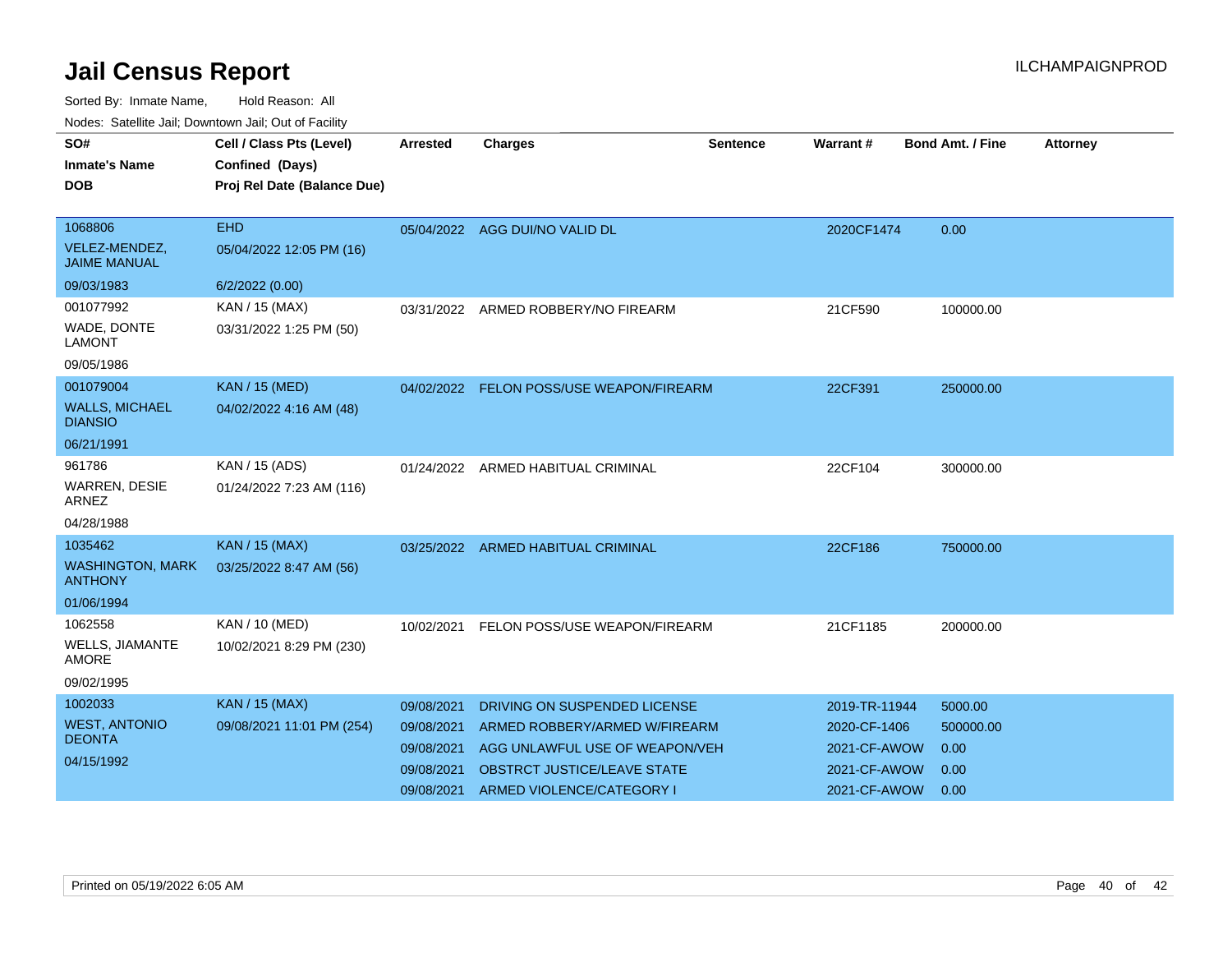| SO#<br><b>Inmate's Name</b><br><b>DOB</b>                          | Cell / Class Pts (Level)<br>Confined (Days)<br>Proj Rel Date (Balance Due) | <b>Arrested</b>                                                    | <b>Charges</b>                                                                                                                                              | Sentence | Warrant #                                                                     | <b>Bond Amt. / Fine</b>                      | <b>Attorney</b> |
|--------------------------------------------------------------------|----------------------------------------------------------------------------|--------------------------------------------------------------------|-------------------------------------------------------------------------------------------------------------------------------------------------------------|----------|-------------------------------------------------------------------------------|----------------------------------------------|-----------------|
| 1068806<br>VELEZ-MENDEZ,<br><b>JAIME MANUAL</b><br>09/03/1983      | <b>EHD</b><br>05/04/2022 12:05 PM (16)<br>6/2/2022 (0.00)                  |                                                                    | 05/04/2022 AGG DUI/NO VALID DL                                                                                                                              |          | 2020CF1474                                                                    | 0.00                                         |                 |
| 001077992<br>WADE, DONTE<br><b>LAMONT</b><br>09/05/1986            | KAN / 15 (MAX)<br>03/31/2022 1:25 PM (50)                                  | 03/31/2022                                                         | ARMED ROBBERY/NO FIREARM                                                                                                                                    |          | 21CF590                                                                       | 100000.00                                    |                 |
| 001079004<br><b>WALLS, MICHAEL</b><br><b>DIANSIO</b><br>06/21/1991 | <b>KAN / 15 (MED)</b><br>04/02/2022 4:16 AM (48)                           |                                                                    | 04/02/2022 FELON POSS/USE WEAPON/FIREARM                                                                                                                    |          | 22CF391                                                                       | 250000.00                                    |                 |
| 961786<br>WARREN, DESIE<br><b>ARNEZ</b><br>04/28/1988              | KAN / 15 (ADS)<br>01/24/2022 7:23 AM (116)                                 |                                                                    | 01/24/2022 ARMED HABITUAL CRIMINAL                                                                                                                          |          | 22CF104                                                                       | 300000.00                                    |                 |
| 1035462<br><b>WASHINGTON, MARK</b><br><b>ANTHONY</b><br>01/06/1994 | <b>KAN / 15 (MAX)</b><br>03/25/2022 8:47 AM (56)                           | 03/25/2022                                                         | <b>ARMED HABITUAL CRIMINAL</b>                                                                                                                              |          | 22CF186                                                                       | 750000.00                                    |                 |
| 1062558<br>WELLS, JIAMANTE<br><b>AMORE</b><br>09/02/1995           | KAN / 10 (MED)<br>10/02/2021 8:29 PM (230)                                 | 10/02/2021                                                         | FELON POSS/USE WEAPON/FIREARM                                                                                                                               |          | 21CF1185                                                                      | 200000.00                                    |                 |
| 1002033<br><b>WEST, ANTONIO</b><br><b>DEONTA</b><br>04/15/1992     | <b>KAN / 15 (MAX)</b><br>09/08/2021 11:01 PM (254)                         | 09/08/2021<br>09/08/2021<br>09/08/2021<br>09/08/2021<br>09/08/2021 | DRIVING ON SUSPENDED LICENSE<br>ARMED ROBBERY/ARMED W/FIREARM<br>AGG UNLAWFUL USE OF WEAPON/VEH<br>OBSTRCT JUSTICE/LEAVE STATE<br>ARMED VIOLENCE/CATEGORY I |          | 2019-TR-11944<br>2020-CF-1406<br>2021-CF-AWOW<br>2021-CF-AWOW<br>2021-CF-AWOW | 5000.00<br>500000.00<br>0.00<br>0.00<br>0.00 |                 |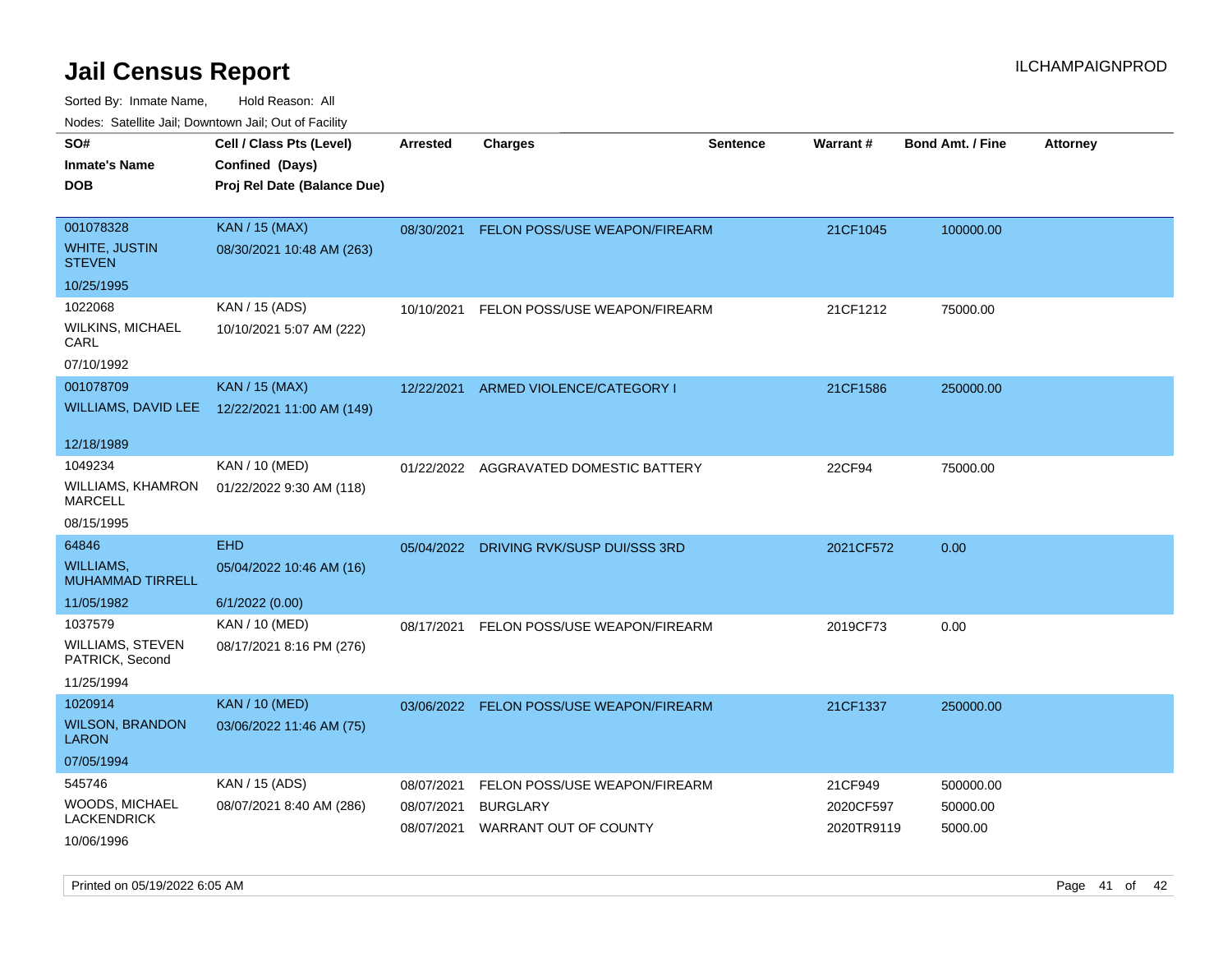| Todoo. Catolino can, Bomnomi can, Cat of Faoint |                                                                            |                          |                                          |                 |                         |                         |                 |
|-------------------------------------------------|----------------------------------------------------------------------------|--------------------------|------------------------------------------|-----------------|-------------------------|-------------------------|-----------------|
| SO#<br><b>Inmate's Name</b><br>DOB              | Cell / Class Pts (Level)<br>Confined (Days)<br>Proj Rel Date (Balance Due) | <b>Arrested</b>          | <b>Charges</b>                           | <b>Sentence</b> | <b>Warrant#</b>         | <b>Bond Amt. / Fine</b> | <b>Attorney</b> |
| 001078328<br>WHITE, JUSTIN<br><b>STEVEN</b>     | <b>KAN / 15 (MAX)</b><br>08/30/2021 10:48 AM (263)                         |                          | 08/30/2021 FELON POSS/USE WEAPON/FIREARM |                 | 21CF1045                | 100000.00               |                 |
| 10/25/1995                                      |                                                                            |                          |                                          |                 |                         |                         |                 |
| 1022068<br>WILKINS, MICHAEL<br>CARL             | KAN / 15 (ADS)<br>10/10/2021 5:07 AM (222)                                 | 10/10/2021               | FELON POSS/USE WEAPON/FIREARM            |                 | 21CF1212                | 75000.00                |                 |
| 07/10/1992                                      |                                                                            |                          |                                          |                 |                         |                         |                 |
| 001078709                                       | <b>KAN / 15 (MAX)</b><br>WILLIAMS, DAVID LEE 12/22/2021 11:00 AM (149)     | 12/22/2021               | ARMED VIOLENCE/CATEGORY I                |                 | 21CF1586                | 250000.00               |                 |
| 12/18/1989                                      |                                                                            |                          |                                          |                 |                         |                         |                 |
| 1049234<br>WILLIAMS, KHAMRON<br>MARCELL         | KAN / 10 (MED)<br>01/22/2022 9:30 AM (118)                                 | 01/22/2022               | AGGRAVATED DOMESTIC BATTERY              |                 | 22CF94                  | 75000.00                |                 |
| 08/15/1995                                      |                                                                            |                          |                                          |                 |                         |                         |                 |
| 64846                                           | <b>EHD</b>                                                                 | 05/04/2022               | DRIVING RVK/SUSP DUI/SSS 3RD             |                 | 2021CF572               | 0.00                    |                 |
| WILLIAMS.<br><b>MUHAMMAD TIRRELL</b>            | 05/04/2022 10:46 AM (16)                                                   |                          |                                          |                 |                         |                         |                 |
| 11/05/1982                                      | 6/1/2022 (0.00)                                                            |                          |                                          |                 |                         |                         |                 |
| 1037579                                         | KAN / 10 (MED)                                                             | 08/17/2021               | FELON POSS/USE WEAPON/FIREARM            |                 | 2019CF73                | 0.00                    |                 |
| WILLIAMS, STEVEN<br>PATRICK, Second             | 08/17/2021 8:16 PM (276)                                                   |                          |                                          |                 |                         |                         |                 |
| 11/25/1994                                      |                                                                            |                          |                                          |                 |                         |                         |                 |
| 1020914                                         | <b>KAN / 10 (MED)</b>                                                      |                          | 03/06/2022 FELON POSS/USE WEAPON/FIREARM |                 | 21CF1337                | 250000.00               |                 |
| <b>WILSON, BRANDON</b><br>LARON                 | 03/06/2022 11:46 AM (75)                                                   |                          |                                          |                 |                         |                         |                 |
| 07/05/1994                                      |                                                                            |                          |                                          |                 |                         |                         |                 |
| 545746                                          | KAN / 15 (ADS)                                                             | 08/07/2021               | FELON POSS/USE WEAPON/FIREARM            |                 | 21CF949                 | 500000.00               |                 |
| WOODS, MICHAEL<br>LACKENDRICK<br>10/06/1996     | 08/07/2021 8:40 AM (286)                                                   | 08/07/2021<br>08/07/2021 | <b>BURGLARY</b><br>WARRANT OUT OF COUNTY |                 | 2020CF597<br>2020TR9119 | 50000.00<br>5000.00     |                 |
|                                                 |                                                                            |                          |                                          |                 |                         |                         |                 |